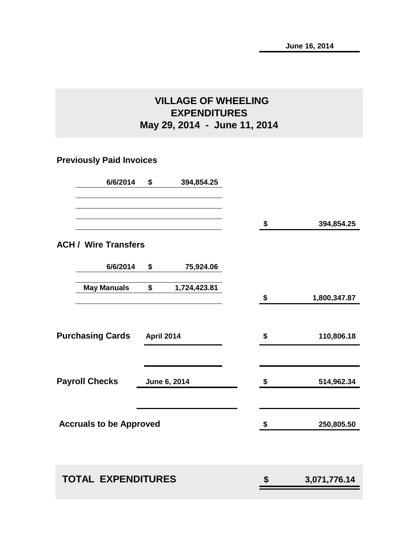# **VILLAGE OF WHEELING EXPENDITURES May 29, 2014 - June 11, 2014**

# **Previously Paid Invoices**

|                                | 6/6/2014           | \$                | 394,854.25   |                        |              |
|--------------------------------|--------------------|-------------------|--------------|------------------------|--------------|
|                                |                    |                   |              | \$                     | 394,854.25   |
| <b>ACH / Wire Transfers</b>    |                    |                   |              |                        |              |
|                                | 6/6/2014           | \$                | 75,924.06    |                        |              |
|                                | <b>May Manuals</b> | \$                | 1,724,423.81 | \$                     | 1,800,347.87 |
| <b>Purchasing Cards</b>        |                    | <b>April 2014</b> |              | \$                     | 110,806.18   |
| <b>Payroll Checks</b>          |                    |                   | June 6, 2014 | \$                     | 514,962.34   |
| <b>Accruals to be Approved</b> |                    |                   |              | $\boldsymbol{\hat{z}}$ | 250,805.50   |
| <b>TOTAL EXPENDITURES</b>      |                    |                   |              | \$                     | 3,071,776.14 |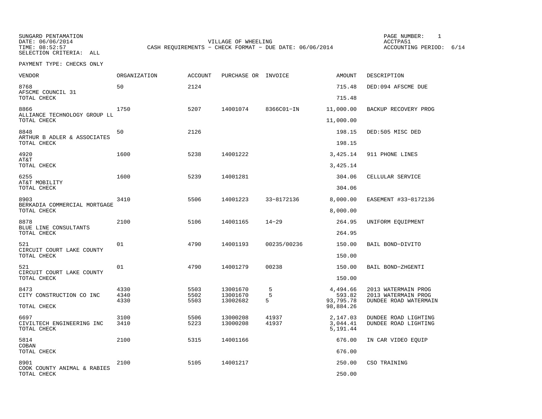SUNGARD PENTAMATION PAGE NUMBER: 1TIME: 08:52:57 CASH REQUIREMENTS - CHECK FORMAT - DUE DATE: 06/06/2014 SELECTION CRITERIA: ALL

DATE: 06/06/2014 VILLAGE OF WHEELING ACCTPA51

ACCOUNTING PERIOD: 6/14

| <b>VENDOR</b>                                       | <b>ORGANIZATION</b> | <b>ACCOUNT</b> | PURCHASE OR INVOICE  |                | AMOUNT                           | DESCRIPTION                                  |
|-----------------------------------------------------|---------------------|----------------|----------------------|----------------|----------------------------------|----------------------------------------------|
| 8768<br>AFSCME COUNCIL 31                           | 50                  | 2124           |                      |                | 715.48                           | DED:094 AFSCME DUE                           |
| TOTAL CHECK                                         |                     |                |                      |                | 715.48                           |                                              |
| 8866<br>ALLIANCE TECHNOLOGY GROUP LL<br>TOTAL CHECK | 1750                | 5207           | 14001074             | 8366C01-IN     | 11,000.00<br>11,000.00           | BACKUP RECOVERY PROG                         |
|                                                     |                     |                |                      |                |                                  |                                              |
| 8848<br>ARTHUR B ADLER & ASSOCIATES<br>TOTAL CHECK  | 50                  | 2126           |                      |                | 198.15<br>198.15                 | DED:505 MISC DED                             |
|                                                     |                     |                |                      |                |                                  |                                              |
| 4920<br>AT&T<br>TOTAL CHECK                         | 1600                | 5238           | 14001222             |                | 3,425.14<br>3,425.14             | 911 PHONE LINES                              |
|                                                     |                     |                |                      |                |                                  |                                              |
| 6255<br>AT&T MOBILITY<br>TOTAL CHECK                | 1600                | 5239           | 14001281             |                | 304.06<br>304.06                 | CELLULAR SERVICE                             |
|                                                     |                     |                |                      |                |                                  |                                              |
| 8903<br>BERKADIA COMMERCIAL MORTGAGE<br>TOTAL CHECK | 3410                | 5506           | 14001223             | 33-8172136     | 8,000.00<br>8,000.00             | EASEMENT #33-8172136                         |
|                                                     |                     |                |                      |                |                                  |                                              |
| 8878<br>BLUE LINE CONSULTANTS<br>TOTAL CHECK        | 2100                | 5106           | 14001165             | $14 - 29$      | 264.95<br>264.95                 | UNIFORM EQUIPMENT                            |
|                                                     |                     |                |                      |                |                                  |                                              |
| 521<br>CIRCUIT COURT LAKE COUNTY<br>TOTAL CHECK     | 01                  | 4790           | 14001193             | 00235/00236    | 150.00<br>150.00                 | BAIL BOND-DIVITO                             |
|                                                     |                     |                |                      |                |                                  |                                              |
| 521<br>CIRCUIT COURT LAKE COUNTY<br>TOTAL CHECK     | 01                  | 4790           | 14001279             | 00238          | 150.00<br>150.00                 | BAIL BOND-ZHGENTI                            |
|                                                     |                     |                |                      |                |                                  |                                              |
| 8473<br>CITY CONSTRUCTION CO INC                    | 4330<br>4340        | 5503<br>5502   | 13001670<br>13001670 | 5<br>5         | 4,494.66<br>593.82               | 2013 WATERMAIN PROG<br>2013 WATERMAIN PROG   |
| TOTAL CHECK                                         | 4330                | 5503           | 13002682             | 5              | 93,795.78<br>98,884.26           | DUNDEE ROAD WATERMAIN                        |
| 6697<br>CIVILTECH ENGINEERING INC<br>TOTAL CHECK    | 3100<br>3410        | 5506<br>5223   | 13000208<br>13000208 | 41937<br>41937 | 2,147.03<br>3,044.41<br>5,191.44 | DUNDEE ROAD LIGHTING<br>DUNDEE ROAD LIGHTING |
| 5814                                                | 2100                | 5315           | 14001166             |                | 676.00                           | IN CAR VIDEO EQUIP                           |
| COBAN<br>TOTAL CHECK                                |                     |                |                      |                | 676.00                           |                                              |
|                                                     |                     |                |                      |                |                                  |                                              |
| 8901<br>COOK COUNTY ANIMAL & RABIES                 | 2100                | 5105           | 14001217             |                | 250.00                           | CSO TRAINING                                 |
| TOTAL CHECK                                         |                     |                |                      |                | 250.00                           |                                              |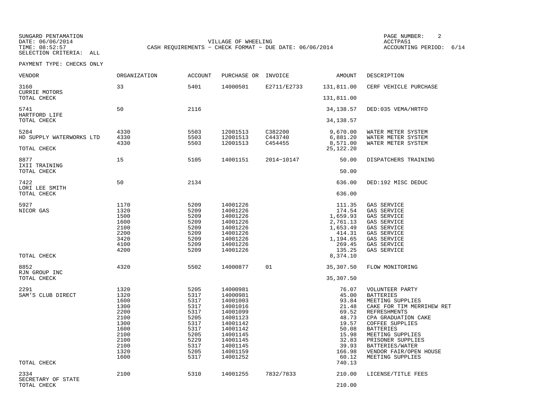SUNGARD PENTAMATION PAGE NUMBER: 2SELECTION CRITERIA: ALL

DATE:  $06/06/2014$  ACCTPA51 TIME: 08:52:57 CASH REQUIREMENTS - CHECK FORMAT - DUE DATE: 06/06/2014

ACCOUNTING PERIOD: 6/14

| VENDOR                                          | <b>ORGANIZATION</b>                                                                                  | <b>ACCOUNT</b>                                                                                       | PURCHASE OR                                                                                                                                              | INVOICE                       | AMOUNT                                                                                                                       | DESCRIPTION                                                                                                                                                                                                                                                                         |
|-------------------------------------------------|------------------------------------------------------------------------------------------------------|------------------------------------------------------------------------------------------------------|----------------------------------------------------------------------------------------------------------------------------------------------------------|-------------------------------|------------------------------------------------------------------------------------------------------------------------------|-------------------------------------------------------------------------------------------------------------------------------------------------------------------------------------------------------------------------------------------------------------------------------------|
| 3160<br><b>CURRIE MOTORS</b>                    | 33                                                                                                   | 5401                                                                                                 | 14000501                                                                                                                                                 | E2711/E2733                   | 131,811.00                                                                                                                   | CERF VEHICLE PURCHASE                                                                                                                                                                                                                                                               |
| TOTAL CHECK                                     |                                                                                                      |                                                                                                      |                                                                                                                                                          |                               | 131,811.00                                                                                                                   |                                                                                                                                                                                                                                                                                     |
| 5741<br>HARTFORD LIFE                           | 50                                                                                                   | 2116                                                                                                 |                                                                                                                                                          |                               | 34, 138.57                                                                                                                   | DED: 035 VEMA/HRTFD                                                                                                                                                                                                                                                                 |
| TOTAL CHECK                                     |                                                                                                      |                                                                                                      |                                                                                                                                                          |                               | 34, 138.57                                                                                                                   |                                                                                                                                                                                                                                                                                     |
| 5284<br>HD SUPPLY WATERWORKS LTD<br>TOTAL CHECK | 4330<br>4330<br>4330                                                                                 | 5503<br>5503<br>5503                                                                                 | 12001513<br>12001513<br>12001513                                                                                                                         | C382200<br>C443740<br>C454455 | 9,670.00<br>6,881.20<br>8,571.00<br>25,122.20                                                                                | WATER METER SYSTEM<br>WATER METER SYSTEM<br>WATER METER SYSTEM                                                                                                                                                                                                                      |
| 8877<br>IXII TRAINING                           | 15                                                                                                   | 5105                                                                                                 | 14001151                                                                                                                                                 | 2014-10147                    | 50.00                                                                                                                        | DISPATCHERS TRAINING                                                                                                                                                                                                                                                                |
| TOTAL CHECK                                     |                                                                                                      |                                                                                                      |                                                                                                                                                          |                               | 50.00                                                                                                                        |                                                                                                                                                                                                                                                                                     |
| 7422<br>LORI LEE SMITH                          | 50                                                                                                   | 2134                                                                                                 |                                                                                                                                                          |                               | 636.00                                                                                                                       | DED:192 MISC DEDUC                                                                                                                                                                                                                                                                  |
| TOTAL CHECK                                     |                                                                                                      |                                                                                                      |                                                                                                                                                          |                               | 636.00                                                                                                                       |                                                                                                                                                                                                                                                                                     |
| 5927<br>NICOR GAS<br>TOTAL CHECK                | 1170<br>1320<br>1500<br>1600<br>2100<br>2200<br>3420<br>4100<br>4200                                 | 5209<br>5209<br>5209<br>5209<br>5209<br>5209<br>5209<br>5209<br>5209                                 | 14001226<br>14001226<br>14001226<br>14001226<br>14001226<br>14001226<br>14001226<br>14001226<br>14001226                                                 |                               | 111.35<br>174.54<br>1,659.93<br>2,761.13<br>1,653.49<br>414.31<br>1,194.65<br>269.45<br>135.25<br>8,374.10                   | GAS SERVICE<br>GAS SERVICE<br>GAS SERVICE<br>GAS SERVICE<br>GAS SERVICE<br>GAS SERVICE<br>GAS SERVICE<br>GAS SERVICE<br>GAS SERVICE                                                                                                                                                 |
|                                                 |                                                                                                      |                                                                                                      |                                                                                                                                                          |                               |                                                                                                                              |                                                                                                                                                                                                                                                                                     |
| 8852<br>RJN GROUP INC<br>TOTAL CHECK            | 4320                                                                                                 | 5502                                                                                                 | 14000877                                                                                                                                                 | 01                            | 35,307.50<br>35,307.50                                                                                                       | FLOW MONITORING                                                                                                                                                                                                                                                                     |
| 2291<br>SAM'S CLUB DIRECT<br>TOTAL CHECK        | 1320<br>1320<br>1600<br>1300<br>2200<br>2100<br>1300<br>1600<br>2100<br>2100<br>2100<br>1320<br>1600 | 5205<br>5317<br>5317<br>5317<br>5317<br>5205<br>5317<br>5317<br>5205<br>5229<br>5317<br>5205<br>5317 | 14000981<br>14000981<br>14001003<br>14001016<br>14001099<br>14001123<br>14001142<br>14001142<br>14001145<br>14001145<br>14001145<br>14001159<br>14001252 |                               | 76.07<br>45.00<br>93.84<br>21.48<br>69.52<br>48.73<br>19.57<br>50.08<br>15.98<br>32.83<br>39.93<br>166.98<br>60.12<br>740.13 | VOLUNTEER PARTY<br><b>BATTERIES</b><br>MEETING SUPPLIES<br>CAKE FOR TIM MERRIHEW RET<br><b>REFRESHMENTS</b><br>CPA GRADUATION CAKE<br>COFFEE SUPPLIES<br><b>BATTERIES</b><br>MEETING SUPPLIES<br>PRISONER SUPPLIES<br>BATTERIES/WATER<br>VENDOR FAIR/OPEN HOUSE<br>MEETING SUPPLIES |
| 2334                                            | 2100                                                                                                 | 5310                                                                                                 | 14001255                                                                                                                                                 | 7832/7833                     | 210.00                                                                                                                       | LICENSE/TITLE FEES                                                                                                                                                                                                                                                                  |
| SECRETARY OF STATE<br>TOTAL CHECK               |                                                                                                      |                                                                                                      |                                                                                                                                                          |                               | 210.00                                                                                                                       |                                                                                                                                                                                                                                                                                     |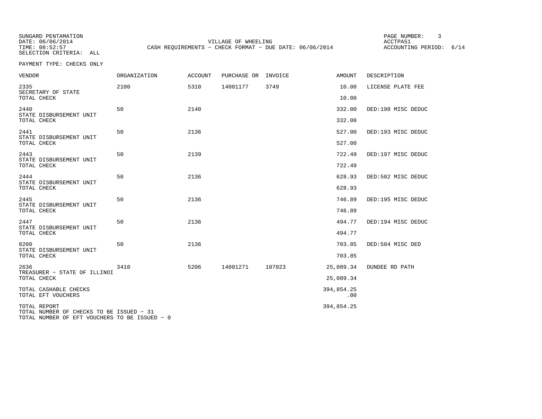SUNGARD PENTAMATION PAGE NUMBER: 3SELECTION CRITERIA: ALL

DATE:  $06/06/2014$  ACCTPA51 TIME: 08:52:57 CASH REQUIREMENTS - CHECK FORMAT - DUE DATE: 06/06/2014

ACCOUNTING PERIOD: 6/14

| <b>VENDOR</b>                                                                                             | ORGANIZATION | <b>ACCOUNT</b> | PURCHASE OR | INVOICE | AMOUNT            | DESCRIPTION           |
|-----------------------------------------------------------------------------------------------------------|--------------|----------------|-------------|---------|-------------------|-----------------------|
| 2335<br>SECRETARY OF STATE                                                                                | 2100         | 5310           | 14001177    | 3749    | 10.00             | LICENSE PLATE FEE     |
| TOTAL CHECK                                                                                               |              |                |             |         | 10.00             |                       |
| 2440<br>STATE DISBURSEMENT UNIT                                                                           | 50           | 2140           |             |         | 332.00            | DED:198 MISC DEDUC    |
| TOTAL CHECK                                                                                               |              |                |             |         | 332.00            |                       |
| 2441<br>STATE DISBURSEMENT UNIT                                                                           | 50           | 2136           |             |         | 527.00            | DED:193 MISC DEDUC    |
| TOTAL CHECK                                                                                               |              |                |             |         | 527.00            |                       |
| 2443<br>STATE DISBURSEMENT UNIT                                                                           | 50           | 2139           |             |         | 722.49            | DED:197 MISC DEDUC    |
| TOTAL CHECK                                                                                               |              |                |             |         | 722.49            |                       |
| 2444<br>STATE DISBURSEMENT UNIT                                                                           | 50           | 2136           |             |         | 628.93            | DED:502 MISC DEDUC    |
| TOTAL CHECK                                                                                               |              |                |             |         | 628.93            |                       |
| 2445<br>STATE DISBURSEMENT UNIT                                                                           | 50           | 2136           |             |         | 746.89            | DED:195 MISC DEDUC    |
| TOTAL CHECK                                                                                               |              |                |             |         | 746.89            |                       |
| 2447<br>STATE DISBURSEMENT UNIT                                                                           | 50           | 2136           |             |         | 494.77            | DED:194 MISC DEDUC    |
| TOTAL CHECK                                                                                               |              |                |             |         | 494.77            |                       |
| 8200<br>STATE DISBURSEMENT UNIT                                                                           | 50           | 2136           |             |         | 703.85            | DED:504 MISC DED      |
| TOTAL CHECK                                                                                               |              |                |             |         | 703.85            |                       |
| 2636<br>TREASURER - STATE OF ILLINOI                                                                      | 3410         | 5206           | 14001271    | 107023  | 25,089.34         | <b>DUNDEE RD PATH</b> |
| TOTAL CHECK                                                                                               |              |                |             |         | 25,089.34         |                       |
| TOTAL CASHABLE CHECKS<br>TOTAL EFT VOUCHERS                                                               |              |                |             |         | 394,854.25<br>.00 |                       |
| TOTAL REPORT<br>TOTAL NUMBER OF CHECKS TO BE ISSUED - 31<br>TOTAL NUMBER OF EFT VOUCHERS TO BE ISSUED - 0 |              |                |             |         | 394,854.25        |                       |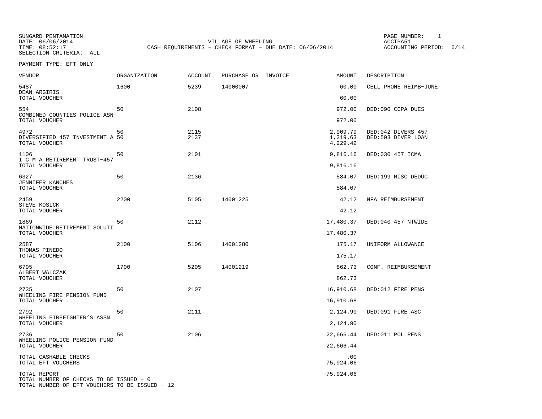SELECTION CRITERIA: ALL

SUNGARD PENTAMATION PAGE NUMBER: 1DATE: 06/06/2014 VILLAGE OF WHEELING ACCTPA51CASH REQUIREMENTS - CHECK FORMAT - DUE DATE: 06/06/2014

ACCOUNTING PERIOD: 6/14

PAYMENT TYPE: EFT ONLY

| VENDOR                                                                                                    | <b>ORGANIZATION</b> | <b>ACCOUNT</b> | PURCHASE OR INVOICE | <b>AMOUNT</b>                    | DESCRIPTION                              |
|-----------------------------------------------------------------------------------------------------------|---------------------|----------------|---------------------|----------------------------------|------------------------------------------|
| 5487<br>DEAN ARGIRIS                                                                                      | 1600                | 5239           | 14000007            | 60.00                            | CELL PHONE REIMB-JUNE                    |
| TOTAL VOUCHER                                                                                             |                     |                |                     | 60.00                            |                                          |
| 554<br>COMBINED COUNTIES POLICE ASN                                                                       | 50                  | 2108           |                     | 972.00                           | DED:090 CCPA DUES                        |
| TOTAL VOUCHER                                                                                             |                     |                |                     | 972.00                           |                                          |
| 4972<br>DIVERSIFIED 457 INVESTMENT A 50<br>TOTAL VOUCHER                                                  | 50                  | 2115<br>2137   |                     | 2,909.79<br>1,319.63<br>4,229.42 | DED:042 DIVERS 457<br>DED:503 DIVER LOAN |
| 1106<br>I C M A RETIREMENT TRUST-457<br>TOTAL VOUCHER                                                     | 50                  | 2101           |                     | 9,816.16<br>9,816.16             | DED:030 457 ICMA                         |
|                                                                                                           |                     |                |                     |                                  |                                          |
| 6327<br>JENNIFER KANCHES<br>TOTAL VOUCHER                                                                 | 50                  | 2136           |                     | 584.07<br>584.07                 | DED:199 MISC DEDUC                       |
|                                                                                                           |                     |                |                     |                                  |                                          |
| 2459<br>STEVE KOSICK<br>TOTAL VOUCHER                                                                     | 2200                | 5105           | 14001225            | 42.12<br>42.12                   | NFA REIMBURSEMENT                        |
|                                                                                                           |                     |                |                     |                                  |                                          |
| 1869<br>NATIONWIDE RETIREMENT SOLUTI<br>TOTAL VOUCHER                                                     | 50                  | 2112           |                     | 17,480.37                        | DED:040 457 NTWIDE                       |
|                                                                                                           |                     |                |                     | 17,480.37                        |                                          |
| 2587<br>THOMAS PINEDO                                                                                     | 2100                | 5106           | 14001280            | 175.17<br>175.17                 | UNIFORM ALLOWANCE                        |
| TOTAL VOUCHER                                                                                             |                     |                |                     |                                  |                                          |
| 6795<br>ALBERT WALCZAK                                                                                    | 1700                | 5205           | 14001219            | 862.73                           | CONF. REIMBURSEMENT                      |
| TOTAL VOUCHER                                                                                             |                     |                |                     | 862.73                           |                                          |
| 2735<br>WHEELING FIRE PENSION FUND                                                                        | 50                  | 2107           |                     | 16,910.68                        | DED:012 FIRE PENS                        |
| TOTAL VOUCHER                                                                                             |                     |                |                     | 16,910.68                        |                                          |
| 2792<br>WHEELING FIREFIGHTER'S ASSN                                                                       | 50                  | 2111           |                     | 2,124.90                         | DED:091 FIRE ASC                         |
| TOTAL VOUCHER                                                                                             |                     |                |                     | 2,124.90                         |                                          |
| 2736<br>WHEELING POLICE PENSION FUND                                                                      | 50                  | 2106           |                     | 22,666.44                        | DED:011 POL PENS                         |
| TOTAL VOUCHER                                                                                             |                     |                |                     | 22,666.44                        |                                          |
| TOTAL CASHABLE CHECKS<br>TOTAL EFT VOUCHERS                                                               |                     |                |                     | .00<br>75,924.06                 |                                          |
| TOTAL REPORT<br>TOTAL NUMBER OF CHECKS TO BE ISSUED - 0<br>TOTAL NUMBER OF EFT VOUCHERS TO BE ISSUED - 12 |                     |                |                     | 75,924.06                        |                                          |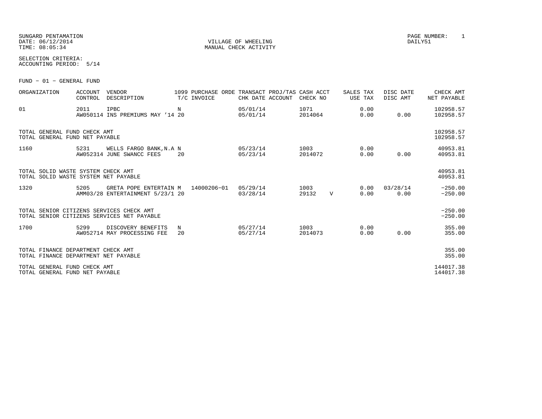|                | SUNGARD PENTAMATION |
|----------------|---------------------|
|                | DATE: 06/12/2014    |
| TIME: 08:05:34 |                     |

VILLAGE OF WHEELING **DAILY51** MANUAL CHECK ACTIVITY

SELECTION CRITERIA:ACCOUNTING PERIOD: 5/14

FUND − 01 − GENERAL FUND

| ORGANIZATION                                                               | <b>ACCOUNT</b><br>CONTROL | <b>VENDOR</b><br>DESCRIPTION                               |         | 1099 PURCHASE ORDE TRANSACT PROJ/TAS CASH ACCT<br>T/C INVOICE | CHK DATE ACCOUNT     | CHECK NO        |              | SALES TAX<br>USE TAX | DISC DATE<br>DISC AMT | CHECK AMT<br>NET PAYABLE |
|----------------------------------------------------------------------------|---------------------------|------------------------------------------------------------|---------|---------------------------------------------------------------|----------------------|-----------------|--------------|----------------------|-----------------------|--------------------------|
| 01                                                                         | 2011                      | <b>IPBC</b><br>AW050114 INS PREMIUMS MAY '14 20            | N       |                                                               | 05/01/14<br>05/01/14 | 1071<br>2014064 |              | 0.00<br>0.00         | 0.00                  | 102958.57<br>102958.57   |
| TOTAL GENERAL FUND CHECK AMT<br>TOTAL GENERAL FUND NET PAYABLE             |                           |                                                            |         |                                                               |                      |                 |              |                      |                       | 102958.57<br>102958.57   |
| 1160                                                                       | 5231                      | WELLS FARGO BANK, N.A N<br>AW052314 JUNE SWANCC FEES       | 20      |                                                               | 05/23/14<br>05/23/14 | 1003<br>2014072 |              | 0.00<br>0.00         | 0.00                  | 40953.81<br>40953.81     |
| TOTAL SOLID WASTE SYSTEM CHECK AMT<br>TOTAL SOLID WASTE SYSTEM NET PAYABLE |                           |                                                            |         |                                                               |                      |                 |              |                      |                       | 40953.81<br>40953.81     |
| 1320                                                                       | 5205                      | GRETA POPE ENTERTAIN M<br>AMM03/28 ENTERTAINMENT 5/23/1 20 |         | 14000206-01                                                   | 05/29/14<br>03/28/14 | 1003<br>29132   | $\mathbf{V}$ | 0.00<br>0.00         | 03/28/14<br>0.00      | $-250.00$<br>$-250.00$   |
| TOTAL SENIOR CITIZENS SERVICES CHECK AMT                                   |                           | TOTAL SENIOR CITIZENS SERVICES NET PAYABLE                 |         |                                                               |                      |                 |              |                      |                       | $-250.00$<br>$-250.00$   |
| 1700                                                                       | 5299                      | DISCOVERY BENEFITS<br>AW052714 MAY PROCESSING FEE          | N<br>20 |                                                               | 05/27/14<br>05/27/14 | 1003<br>2014073 |              | 0.00<br>0.00         | 0.00                  | 355.00<br>355.00         |
| TOTAL FINANCE DEPARTMENT CHECK AMT<br>TOTAL FINANCE DEPARTMENT NET PAYABLE |                           |                                                            |         |                                                               |                      |                 |              |                      |                       | 355.00<br>355.00         |
| TOTAL GENERAL FUND CHECK AMT<br>TOTAL GENERAL FUND NET PAYABLE             |                           |                                                            |         |                                                               |                      |                 |              |                      |                       | 144017.38<br>144017.38   |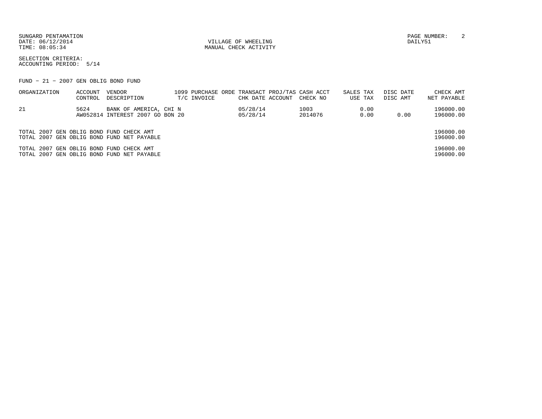DATE: 06/12/2014 VILLAGE OF WHEELING DAILY51

MANUAL CHECK ACTIVITY

SUNGARD PENTAMATION PAGE NUMBER: 2

SELECTION CRITERIA:ACCOUNTING PERIOD: 5/14

FUND − 21 − 2007 GEN OBLIG BOND FUND

| ORGANIZATION                             | ACCOUNT<br>CONTROL | VENDOR<br>DESCRIPTION                                      | T/C INVOICE | CHK DATE ACCOUNT     | 1099 PURCHASE ORDE TRANSACT PROJ/TAS CASH ACCT<br>CHECK NO | SALES TAX<br>USE TAX | DISC DATE<br>DISC AMT | CHECK AMT<br>NET PAYABLE |
|------------------------------------------|--------------------|------------------------------------------------------------|-------------|----------------------|------------------------------------------------------------|----------------------|-----------------------|--------------------------|
| -21                                      | 5624               | BANK OF AMERICA, CHI N<br>AW052814 INTEREST 2007 GO BON 20 |             | 05/28/14<br>05/28/14 | 1003<br>2014076                                            | 0.00<br>0.00         | 0.00                  | 196000.00<br>196000.00   |
| TOTAL 2007 GEN OBLIG BOND FUND CHECK AMT |                    | TOTAL 2007 GEN OBLIG BOND FUND NET PAYABLE                 |             |                      |                                                            |                      |                       | 196000.00<br>196000.00   |
| TOTAL 2007 GEN OBLIG BOND FUND CHECK AMT |                    | TOTAL 2007 GEN OBLIG BOND FUND NET PAYABLE                 |             |                      |                                                            |                      |                       | 196000.00<br>196000.00   |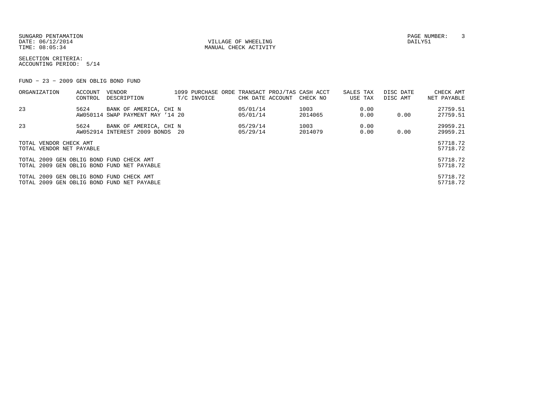SUNGARD PENTAMATION PAGE NUMBER: 3DATE: 06/12/2014 VILLAGE OF WHEELING DAILY51

MANUAL CHECK ACTIVITY

SELECTION CRITERIA:ACCOUNTING PERIOD: 5/14

FUND − 23 − 2009 GEN OBLIG BOND FUND

| ORGANIZATION                             | ACCOUNT | VENDOR                                     |             |                  | 1099 PURCHASE ORDE TRANSACT PROJ/TAS CASH ACCT | SALES TAX | DISC DATE | CHECK AMT   |
|------------------------------------------|---------|--------------------------------------------|-------------|------------------|------------------------------------------------|-----------|-----------|-------------|
|                                          | CONTROL | DESCRIPTION                                | T/C INVOICE | CHK DATE ACCOUNT | CHECK NO                                       | USE TAX   | DISC AMT  | NET PAYABLE |
| 23                                       | 5624    | BANK OF AMERICA, CHI N                     |             | 05/01/14         | 1003                                           | 0.00      |           | 27759.51    |
|                                          |         | AW050114 SWAP PAYMENT MAY '14 20           |             | 05/01/14         | 2014065                                        | 0.00      | 0.00      | 27759.51    |
| 23                                       | 5624    | BANK OF AMERICA, CHI N                     |             | 05/29/14         | 1003                                           | 0.00      |           | 29959.21    |
|                                          |         | AW052914 INTEREST 2009 BONDS 20            |             | 05/29/14         | 2014079                                        | 0.00      | 0.00      | 29959.21    |
| TOTAL VENDOR CHECK AMT                   |         |                                            |             |                  |                                                |           |           | 57718.72    |
| TOTAL VENDOR NET PAYABLE                 |         |                                            |             |                  |                                                |           |           | 57718.72    |
| TOTAL 2009 GEN OBLIG BOND FUND CHECK AMT |         |                                            |             |                  |                                                |           |           | 57718.72    |
|                                          |         | TOTAL 2009 GEN OBLIG BOND FUND NET PAYABLE |             |                  |                                                |           |           | 57718.72    |
| TOTAL 2009 GEN OBLIG BOND FUND CHECK AMT |         |                                            |             |                  |                                                |           |           | 57718.72    |
|                                          |         | TOTAL 2009 GEN OBLIG BOND FUND NET PAYABLE |             |                  |                                                |           |           | 57718.72    |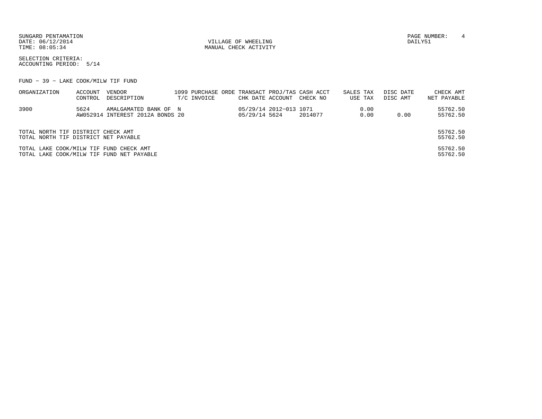SUNGARD PENTAMATION PAGE NUMBER: 4 DATE: 06/12/2014 VILLAGE OF WHEELING DAILY51

MANUAL CHECK ACTIVITY

SELECTION CRITERIA:ACCOUNTING PERIOD: 5/14

FUND − 39 − LAKE COOK/MILW TIF FUND

| ORGANIZATION                            | ACCOUNT | VENDOR                                    |             |               |                        | 1099 PURCHASE ORDE TRANSACT PROJ/TAS CASH ACCT | SALES TAX |         | DISC DATE | CHECK AMT   |
|-----------------------------------------|---------|-------------------------------------------|-------------|---------------|------------------------|------------------------------------------------|-----------|---------|-----------|-------------|
|                                         | CONTROL | DESCRIPTION                               | T/C INVOICE |               |                        | CHK DATE ACCOUNT CHECK NO                      |           | USE TAX | DISC AMT  | NET PAYABLE |
| 3900                                    | 5624    | AMALGAMATED BANK OF N                     |             |               | 05/29/14 2012-013 1071 |                                                |           | 0.00    |           | 55762.50    |
|                                         |         | AW052914 INTEREST 2012A BONDS 20          |             | 05/29/14 5624 |                        | 2014077                                        |           | 0.00    | 0.00      | 55762.50    |
| TOTAL NORTH TIF DISTRICT CHECK AMT      |         |                                           |             |               |                        |                                                |           |         |           | 55762.50    |
| TOTAL NORTH TIF DISTRICT NET PAYABLE    |         |                                           |             |               |                        |                                                |           |         |           | 55762.50    |
| TOTAL LAKE COOK/MILW TIF FUND CHECK AMT |         |                                           |             |               |                        |                                                |           |         |           | 55762.50    |
|                                         |         | TOTAL LAKE COOK/MILW TIF FUND NET PAYABLE |             |               |                        |                                                |           |         |           | 55762.50    |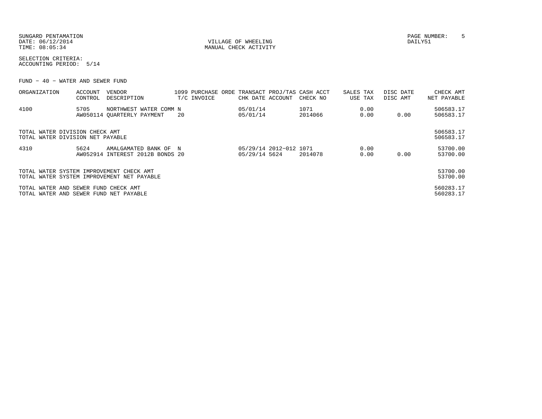| SUNGARD PENTAMATION |
|---------------------|
| DATE: 06/12/2014    |
| TIME: 08:05:34      |

VILLAGE OF WHEELING **DAILY51** MANUAL CHECK ACTIVITY

SELECTION CRITERIA:ACCOUNTING PERIOD: 5/14

FUND − 40 − WATER AND SEWER FUND

| ORGANIZATION                                                                   | ACCOUNT | <b>VENDOR</b>                              |     |             |                        | 1099 PURCHASE ORDE TRANSACT PROJ/TAS CASH ACCT | SALES TAX | DISC DATE | CHECK AMT              |
|--------------------------------------------------------------------------------|---------|--------------------------------------------|-----|-------------|------------------------|------------------------------------------------|-----------|-----------|------------------------|
|                                                                                | CONTROL | DESCRIPTION                                |     | T/C INVOICE | CHK DATE ACCOUNT       | CHECK NO                                       | USE TAX   | DISC AMT  | NET PAYABLE            |
| 4100                                                                           | 5705    | NORTHWEST WATER COMM N                     |     |             | 05/01/14               | 1071                                           | 0.00      |           | 506583.17              |
|                                                                                |         | AW050114 OUARTERLY PAYMENT                 | -20 |             | 05/01/14               | 2014066                                        | 0.00      | 0.00      | 506583.17              |
|                                                                                |         |                                            |     |             |                        |                                                |           |           |                        |
| TOTAL WATER DIVISION CHECK AMT                                                 |         |                                            |     |             |                        |                                                |           |           | 506583.17              |
| TOTAL WATER DIVISION NET PAYABLE                                               |         |                                            |     |             |                        |                                                |           |           | 506583.17              |
| 4310                                                                           | 5624    | AMALGAMATED BANK OF N                      |     |             | 05/29/14 2012-012 1071 |                                                | 0.00      |           | 53700.00               |
|                                                                                |         | AW052914 INTEREST 2012B BONDS 20           |     |             | 05/29/14 5624          | 2014078                                        | 0.00      | 0.00      | 53700.00               |
|                                                                                |         |                                            |     |             |                        |                                                |           |           |                        |
| TOTAL WATER SYSTEM IMPROVEMENT CHECK AMT                                       |         |                                            |     |             |                        |                                                |           |           | 53700.00               |
|                                                                                |         | TOTAL WATER SYSTEM IMPROVEMENT NET PAYABLE |     |             |                        |                                                |           |           | 53700.00               |
|                                                                                |         |                                            |     |             |                        |                                                |           |           |                        |
| TOTAL WATER AND SEWER FUND CHECK AMT<br>TOTAL WATER AND SEWER FUND NET PAYABLE |         |                                            |     |             |                        |                                                |           |           | 560283.17<br>560283.17 |
|                                                                                |         |                                            |     |             |                        |                                                |           |           |                        |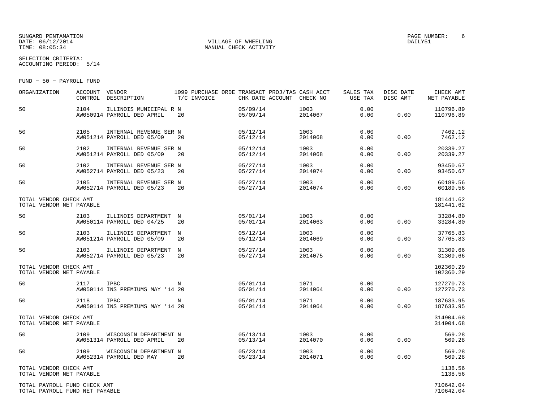#### SUNGARD PENTAMATION PAGE NUMBER: 6DATE: 06/12/2014 VILLAGE OF WHEELING DAILY51

MANUAL CHECK ACTIVITY

SELECTION CRITERIA:ACCOUNTING PERIOD: 5/14

FUND − 50 − PAYROLL FUND

| ORGANIZATION                                                   | <b>ACCOUNT</b><br>CONTROL | VENDOR<br>DESCRIPTION                                | 1099 PURCHASE ORDE TRANSACT PROJ/TAS CASH ACCT<br>T/C INVOICE | CHK DATE ACCOUNT     | CHECK NO        | SALES TAX<br>USE TAX | DISC DATE<br>DISC AMT | CHECK AMT<br>NET PAYABLE |
|----------------------------------------------------------------|---------------------------|------------------------------------------------------|---------------------------------------------------------------|----------------------|-----------------|----------------------|-----------------------|--------------------------|
| 50                                                             | 2104                      | ILLINOIS MUNICIPAL R N<br>AW050914 PAYROLL DED APRIL | 20                                                            | 05/09/14<br>05/09/14 | 1003<br>2014067 | 0.00<br>0.00         | 0.00                  | 110796.89<br>110796.89   |
| 50                                                             | 2105                      | INTERNAL REVENUE SER N<br>AW051214 PAYROLL DED 05/09 | 20                                                            | 05/12/14<br>05/12/14 | 1003<br>2014068 | 0.00<br>0.00         | 0.00                  | 7462.12<br>7462.12       |
| 50                                                             | 2102                      | INTERNAL REVENUE SER N<br>AW051214 PAYROLL DED 05/09 | 20                                                            | 05/12/14<br>05/12/14 | 1003<br>2014068 | 0.00<br>0.00         | 0.00                  | 20339.27<br>20339.27     |
| 50                                                             | 2102                      | INTERNAL REVENUE SER N<br>AW052714 PAYROLL DED 05/23 | 20                                                            | 05/27/14<br>05/27/14 | 1003<br>2014074 | 0.00<br>0.00         | 0.00                  | 93450.67<br>93450.67     |
| 50                                                             | 2105                      | INTERNAL REVENUE SER N<br>AW052714 PAYROLL DED 05/23 | 20                                                            | 05/27/14<br>05/27/14 | 1003<br>2014074 | 0.00<br>0.00         | 0.00                  | 60189.56<br>60189.56     |
| TOTAL VENDOR CHECK AMT<br>TOTAL VENDOR NET PAYABLE             |                           |                                                      |                                                               |                      |                 |                      |                       | 181441.62<br>181441.62   |
| 50                                                             | 2103                      | ILLINOIS DEPARTMENT<br>AW050114 PAYROLL DED 04/25    | N<br>20                                                       | 05/01/14<br>05/01/14 | 1003<br>2014063 | 0.00<br>0.00         | 0.00                  | 33284.80<br>33284.80     |
| 50                                                             | 2103                      | ILLINOIS DEPARTMENT<br>AW051214 PAYROLL DED 05/09    | N<br>20                                                       | 05/12/14<br>05/12/14 | 1003<br>2014069 | 0.00<br>0.00         | 0.00                  | 37765.83<br>37765.83     |
| 50                                                             | 2103                      | ILLINOIS DEPARTMENT<br>AW052714 PAYROLL DED 05/23    | N<br>20                                                       | 05/27/14<br>05/27/14 | 1003<br>2014075 | 0.00<br>0.00         | 0.00                  | 31309.66<br>31309.66     |
| TOTAL VENDOR CHECK AMT<br>TOTAL VENDOR NET PAYABLE             |                           |                                                      |                                                               |                      |                 |                      |                       | 102360.29<br>102360.29   |
| 50                                                             | 2117                      | <b>IPBC</b><br>AW050114 INS PREMIUMS MAY '14 20      | N                                                             | 05/01/14<br>05/01/14 | 1071<br>2014064 | 0.00<br>0.00         | 0.00                  | 127270.73<br>127270.73   |
| 50                                                             | 2118                      | <b>IPBC</b><br>AW050114 INS PREMIUMS MAY '14 20      | N                                                             | 05/01/14<br>05/01/14 | 1071<br>2014064 | 0.00<br>0.00         | 0.00                  | 187633.95<br>187633.95   |
| TOTAL VENDOR CHECK AMT<br>TOTAL VENDOR NET PAYABLE             |                           |                                                      |                                                               |                      |                 |                      |                       | 314904.68<br>314904.68   |
| 50                                                             | 2109                      | WISCONSIN DEPARTMENT N<br>AW051314 PAYROLL DED APRIL | 20                                                            | 05/13/14<br>05/13/14 | 1003<br>2014070 | 0.00<br>0.00         | 0.00                  | 569.28<br>569.28         |
| 50                                                             | 2109                      | WISCONSIN DEPARTMENT N<br>AW052314 PAYROLL DED MAY   | 20                                                            | 05/23/14<br>05/23/14 | 1003<br>2014071 | 0.00<br>0.00         | 0.00                  | 569.28<br>569.28         |
| TOTAL VENDOR CHECK AMT<br>TOTAL VENDOR NET PAYABLE             |                           |                                                      |                                                               |                      |                 |                      |                       | 1138.56<br>1138.56       |
| TOTAL PAYROLL FUND CHECK AMT<br>TOTAL PAYROLL FUND NET PAYABLE |                           |                                                      |                                                               |                      |                 |                      |                       | 710642.04<br>710642.04   |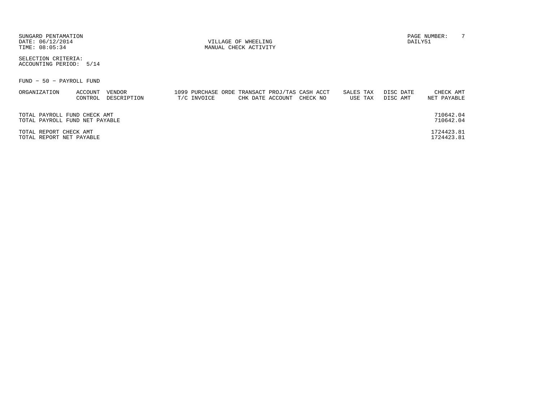| SUNGARD PENTAMATION<br>DATE: 06/12/2014<br>TIME: 08:05:34      |                    |                       |             | VILLAGE OF WHEELING<br>MANUAL CHECK ACTIVITY |                                                            |                      | DAILY51               | PAGE NUMBER:             | 7 |
|----------------------------------------------------------------|--------------------|-----------------------|-------------|----------------------------------------------|------------------------------------------------------------|----------------------|-----------------------|--------------------------|---|
| SELECTION CRITERIA:<br>ACCOUNTING PERIOD:                      | 5/14               |                       |             |                                              |                                                            |                      |                       |                          |   |
| FUND - 50 - PAYROLL FUND                                       |                    |                       |             |                                              |                                                            |                      |                       |                          |   |
| ORGANIZATION                                                   | ACCOUNT<br>CONTROL | VENDOR<br>DESCRIPTION | T/C INVOICE | CHK DATE ACCOUNT                             | 1099 PURCHASE ORDE TRANSACT PROJ/TAS CASH ACCT<br>CHECK NO | SALES TAX<br>USE TAX | DISC DATE<br>DISC AMT | CHECK AMT<br>NET PAYABLE |   |
| TOTAL PAYROLL FUND CHECK AMT<br>TOTAL PAYROLL FUND NET PAYABLE |                    |                       |             |                                              |                                                            |                      |                       | 710642.04<br>710642.04   |   |
| TOTAL REPORT CHECK AMT<br>TOTAL REPORT NET PAYABLE             |                    |                       |             |                                              |                                                            |                      |                       | 1724423.81<br>1724423.81 |   |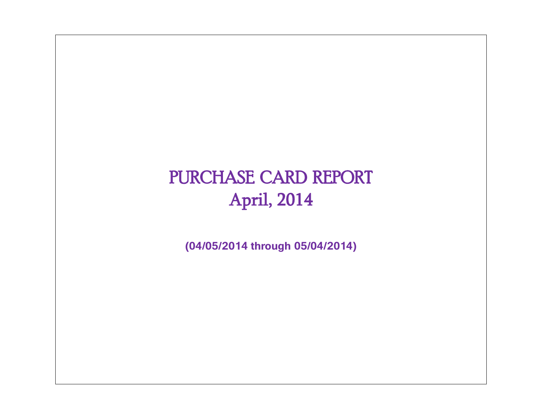# PURCHASE CARD REPORT April, 2014

**(04/05/2014 through 05/04/2014)**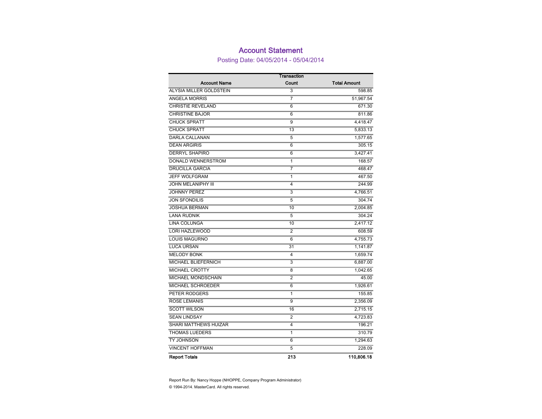### Account Statement

Posting Date: 04/05/2014 - 05/04/2014

|                              | Transaction    |                     |
|------------------------------|----------------|---------------------|
| <b>Account Name</b>          | Count          | <b>Total Amount</b> |
| ALYSIA MILLER GOLDSTEIN      | 3              | 598.85              |
| <b>ANGELA MORRIS</b>         | 7              | 51,967.54           |
| <b>CHRISTIE REVELAND</b>     | 6              | 671.30              |
| <b>CHRISTINE BAJOR</b>       | 6              | 811.86              |
| <b>CHUCK SPRATT</b>          | 9              | 4,418.47            |
| <b>CHUCK SPRATT</b>          | 13             | 5,833.13            |
| <b>DARLA CALLANAN</b>        | 5              | 1,577.65            |
| <b>DEAN ARGIRIS</b>          | 6              | 305.15              |
| <b>DERRYL SHAPIRO</b>        | 6              | 3,427.41            |
| DONALD WENNERSTROM           | 1              | 168.57              |
| <b>DRUCILLA GARCIA</b>       | 7              | 468.47              |
| <b>JEFF WOLFGRAM</b>         | 1              | 467.50              |
| <b>JOHN MELANIPHY III</b>    | 4              | 244.99              |
| <b>JOHNNY PEREZ</b>          | 3              | 4,766.51            |
| <b>JON SFONDILIS</b>         | 5              | 304.74              |
| <b>JOSHUA BERMAN</b>         | 10             | 2,004.85            |
| <b>LANA RUDNIK</b>           | 5              | 304.24              |
| <b>LINA COLUNGA</b>          | 10             | 2,417.12            |
| <b>LORI HAZLEWOOD</b>        | 2              | 608.59              |
| <b>LOUIS MAGURNO</b>         | 6              | 4,755.73            |
| <b>LUCA URSAN</b>            | 31             | 1,141.87            |
| <b>MELODY BONK</b>           | 4              | 1,659.74            |
| MICHAEL BLIEFERNICH          | 3              | 6,887.00            |
| <b>MICHAEL CROTTY</b>        | 8              | 1,042.65            |
| <b>MICHAEL MONDSCHAIN</b>    | $\overline{2}$ | 45.00               |
| <b>MICHAEL SCHROEDER</b>     | 6              | 1,926.61            |
| PETER RODGERS                | 1              | 155.85              |
| <b>ROSE LEMANIS</b>          | $\overline{9}$ | 2,356.09            |
| <b>SCOTT WILSON</b>          | 16             | 2,715.15            |
| <b>SEAN LINDSAY</b>          | 2              | 4,723.83            |
| <b>SHARI MATTHEWS HUIZAR</b> | 4              | 196.21              |
| <b>THOMAS LUEDERS</b>        | 1              | 310.79              |
| <b>TY JOHNSON</b>            | 6              | 1,294.63            |
| <b>VINCENT HOFFMAN</b>       | 5              | 228.09              |
| <b>Report Totals</b>         | 213            | 110,806.18          |

© 1994-2014. MasterCard. All rights reserved. Report Run By: Nancy Hoppe (NHOPPE, Company Program Administrator)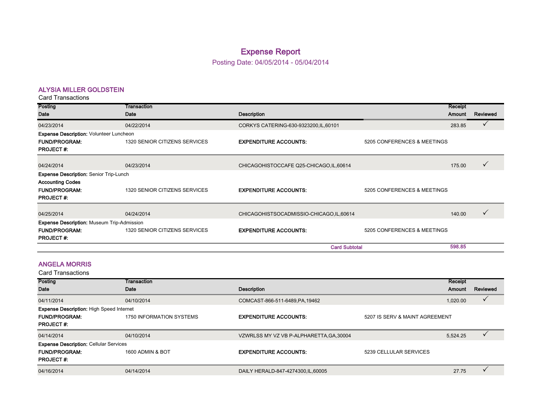## Expense Report

Posting Date: 04/05/2014 - 05/04/2014

#### ALYSIA MILLER GOLDSTEIN

Card Transactions

| Posting                                        | Transaction                   |                                          |                             | Receipt |              |
|------------------------------------------------|-------------------------------|------------------------------------------|-----------------------------|---------|--------------|
| Date                                           | Date                          | <b>Description</b>                       |                             | Amount  | Reviewed     |
| 04/23/2014                                     | 04/22/2014                    | CORKYS CATERING-630-9323200, IL, 60101   |                             | 283.85  |              |
| <b>Expense Description: Volunteer Luncheon</b> |                               |                                          |                             |         |              |
| <b>FUND/PROGRAM:</b>                           | 1320 SENIOR CITIZENS SERVICES | <b>EXPENDITURE ACCOUNTS:</b>             | 5205 CONFERENCES & MEETINGS |         |              |
| <b>PROJECT#:</b>                               |                               |                                          |                             |         |              |
| 04/24/2014                                     | 04/23/2014                    |                                          |                             | 175.00  | $\checkmark$ |
|                                                |                               | CHICAGOHISTOCCAFE Q25-CHICAGO, IL, 60614 |                             |         |              |
| <b>Expense Description: Senior Trip-Lunch</b>  |                               |                                          |                             |         |              |
| <b>Accounting Codes</b>                        |                               |                                          |                             |         |              |
| <b>FUND/PROGRAM:</b>                           | 1320 SENIOR CITIZENS SERVICES | <b>EXPENDITURE ACCOUNTS:</b>             | 5205 CONFERENCES & MEETINGS |         |              |
| <b>PROJECT#:</b>                               |                               |                                          |                             |         |              |
|                                                |                               |                                          |                             |         |              |
| 04/25/2014                                     | 04/24/2014                    | CHICAGOHISTSOCADMISSIO-CHICAGO,IL,60614  |                             | 140.00  |              |
| Expense Description: Museum Trip-Admission     |                               |                                          |                             |         |              |
| <b>FUND/PROGRAM:</b>                           | 1320 SENIOR CITIZENS SERVICES | <b>EXPENDITURE ACCOUNTS:</b>             | 5205 CONFERENCES & MEETINGS |         |              |
| <b>PROJECT#:</b>                               |                               |                                          |                             |         |              |
|                                                |                               | <b>Card Subtotal</b>                     |                             | 598.85  |              |

#### ANGELA MORRIS

| Posting                                         | Transaction              |                                          |                                | Receipt  |          |
|-------------------------------------------------|--------------------------|------------------------------------------|--------------------------------|----------|----------|
| Date                                            | Date                     | <b>Description</b>                       |                                | Amount   | Reviewed |
| 04/11/2014                                      | 04/10/2014               | COMCAST-866-511-6489, PA, 19462          |                                | 1,020.00 |          |
| <b>Expense Description: High Speed Internet</b> |                          |                                          |                                |          |          |
| <b>FUND/PROGRAM:</b>                            | 1750 INFORMATION SYSTEMS | <b>EXPENDITURE ACCOUNTS:</b>             | 5207 IS SERV & MAINT AGREEMENT |          |          |
| <b>PROJECT#:</b>                                |                          |                                          |                                |          |          |
| 04/14/2014                                      | 04/10/2014               | VZWRLSS MY VZ VB P-ALPHARETTA, GA, 30004 |                                | 5,524.25 |          |
| <b>Expense Description: Cellular Services</b>   |                          |                                          |                                |          |          |
| <b>FUND/PROGRAM:</b>                            | 1600 ADMIN & BOT         | <b>EXPENDITURE ACCOUNTS:</b>             | 5239 CELLULAR SERVICES         |          |          |
| <b>PROJECT#:</b>                                |                          |                                          |                                |          |          |
| 04/16/2014                                      | 04/14/2014               | DAILY HERALD-847-4274300, IL, 60005      |                                | 27.75    |          |
|                                                 |                          |                                          |                                |          |          |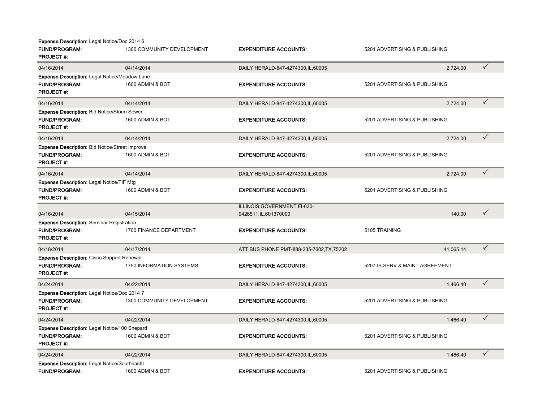| Expense Description: Legal Notice/Doc 2014 6                                                      |                                 |                                                       |                                |              |
|---------------------------------------------------------------------------------------------------|---------------------------------|-------------------------------------------------------|--------------------------------|--------------|
| <b>FUND/PROGRAM:</b><br><b>PROJECT#:</b>                                                          | 1300 COMMUNITY DEVELOPMENT      | <b>EXPENDITURE ACCOUNTS:</b>                          | 5201 ADVERTISING & PUBLISHING  |              |
| 04/16/2014                                                                                        | 04/14/2014                      | DAILY HERALD-847-4274300, IL, 60005                   | 2.724.00                       | $\checkmark$ |
| <b>Expense Description: Legal Notice/Meadow Lane</b><br><b>FUND/PROGRAM:</b><br><b>PROJECT#:</b>  | 1600 ADMIN & BOT                | <b>EXPENDITURE ACCOUNTS:</b>                          | 5201 ADVERTISING & PUBLISHING  |              |
| 04/16/2014                                                                                        | 04/14/2014                      | DAILY HERALD-847-4274300, IL, 60005                   | 2,724.00                       | $\checkmark$ |
| Expense Description: Bid Notice/Storm Sewer<br><b>FUND/PROGRAM:</b><br><b>PROJECT#:</b>           | 1600 ADMIN & BOT                | <b>EXPENDITURE ACCOUNTS:</b>                          | 5201 ADVERTISING & PUBLISHING  |              |
| 04/16/2014                                                                                        | 04/14/2014                      | DAILY HERALD-847-4274300, IL, 60005                   | 2,724.00                       | $\checkmark$ |
| <b>Expense Description: Bid Notice/Street Improve</b><br><b>FUND/PROGRAM:</b><br><b>PROJECT#:</b> | 1600 ADMIN & BOT                | <b>EXPENDITURE ACCOUNTS:</b>                          | 5201 ADVERTISING & PUBLISHING  |              |
| 04/16/2014                                                                                        | 04/14/2014                      | DAILY HERALD-847-4274300, IL, 60005                   | 2,724.00                       | $\checkmark$ |
| <b>Expense Description: Legal Notice/TIF Mtg</b><br><b>FUND/PROGRAM:</b><br><b>PROJECT#:</b>      | 1600 ADMIN & BOT                | <b>EXPENDITURE ACCOUNTS:</b>                          | 5201 ADVERTISING & PUBLISHING  |              |
| 04/16/2014                                                                                        | 04/15/2014                      | ILLINOIS GOVERNMENT FI-630-<br>9426511, IL, 601370000 | 140.00                         | $\checkmark$ |
| <b>Expense Description: Seminar Registration</b><br><b>FUND/PROGRAM:</b><br><b>PROJECT#:</b>      | 1700 FINANCE DEPARTMENT         | <b>EXPENDITURE ACCOUNTS:</b>                          | 5105 TRAINING                  |              |
| 04/18/2014                                                                                        | 04/17/2014                      | ATT BUS PHONE PMT-888-235-7602, TX, 75202             | 41.065.14                      | $\checkmark$ |
| <b>Expense Description: Cisco Support Renewal</b><br><b>FUND/PROGRAM:</b><br><b>PROJECT#:</b>     | <b>1750 INFORMATION SYSTEMS</b> | <b>EXPENDITURE ACCOUNTS:</b>                          | 5207 IS SERV & MAINT AGREEMENT |              |
| 04/24/2014                                                                                        | 04/22/2014                      | DAILY HERALD-847-4274300, IL, 60005                   | 1.466.40                       | $\checkmark$ |
| <b>Expense Description: Legal Notice/Doc 2014 7</b><br><b>FUND/PROGRAM:</b><br><b>PROJECT#:</b>   | 1300 COMMUNITY DEVELOPMENT      | <b>EXPENDITURE ACCOUNTS:</b>                          | 5201 ADVERTISING & PUBLISHING  |              |
| 04/24/2014                                                                                        | 04/22/2014                      | DAILY HERALD-847-4274300, IL, 60005                   | 1,466.40                       | $\checkmark$ |
| <b>Expense Description: Legal Notice/100 Shepard</b><br><b>FUND/PROGRAM:</b><br><b>PROJECT#:</b>  | 1600 ADMIN & BOT                | <b>EXPENDITURE ACCOUNTS:</b>                          | 5201 ADVERTISING & PUBLISHING  |              |
| 04/24/2014                                                                                        | 04/22/2014                      | DAILY HERALD-847-4274300, IL, 60005                   | 1,466.40                       | $\checkmark$ |
| <b>Expense Description: Legal Notice/SoutheastII</b><br><b>FUND/PROGRAM:</b>                      | 1600 ADMIN & BOT                | <b>EXPENDITURE ACCOUNTS:</b>                          | 5201 ADVERTISING & PUBLISHING  |              |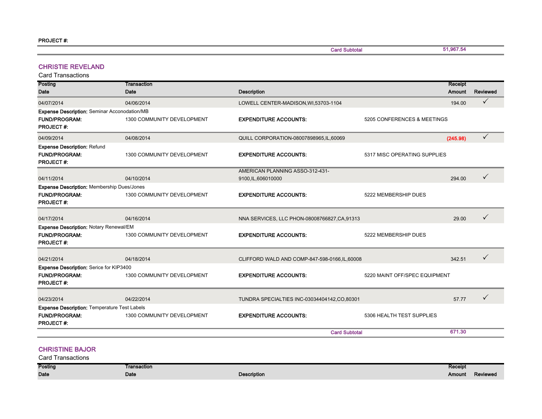Card Subtotal

51,967.54

#### CHRISTIE REVELAND

Card Transactions

| Posting                                                        | Transaction                |                                                |                               | Receipt  |              |
|----------------------------------------------------------------|----------------------------|------------------------------------------------|-------------------------------|----------|--------------|
| Date                                                           | Date                       | <b>Description</b>                             |                               | Amount   | Reviewed     |
| 04/07/2014                                                     | 04/06/2014                 | LOWELL CENTER-MADISON, WI,53703-1104           |                               | 194.00   | $\checkmark$ |
| Expense Description: Seminar Acconodation/MB                   |                            |                                                |                               |          |              |
| <b>FUND/PROGRAM:</b>                                           | 1300 COMMUNITY DEVELOPMENT | <b>EXPENDITURE ACCOUNTS:</b>                   | 5205 CONFERENCES & MEETINGS   |          |              |
| <b>PROJECT#:</b>                                               |                            |                                                |                               |          |              |
| 04/09/2014                                                     | 04/08/2014                 | QUILL CORPORATION-08007898965, IL, 60069       |                               | (245.98) | ✓            |
| <b>Expense Description: Refund</b>                             |                            |                                                |                               |          |              |
| <b>FUND/PROGRAM:</b>                                           | 1300 COMMUNITY DEVELOPMENT | <b>EXPENDITURE ACCOUNTS:</b>                   | 5317 MISC OPERATING SUPPLIES  |          |              |
| <b>PROJECT#:</b>                                               |                            |                                                |                               |          |              |
|                                                                |                            | AMERICAN PLANNING ASSO-312-431-                |                               |          |              |
| 04/11/2014                                                     | 04/10/2014                 | 9100, IL, 606010000                            |                               | 294.00   | ✓            |
| <b>Expense Description: Membership Dues/Jones</b>              |                            |                                                |                               |          |              |
| <b>FUND/PROGRAM:</b>                                           | 1300 COMMUNITY DEVELOPMENT | <b>EXPENDITURE ACCOUNTS:</b>                   | 5222 MEMBERSHIP DUES          |          |              |
| PROJECT#:                                                      |                            |                                                |                               |          |              |
| 04/17/2014                                                     | 04/16/2014                 |                                                |                               | 29.00    | $\checkmark$ |
|                                                                |                            | NNA SERVICES, LLC PHON-08008766827, CA, 91313  |                               |          |              |
| Expense Description: Notary Renewal/EM<br><b>FUND/PROGRAM:</b> | 1300 COMMUNITY DEVELOPMENT | <b>EXPENDITURE ACCOUNTS:</b>                   | 5222 MEMBERSHIP DUES          |          |              |
| <b>PROJECT#</b>                                                |                            |                                                |                               |          |              |
|                                                                |                            |                                                |                               |          |              |
| 04/21/2014                                                     | 04/18/2014                 | CLIFFORD WALD AND COMP-847-598-0166, IL, 60008 |                               | 342.51   | $\checkmark$ |
| Expense Description: Serice for KIP3400                        |                            |                                                |                               |          |              |
| <b>FUND/PROGRAM:</b>                                           | 1300 COMMUNITY DEVELOPMENT | <b>EXPENDITURE ACCOUNTS:</b>                   | 5220 MAINT OFF/SPEC EQUIPMENT |          |              |
| <b>PROJECT#:</b>                                               |                            |                                                |                               |          |              |
|                                                                |                            |                                                |                               |          |              |
| 04/23/2014                                                     | 04/22/2014                 | TUNDRA SPECIALTIES INC-03034404142,CO,80301    |                               | 57.77    | $\checkmark$ |
| <b>Expense Description: Temperature Test Labels</b>            |                            |                                                |                               |          |              |
| <b>FUND/PROGRAM:</b>                                           | 1300 COMMUNITY DEVELOPMENT | <b>EXPENDITURE ACCOUNTS:</b>                   | 5306 HEALTH TEST SUPPLIES     |          |              |
| <b>PROJECT#:</b>                                               |                            |                                                |                               |          |              |
|                                                                |                            | <b>Card Subtotal</b>                           |                               | 671.30   |              |

#### CHRISTINE BAJOR

| <b>Posting</b> | Transaction<br>------------- |                    | Receipt |          |
|----------------|------------------------------|--------------------|---------|----------|
| Date           | Date                         | <b>Description</b> | Amount  | Reviewed |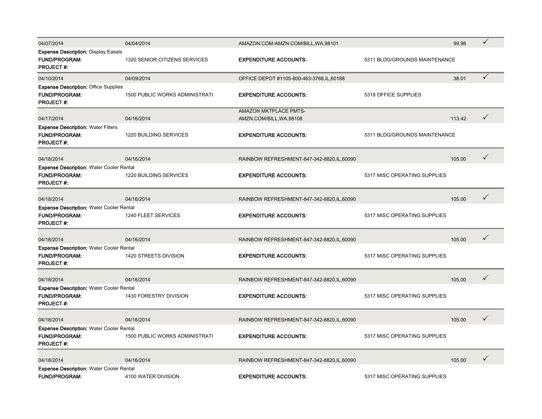| 04/07/2014                                                                                  | 04/04/2014                            | AMAZON.COM-AMZN.COM/BILL, WA, 98101                      |                               | 99.98  | $\checkmark$ |
|---------------------------------------------------------------------------------------------|---------------------------------------|----------------------------------------------------------|-------------------------------|--------|--------------|
| <b>Expense Description: Display Easels</b><br><b>FUND/PROGRAM:</b><br><b>PROJECT#:</b>      | 1320 SENIOR CITIZENS SERVICES         | <b>EXPENDITURE ACCOUNTS:</b>                             | 5311 BLDG/GROUNDS MAINTENANCE |        |              |
| 04/10/2014                                                                                  | 04/09/2014                            | OFFICE DEPOT #1105-800-463-3768, IL, 60188               |                               | 38.01  | $\checkmark$ |
| <b>Expense Description: Office Supplies</b><br><b>FUND/PROGRAM:</b><br><b>PROJECT#:</b>     | <b>1500 PUBLIC WORKS ADMINISTRATI</b> | <b>EXPENDITURE ACCOUNTS:</b>                             | 5318 OFFICE SUPPLIES          |        |              |
| 04/17/2014                                                                                  | 04/16/2014                            | <b>AMAZON MKTPLACE PMTS-</b><br>AMZN.COM/BILL, WA, 98108 |                               | 113.42 | $\checkmark$ |
| <b>Expense Description: Water Filters</b><br><b>FUND/PROGRAM:</b><br><b>PROJECT#:</b>       | 1220 BUILDING SERVICES                | <b>EXPENDITURE ACCOUNTS:</b>                             | 5311 BLDG/GROUNDS MAINTENANCE |        |              |
| 04/18/2014                                                                                  | 04/16/2014                            | RAINBOW REFRESHMENT-847-342-8820, IL, 60090              |                               | 105.00 | $\checkmark$ |
| <b>Expense Description: Water Cooler Rental</b><br><b>FUND/PROGRAM:</b><br><b>PROJECT#:</b> | 1220 BUILDING SERVICES                | <b>EXPENDITURE ACCOUNTS:</b>                             | 5317 MISC OPERATING SUPPLIES  |        |              |
| 04/18/2014                                                                                  | 04/16/2014                            | RAINBOW REFRESHMENT-847-342-8820, IL, 60090              |                               | 105.00 | ✓            |
| <b>Expense Description: Water Cooler Rental</b><br><b>FUND/PROGRAM:</b><br><b>PROJECT#:</b> | 1240 FLEET SERVICES                   | <b>EXPENDITURE ACCOUNTS:</b>                             | 5317 MISC OPERATING SUPPLIES  |        |              |
| 04/18/2014                                                                                  | 04/16/2014                            | RAINBOW REFRESHMENT-847-342-8820, IL, 60090              |                               | 105.00 | $\checkmark$ |
| Expense Description: Water Cooler Rental<br><b>FUND/PROGRAM:</b><br><b>PROJECT#:</b>        | 1420 STREETS DIVISION                 | <b>EXPENDITURE ACCOUNTS:</b>                             | 5317 MISC OPERATING SUPPLIES  |        |              |
| 04/18/2014                                                                                  | 04/16/2014                            | RAINBOW REFRESHMENT-847-342-8820, IL, 60090              |                               | 105.00 | $\checkmark$ |
| <b>Expense Description: Water Cooler Rental</b><br><b>FUND/PROGRAM:</b><br><b>PROJECT#:</b> | 1430 FORESTRY DIVISION                | <b>EXPENDITURE ACCOUNTS:</b>                             | 5317 MISC OPERATING SUPPLIES  |        |              |
| 04/18/2014                                                                                  | 04/16/2014                            | RAINBOW REFRESHMENT-847-342-8820, IL, 60090              |                               | 105.00 | ✓            |
| <b>Expense Description: Water Cooler Rental</b><br><b>FUND/PROGRAM:</b><br><b>PROJECT#:</b> | <b>1500 PUBLIC WORKS ADMINISTRATI</b> | <b>EXPENDITURE ACCOUNTS:</b>                             | 5317 MISC OPERATING SUPPLIES  |        |              |
| 04/18/2014                                                                                  | 04/16/2014                            | RAINBOW REFRESHMENT-847-342-8820, IL, 60090              |                               | 105.00 | $\checkmark$ |
| <b>Expense Description: Water Cooler Rental</b><br><b>FUND/PROGRAM:</b>                     | 4100 WATER DIVISION                   | <b>EXPENDITURE ACCOUNTS:</b>                             | 5317 MISC OPERATING SUPPLIES  |        |              |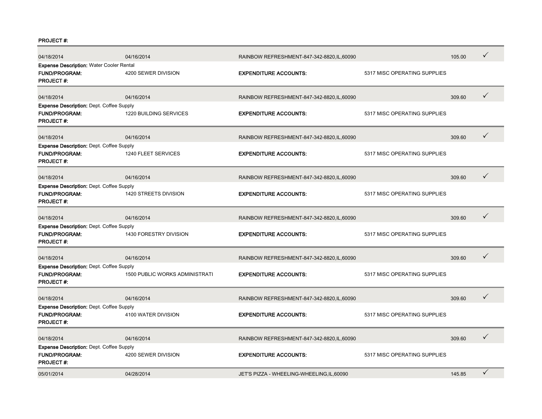#### PROJECT #:

| 04/18/2014                                                                                  | 04/16/2014                            | RAINBOW REFRESHMENT-847-342-8820, IL, 60090 |                              | 105.00 | ✓            |
|---------------------------------------------------------------------------------------------|---------------------------------------|---------------------------------------------|------------------------------|--------|--------------|
| <b>Expense Description: Water Cooler Rental</b><br><b>FUND/PROGRAM:</b><br><b>PROJECT#:</b> | 4200 SEWER DIVISION                   | <b>EXPENDITURE ACCOUNTS:</b>                | 5317 MISC OPERATING SUPPLIES |        |              |
| 04/18/2014                                                                                  | 04/16/2014                            | RAINBOW REFRESHMENT-847-342-8820, IL, 60090 |                              | 309.60 | ✓            |
| <b>Expense Description: Dept. Coffee Supply</b><br><b>FUND/PROGRAM:</b><br><b>PROJECT#:</b> | <b>1220 BUILDING SERVICES</b>         | <b>EXPENDITURE ACCOUNTS:</b>                | 5317 MISC OPERATING SUPPLIES |        |              |
| 04/18/2014                                                                                  | 04/16/2014                            | RAINBOW REFRESHMENT-847-342-8820, IL, 60090 |                              | 309.60 | $\checkmark$ |
| <b>Expense Description: Dept. Coffee Supply</b><br><b>FUND/PROGRAM:</b><br><b>PROJECT#:</b> | 1240 FLEET SERVICES                   | <b>EXPENDITURE ACCOUNTS:</b>                | 5317 MISC OPERATING SUPPLIES |        |              |
| 04/18/2014                                                                                  | 04/16/2014                            | RAINBOW REFRESHMENT-847-342-8820, IL, 60090 |                              | 309.60 | $\checkmark$ |
| <b>Expense Description: Dept. Coffee Supply</b><br>FUND/PROGRAM:<br><b>PROJECT#:</b>        | 1420 STREETS DIVISION                 | <b>EXPENDITURE ACCOUNTS:</b>                | 5317 MISC OPERATING SUPPLIES |        |              |
| 04/18/2014                                                                                  | 04/16/2014                            | RAINBOW REFRESHMENT-847-342-8820, IL, 60090 |                              | 309.60 | $\checkmark$ |
| <b>Expense Description: Dept. Coffee Supply</b><br><b>FUND/PROGRAM:</b><br><b>PROJECT#:</b> | 1430 FORESTRY DIVISION                | <b>EXPENDITURE ACCOUNTS:</b>                | 5317 MISC OPERATING SUPPLIES |        |              |
| 04/18/2014                                                                                  | 04/16/2014                            | RAINBOW REFRESHMENT-847-342-8820, IL, 60090 |                              | 309.60 | ✓            |
| <b>Expense Description: Dept. Coffee Supply</b><br><b>FUND/PROGRAM:</b><br><b>PROJECT#:</b> | <b>1500 PUBLIC WORKS ADMINISTRATI</b> | <b>EXPENDITURE ACCOUNTS:</b>                | 5317 MISC OPERATING SUPPLIES |        |              |
| 04/18/2014                                                                                  | 04/16/2014                            | RAINBOW REFRESHMENT-847-342-8820, IL, 60090 |                              | 309.60 | $\checkmark$ |
| <b>Expense Description: Dept. Coffee Supply</b><br><b>FUND/PROGRAM:</b><br><b>PROJECT#:</b> | 4100 WATER DIVISION                   | <b>EXPENDITURE ACCOUNTS:</b>                | 5317 MISC OPERATING SUPPLIES |        |              |
| 04/18/2014                                                                                  | 04/16/2014                            | RAINBOW REFRESHMENT-847-342-8820, IL, 60090 |                              | 309.60 | $\checkmark$ |
| <b>Expense Description: Dept. Coffee Supply</b><br><b>FUND/PROGRAM:</b><br><b>PROJECT#:</b> | 4200 SEWER DIVISION                   | <b>EXPENDITURE ACCOUNTS:</b>                | 5317 MISC OPERATING SUPPLIES |        |              |
| 05/01/2014                                                                                  | 04/28/2014                            | JET'S PIZZA - WHEELING-WHEELING, IL, 60090  |                              | 145.85 | $\checkmark$ |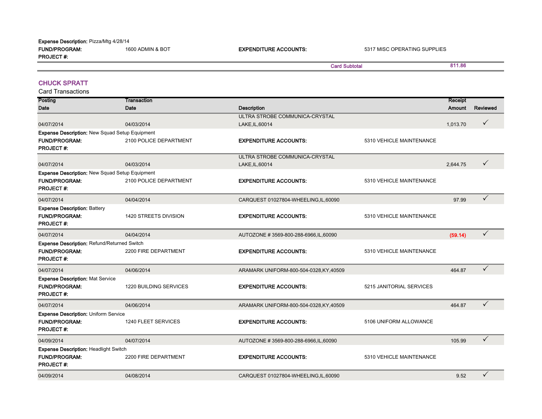| <b>Expense Description: Pizza/Mtg 4/28/14</b> |                  |                              |                              |
|-----------------------------------------------|------------------|------------------------------|------------------------------|
| <b>FUND/PROGRAM:</b>                          | 1600 ADMIN & BOT | <b>EXPENDITURE ACCOUNTS:</b> | 5317 MISC OPERATING SUPPLIES |
| <b>PROJECT#:</b>                              |                  |                              |                              |
|                                               |                  |                              | <b>Card Subtotal</b>         |

#### CHUCK SPRATT

Card Transactions

| Posting                                                                                 | Transaction            |                                         |                          | Receipt  |              |
|-----------------------------------------------------------------------------------------|------------------------|-----------------------------------------|--------------------------|----------|--------------|
| Date                                                                                    | Date                   | <b>Description</b>                      |                          | Amount   | Reviewed     |
|                                                                                         |                        | ULTRA STROBE COMMUNICA-CRYSTAL          |                          |          |              |
| 04/07/2014                                                                              | 04/03/2014             | LAKE, IL, 60014                         |                          | 1,013.70 | ✓            |
| <b>Expense Description: New Squad Setup Equipment</b>                                   |                        |                                         |                          |          |              |
| <b>FUND/PROGRAM:</b><br><b>PROJECT#:</b>                                                | 2100 POLICE DEPARTMENT | <b>EXPENDITURE ACCOUNTS:</b>            | 5310 VEHICLE MAINTENANCE |          |              |
|                                                                                         |                        | ULTRA STROBE COMMUNICA-CRYSTAL          |                          |          |              |
| 04/07/2014                                                                              | 04/03/2014             | LAKE, IL, 60014                         |                          | 2,644.75 | ✓            |
| Expense Description: New Squad Setup Equipment                                          |                        |                                         |                          |          |              |
| <b>FUND/PROGRAM:</b><br><b>PROJECT#:</b>                                                | 2100 POLICE DEPARTMENT | <b>EXPENDITURE ACCOUNTS:</b>            | 5310 VEHICLE MAINTENANCE |          |              |
| 04/07/2014                                                                              | 04/04/2014             | CARQUEST 01027804-WHEELING, IL, 60090   |                          | 97.99    | $\checkmark$ |
| <b>Expense Description: Battery</b><br><b>FUND/PROGRAM:</b><br><b>PROJECT#:</b>         | 1420 STREETS DIVISION  | <b>EXPENDITURE ACCOUNTS:</b>            | 5310 VEHICLE MAINTENANCE |          |              |
| 04/07/2014                                                                              | 04/04/2014             | AUTOZONE #3569-800-288-6966, IL, 60090  |                          | (59.14)  | ✓            |
| Expense Description: Refund/Returned Switch<br><b>FUND/PROGRAM:</b><br><b>PROJECT#:</b> | 2200 FIRE DEPARTMENT   | <b>EXPENDITURE ACCOUNTS:</b>            | 5310 VEHICLE MAINTENANCE |          |              |
| 04/07/2014                                                                              | 04/06/2014             | ARAMARK UNIFORM-800-504-0328, KY, 40509 |                          | 464.87   | $\checkmark$ |
| <b>Expense Description: Mat Service</b><br><b>FUND/PROGRAM:</b><br><b>PROJECT#:</b>     | 1220 BUILDING SERVICES | <b>EXPENDITURE ACCOUNTS:</b>            | 5215 JANITORIAL SERVICES |          |              |
| 04/07/2014                                                                              | 04/06/2014             | ARAMARK UNIFORM-800-504-0328, KY, 40509 |                          | 464.87   | ✓            |
| <b>Expense Description: Uniform Service</b><br><b>FUND/PROGRAM:</b><br><b>PROJECT#:</b> | 1240 FLEET SERVICES    | <b>EXPENDITURE ACCOUNTS:</b>            | 5106 UNIFORM ALLOWANCE   |          |              |
| 04/09/2014                                                                              | 04/07/2014             | AUTOZONE #3569-800-288-6966, IL, 60090  |                          | 105.99   | $\checkmark$ |
| <b>Expense Description: Headlight Switch</b><br>FUND/PROGRAM:<br><b>PROJECT#:</b>       | 2200 FIRE DEPARTMENT   | <b>EXPENDITURE ACCOUNTS:</b>            | 5310 VEHICLE MAINTENANCE |          |              |
| 04/09/2014                                                                              | 04/08/2014             | CARQUEST 01027804-WHEELING, IL, 60090   |                          | 9.52     | ✓            |

811.86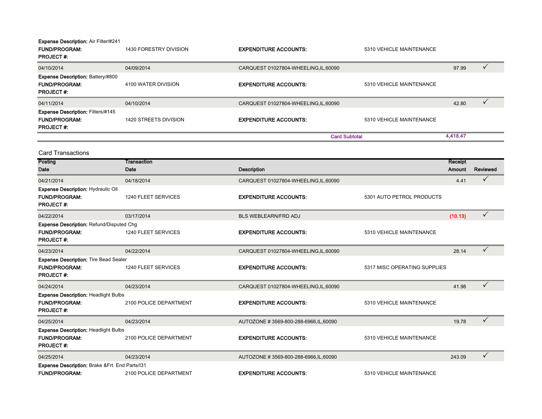|  | <b>Expense Description: Air Filter/#241</b> |  |
|--|---------------------------------------------|--|
|--|---------------------------------------------|--|

| <b>FUND/PROGRAM:</b><br><b>PROJECT#:</b>                                             | 1430 FORESTRY DIVISION | <b>EXPENDITURE ACCOUNTS:</b>          | 5310 VEHICLE MAINTENANCE |          |  |
|--------------------------------------------------------------------------------------|------------------------|---------------------------------------|--------------------------|----------|--|
| 04/10/2014                                                                           | 04/09/2014             | CARQUEST 01027804-WHEELING, IL, 60090 |                          | 97.99    |  |
| <b>Expense Description: Battery/#800</b><br><b>FUND/PROGRAM:</b><br><b>PROJECT#:</b> | 4100 WATER DIVISION    | <b>EXPENDITURE ACCOUNTS:</b>          | 5310 VEHICLE MAINTENANCE |          |  |
| 04/11/2014                                                                           | 04/10/2014             | CARQUEST 01027804-WHEELING, IL, 60090 |                          | 42.80    |  |
| <b>Expense Description: Filters/#145</b><br><b>FUND/PROGRAM:</b><br><b>PROJECT#:</b> | 1420 STREETS DIVISION  | <b>EXPENDITURE ACCOUNTS:</b>          | 5310 VEHICLE MAINTENANCE |          |  |
|                                                                                      |                        |                                       | <b>Card Subtotal</b>     | 4,418.47 |  |
| <b>Card Transactions</b>                                                             |                        |                                       |                          |          |  |

| Posting                                                                                     | Transaction            |                                        |                              | Receipt |              |
|---------------------------------------------------------------------------------------------|------------------------|----------------------------------------|------------------------------|---------|--------------|
| Date                                                                                        | Date                   | <b>Description</b>                     |                              | Amount  | Reviewed     |
| 04/21/2014                                                                                  | 04/18/2014             | CARQUEST 01027804-WHEELING,IL,60090    |                              | 4.41    | $\checkmark$ |
| <b>Expense Description: Hydraulic Oil</b><br><b>FUND/PROGRAM:</b><br><b>PROJECT#:</b>       | 1240 FLEET SERVICES    | <b>EXPENDITURE ACCOUNTS:</b>           | 5301 AUTO PETROL PRODUCTS    |         |              |
| 04/22/2014                                                                                  | 03/17/2014             | <b>BLS WEBLEARN/FRD ADJ</b>            |                              | (10.13) | $\checkmark$ |
| <b>Expense Description: Refund/Disputed Chg</b><br><b>FUND/PROGRAM:</b><br><b>PROJECT#:</b> | 1240 FLEET SERVICES    | <b>EXPENDITURE ACCOUNTS:</b>           | 5310 VEHICLE MAINTENANCE     |         |              |
| 04/23/2014                                                                                  | 04/22/2014             | CARQUEST 01027804-WHEELING,IL,60090    |                              | 28.14   | $\checkmark$ |
| <b>Expense Description: Tire Bead Sealer</b><br><b>FUND/PROGRAM:</b><br><b>PROJECT#:</b>    | 1240 FLEET SERVICES    | <b>EXPENDITURE ACCOUNTS:</b>           | 5317 MISC OPERATING SUPPLIES |         |              |
| 04/24/2014                                                                                  | 04/23/2014             | CARQUEST 01027804-WHEELING, IL, 60090  |                              | 41.98   | $\checkmark$ |
| <b>Expense Description: Headlight Bulbs</b><br><b>FUND/PROGRAM:</b><br><b>PROJECT#:</b>     | 2100 POLICE DEPARTMENT | <b>EXPENDITURE ACCOUNTS:</b>           | 5310 VEHICLE MAINTENANCE     |         |              |
| 04/25/2014                                                                                  | 04/23/2014             | AUTOZONE #3569-800-288-6966, IL, 60090 |                              | 19.78   | $\checkmark$ |
| <b>Expense Description: Headlight Bulbs</b><br><b>FUND/PROGRAM:</b><br><b>PROJECT#:</b>     | 2100 POLICE DEPARTMENT | <b>EXPENDITURE ACCOUNTS:</b>           | 5310 VEHICLE MAINTENANCE     |         |              |
| 04/25/2014                                                                                  | 04/23/2014             | AUTOZONE #3569-800-288-6966, IL, 60090 |                              | 243.09  | $\checkmark$ |
| Expense Description: Brake & Frt. End Parts/131<br><b>FUND/PROGRAM:</b>                     | 2100 POLICE DEPARTMENT | <b>EXPENDITURE ACCOUNTS:</b>           | 5310 VEHICLE MAINTENANCE     |         |              |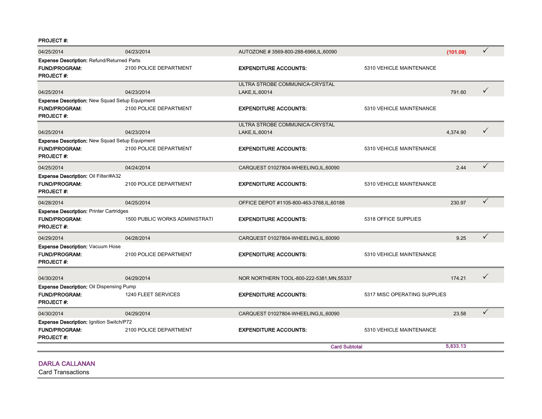PROJECT #:

| 04/25/2014                                                                       | 04/23/2014                     | AUTOZONE # 3569-800-288-6966, IL, 60090    |                              | (101.09) | ✓            |
|----------------------------------------------------------------------------------|--------------------------------|--------------------------------------------|------------------------------|----------|--------------|
| Expense Description: Refund/Returned Parts                                       |                                |                                            |                              |          |              |
| <b>FUND/PROGRAM:</b><br><b>PROJECT#:</b>                                         | 2100 POLICE DEPARTMENT         | <b>EXPENDITURE ACCOUNTS:</b>               | 5310 VEHICLE MAINTENANCE     |          |              |
|                                                                                  |                                | ULTRA STROBE COMMUNICA-CRYSTAL             |                              |          |              |
| 04/25/2014                                                                       | 04/23/2014                     | LAKE, IL, 60014                            |                              | 791.60   | ✓            |
| <b>Expense Description: New Squad Setup Equipment</b>                            |                                |                                            |                              |          |              |
| <b>FUND/PROGRAM:</b><br><b>PROJECT#:</b>                                         | 2100 POLICE DEPARTMENT         | <b>EXPENDITURE ACCOUNTS:</b>               | 5310 VEHICLE MAINTENANCE     |          |              |
|                                                                                  |                                | ULTRA STROBE COMMUNICA-CRYSTAL             |                              |          |              |
| 04/25/2014                                                                       | 04/23/2014                     | LAKE, IL, 60014                            |                              | 4,374.90 | ✓            |
| <b>Expense Description: New Squad Setup Equipment</b>                            |                                |                                            |                              |          |              |
| <b>FUND/PROGRAM:</b><br><b>PROJECT#:</b>                                         | 2100 POLICE DEPARTMENT         | <b>EXPENDITURE ACCOUNTS:</b>               | 5310 VEHICLE MAINTENANCE     |          |              |
| 04/25/2014                                                                       | 04/24/2014                     | CARQUEST 01027804-WHEELING, IL, 60090      |                              | 2.44     | ✓            |
| Expense Description: Oil Filter/#A32<br><b>FUND/PROGRAM:</b><br><b>PROJECT#:</b> | 2100 POLICE DEPARTMENT         | <b>EXPENDITURE ACCOUNTS:</b>               | 5310 VEHICLE MAINTENANCE     |          |              |
| 04/28/2014                                                                       | 04/25/2014                     | OFFICE DEPOT #1105-800-463-3768, IL, 60188 |                              | 230.97   | $\checkmark$ |
| <b>Expense Description: Printer Cartridges</b>                                   |                                |                                            |                              |          |              |
| <b>FUND/PROGRAM:</b><br><b>PROJECT#:</b>                                         | 1500 PUBLIC WORKS ADMINISTRATI | <b>EXPENDITURE ACCOUNTS:</b>               | 5318 OFFICE SUPPLIES         |          |              |
| 04/29/2014                                                                       | 04/28/2014                     | CARQUEST 01027804-WHEELING, IL, 60090      |                              | 9.25     | ✓            |
| Expense Description: Vacuum Hose                                                 |                                |                                            |                              |          |              |
| <b>FUND/PROGRAM:</b><br><b>PROJECT#:</b>                                         | 2100 POLICE DEPARTMENT         | <b>EXPENDITURE ACCOUNTS:</b>               | 5310 VEHICLE MAINTENANCE     |          |              |
| 04/30/2014                                                                       | 04/29/2014                     | NOR NORTHERN TOOL-800-222-5381, MN, 55337  |                              | 174.21   | ✓            |
| <b>Expense Description: Oil Dispensing Pump</b>                                  |                                |                                            |                              |          |              |
| <b>FUND/PROGRAM:</b><br><b>PROJECT#:</b>                                         | 1240 FLEET SERVICES            | <b>EXPENDITURE ACCOUNTS:</b>               | 5317 MISC OPERATING SUPPLIES |          |              |
| 04/30/2014                                                                       | 04/29/2014                     | CARQUEST 01027804-WHEELING, IL, 60090      |                              | 23.58    |              |
| Expense Description: Ignition Switch/P72                                         |                                |                                            |                              |          |              |
| <b>FUND/PROGRAM:</b><br><b>PROJECT#:</b>                                         | 2100 POLICE DEPARTMENT         | <b>EXPENDITURE ACCOUNTS:</b>               | 5310 VEHICLE MAINTENANCE     |          |              |
|                                                                                  |                                | <b>Card Subtotal</b>                       |                              | 5,833.13 |              |

#### DARLA CALLANAN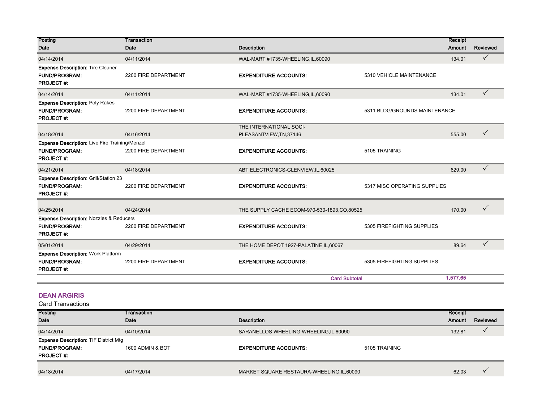| Posting<br>Date                                                                                | <b>Transaction</b><br>Date | <b>Description</b>                            |                               | Receipt<br>Amount | Reviewed     |
|------------------------------------------------------------------------------------------------|----------------------------|-----------------------------------------------|-------------------------------|-------------------|--------------|
| 04/14/2014                                                                                     | 04/11/2014                 | WAL-MART #1735-WHEELING,IL,60090              |                               | 134.01            | $\checkmark$ |
| <b>Expense Description: Tire Cleaner</b><br><b>FUND/PROGRAM:</b><br><b>PROJECT#:</b>           | 2200 FIRE DEPARTMENT       | <b>EXPENDITURE ACCOUNTS:</b>                  | 5310 VEHICLE MAINTENANCE      |                   |              |
| 04/14/2014                                                                                     | 04/11/2014                 | WAL-MART #1735-WHEELING,IL,60090              |                               | 134.01            | $\checkmark$ |
| <b>Expense Description: Poly Rakes</b><br><b>FUND/PROGRAM:</b><br><b>PROJECT#</b>              | 2200 FIRE DEPARTMENT       | <b>EXPENDITURE ACCOUNTS:</b>                  | 5311 BLDG/GROUNDS MAINTENANCE |                   |              |
|                                                                                                |                            | THE INTERNATIONAL SOCI-                       |                               |                   |              |
| 04/18/2014                                                                                     | 04/16/2014                 | PLEASANTVIEW, TN, 37146                       |                               | 555.00            | $\checkmark$ |
| <b>Expense Description:</b> Live Fire Training/Menzel<br>FUND/PROGRAM:<br><b>PROJECT#:</b>     | 2200 FIRE DEPARTMENT       | <b>EXPENDITURE ACCOUNTS:</b>                  | 5105 TRAINING                 |                   |              |
| 04/21/2014                                                                                     | 04/18/2014                 | ABT ELECTRONICS-GLENVIEW, IL, 60025           |                               | 629.00            | ✓            |
| <b>Expense Description: Grill/Station 23</b><br><b>FUND/PROGRAM:</b><br><b>PROJECT#:</b>       | 2200 FIRE DEPARTMENT       | <b>EXPENDITURE ACCOUNTS:</b>                  | 5317 MISC OPERATING SUPPLIES  |                   |              |
| 04/25/2014                                                                                     | 04/24/2014                 | THE SUPPLY CACHE ECOM-970-530-1893, CO, 80525 |                               | 170.00            | $\checkmark$ |
| <b>Expense Description: Nozzles &amp; Reducers</b><br><b>FUND/PROGRAM:</b><br><b>PROJECT#:</b> | 2200 FIRE DEPARTMENT       | <b>EXPENDITURE ACCOUNTS:</b>                  | 5305 FIREFIGHTING SUPPLIES    |                   |              |
| 05/01/2014                                                                                     | 04/29/2014                 | THE HOME DEPOT 1927-PALATINE, IL, 60067       |                               | 89.64             | $\checkmark$ |
| <b>Expense Description: Work Platform</b><br><b>FUND/PROGRAM:</b><br><b>PROJECT#:</b>          | 2200 FIRE DEPARTMENT       | <b>EXPENDITURE ACCOUNTS:</b>                  | 5305 FIREFIGHTING SUPPLIES    |                   |              |
|                                                                                                |                            | <b>Card Subtotal</b>                          |                               | 1,577.65          |              |

### DEAN ARGIRIS

| Card Transactions |
|-------------------|
|                   |

| Posting                                      | Transaction      |                                          |               | Receipt       |          |
|----------------------------------------------|------------------|------------------------------------------|---------------|---------------|----------|
| <b>Date</b>                                  | Date             | <b>Description</b>                       |               | <b>Amount</b> | Reviewed |
| 04/14/2014                                   | 04/10/2014       | SARANELLOS WHEELING-WHEELING, IL, 60090  |               | 132.81        |          |
| <b>Expense Description: TIF District Mtg</b> |                  |                                          |               |               |          |
| <b>FUND/PROGRAM:</b>                         | 1600 ADMIN & BOT | <b>EXPENDITURE ACCOUNTS:</b>             | 5105 TRAINING |               |          |
| <b>PROJECT#:</b>                             |                  |                                          |               |               |          |
|                                              |                  |                                          |               |               |          |
| 04/18/2014                                   | 04/17/2014       | MARKET SQUARE RESTAURA-WHEELING,IL,60090 |               | 62.03         |          |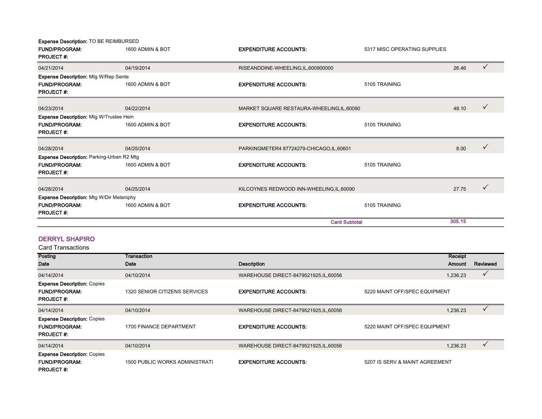| Expense Description: TO BE REIMBURSED<br><b>FUND/PROGRAM:</b> | 1600 ADMIN & BOT |                                            | 5317 MISC OPERATING SUPPLIES |        |              |
|---------------------------------------------------------------|------------------|--------------------------------------------|------------------------------|--------|--------------|
| <b>PROJECT#:</b>                                              |                  | <b>EXPENDITURE ACCOUNTS:</b>               |                              |        |              |
| 04/21/2014                                                    | 04/19/2014       | RISEANDDINE-WHEELING,IL,600900000          |                              | 26.46  | $\checkmark$ |
| <b>Expense Description: Mtg W/Rep Sente</b>                   |                  |                                            |                              |        |              |
| <b>FUND/PROGRAM:</b><br><b>PROJECT#:</b>                      | 1600 ADMIN & BOT | <b>EXPENDITURE ACCOUNTS:</b>               | 5105 TRAINING                |        |              |
| 04/23/2014                                                    | 04/22/2014       | MARKET SQUARE RESTAURA-WHEELING, IL, 60090 |                              | 48.10  | ✓            |
| <b>Expense Description: Mtg W/Trustee Hein</b>                |                  |                                            |                              |        |              |
| <b>FUND/PROGRAM:</b>                                          | 1600 ADMIN & BOT | <b>EXPENDITURE ACCOUNTS:</b>               | 5105 TRAINING                |        |              |
| <b>PROJECT#:</b>                                              |                  |                                            |                              |        |              |
| 04/28/2014                                                    | 04/25/2014       | PARKINGMETER4 87724279-CHICAGO, IL, 60601  |                              | 8.00   |              |
| <b>Expense Description: Parking-Urban R2 Mtg</b>              |                  |                                            |                              |        |              |
| <b>FUND/PROGRAM:</b><br><b>PROJECT#:</b>                      | 1600 ADMIN & BOT | <b>EXPENDITURE ACCOUNTS:</b>               | 5105 TRAINING                |        |              |
|                                                               |                  |                                            |                              |        |              |
| 04/28/2014                                                    | 04/25/2014       | KILCOYNES REDWOOD INN-WHEELING, IL, 60090  |                              | 27.75  |              |
| <b>Expense Description: Mtg W/Dir Melaniphy</b>               |                  |                                            |                              |        |              |
| <b>FUND/PROGRAM:</b>                                          | 1600 ADMIN & BOT | <b>EXPENDITURE ACCOUNTS:</b>               | 5105 TRAINING                |        |              |
| <b>PROJECT#:</b>                                              |                  |                                            |                              |        |              |
|                                                               |                  |                                            | <b>Card Subtotal</b>         | 305.15 |              |

#### DERRYL SHAPIRO

| <b>Posting</b>                                                                 | Transaction                    |                                        |                                | Receipt  |          |
|--------------------------------------------------------------------------------|--------------------------------|----------------------------------------|--------------------------------|----------|----------|
| Date                                                                           | Date                           | <b>Description</b>                     |                                | Amount   | Reviewed |
| 04/14/2014                                                                     | 04/10/2014                     | WAREHOUSE DIRECT-8479521925, IL, 60056 |                                | 1,236.23 | ✓        |
| <b>Expense Description: Copies</b><br><b>FUND/PROGRAM:</b><br><b>PROJECT#:</b> | 1320 SENIOR CITIZENS SERVICES  | <b>EXPENDITURE ACCOUNTS:</b>           | 5220 MAINT OFF/SPEC EQUIPMENT  |          |          |
| 04/14/2014                                                                     | 04/10/2014                     | WAREHOUSE DIRECT-8479521925, IL, 60056 |                                | 1,236.23 |          |
| <b>Expense Description: Copies</b><br><b>FUND/PROGRAM:</b><br><b>PROJECT#:</b> | 1700 FINANCE DEPARTMENT        | <b>EXPENDITURE ACCOUNTS:</b>           | 5220 MAINT OFF/SPEC EQUIPMENT  |          |          |
| 04/14/2014                                                                     | 04/10/2014                     | WAREHOUSE DIRECT-8479521925, IL, 60056 |                                | 1,236.23 |          |
| <b>Expense Description: Copies</b><br><b>FUND/PROGRAM:</b><br><b>PROJECT#:</b> | 1500 PUBLIC WORKS ADMINISTRATI | <b>EXPENDITURE ACCOUNTS:</b>           | 5207 IS SERV & MAINT AGREEMENT |          |          |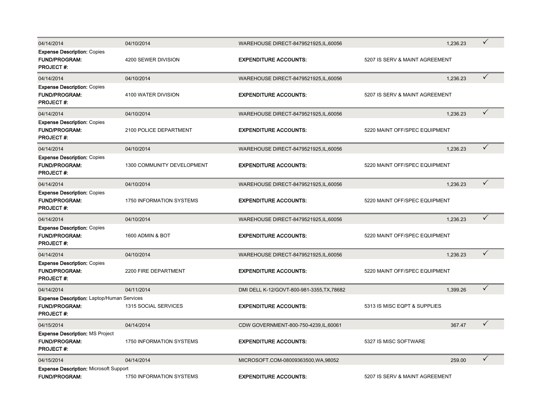| 04/14/2014                                                                                    | 04/10/2014                      | WAREHOUSE DIRECT-8479521925, IL, 60056     | 1,236.23                       | $\checkmark$ |
|-----------------------------------------------------------------------------------------------|---------------------------------|--------------------------------------------|--------------------------------|--------------|
| <b>Expense Description: Copies</b><br><b>FUND/PROGRAM:</b><br><b>PROJECT#:</b>                | 4200 SEWER DIVISION             | <b>EXPENDITURE ACCOUNTS:</b>               | 5207 IS SERV & MAINT AGREEMENT |              |
| 04/14/2014                                                                                    | 04/10/2014                      | WAREHOUSE DIRECT-8479521925, IL, 60056     | 1.236.23                       | $\checkmark$ |
| <b>Expense Description: Copies</b><br>FUND/PROGRAM:<br><b>PROJECT#:</b>                       | 4100 WATER DIVISION             | <b>EXPENDITURE ACCOUNTS:</b>               | 5207 IS SERV & MAINT AGREEMENT |              |
| 04/14/2014                                                                                    | 04/10/2014                      | WAREHOUSE DIRECT-8479521925, IL, 60056     | 1,236.23                       | $\checkmark$ |
| <b>Expense Description: Copies</b><br><b>FUND/PROGRAM:</b><br><b>PROJECT#:</b>                | 2100 POLICE DEPARTMENT          | <b>EXPENDITURE ACCOUNTS:</b>               | 5220 MAINT OFF/SPEC EQUIPMENT  |              |
| 04/14/2014                                                                                    | 04/10/2014                      | WAREHOUSE DIRECT-8479521925, IL, 60056     | 1,236.23                       | $\checkmark$ |
| <b>Expense Description: Copies</b><br><b>FUND/PROGRAM:</b><br><b>PROJECT#</b>                 | 1300 COMMUNITY DEVELOPMENT      | <b>EXPENDITURE ACCOUNTS:</b>               | 5220 MAINT OFF/SPEC EQUIPMENT  |              |
| 04/14/2014                                                                                    | 04/10/2014                      | WAREHOUSE DIRECT-8479521925, IL, 60056     | 1.236.23                       | $\checkmark$ |
| <b>Expense Description: Copies</b><br><b>FUND/PROGRAM:</b><br><b>PROJECT#:</b>                | <b>1750 INFORMATION SYSTEMS</b> | <b>EXPENDITURE ACCOUNTS:</b>               | 5220 MAINT OFF/SPEC EQUIPMENT  |              |
| 04/14/2014                                                                                    | 04/10/2014                      | WAREHOUSE DIRECT-8479521925, IL, 60056     | 1,236.23                       | $\checkmark$ |
| <b>Expense Description: Copies</b><br><b>FUND/PROGRAM:</b><br><b>PROJECT#:</b>                | 1600 ADMIN & BOT                | <b>EXPENDITURE ACCOUNTS:</b>               | 5220 MAINT OFF/SPEC EQUIPMENT  |              |
| 04/14/2014                                                                                    | 04/10/2014                      | WAREHOUSE DIRECT-8479521925, IL, 60056     | 1,236.23                       | $\checkmark$ |
| <b>Expense Description: Copies</b><br>FUND/PROGRAM:<br><b>PROJECT#:</b>                       | 2200 FIRE DEPARTMENT            | <b>EXPENDITURE ACCOUNTS:</b>               | 5220 MAINT OFF/SPEC EQUIPMENT  |              |
| 04/14/2014                                                                                    | 04/11/2014                      | DMI DELL K-12/GOVT-800-981-3355, TX, 78682 | 1.399.26                       | $\checkmark$ |
| <b>Expense Description: Laptop/Human Services</b><br><b>FUND/PROGRAM:</b><br><b>PROJECT#:</b> | 1315 SOCIAL SERVICES            | <b>EXPENDITURE ACCOUNTS:</b>               | 5313 IS MISC EQPT & SUPPLIES   |              |
| 04/15/2014                                                                                    | 04/14/2014                      | CDW GOVERNMENT-800-750-4239,IL,60061       | 367.47                         | $\checkmark$ |
| <b>Expense Description: MS Project</b><br><b>FUND/PROGRAM:</b><br><b>PROJECT#:</b>            | 1750 INFORMATION SYSTEMS        | <b>EXPENDITURE ACCOUNTS:</b>               | 5327 IS MISC SOFTWARE          |              |
| 04/15/2014                                                                                    | 04/14/2014                      | MICROSOFT.COM-08009363500, WA, 98052       | 259.00                         | ✓            |
| <b>Expense Description: Microsoft Support</b><br><b>FUND/PROGRAM:</b>                         | 1750 INFORMATION SYSTEMS        | <b>EXPENDITURE ACCOUNTS:</b>               | 5207 IS SERV & MAINT AGREEMENT |              |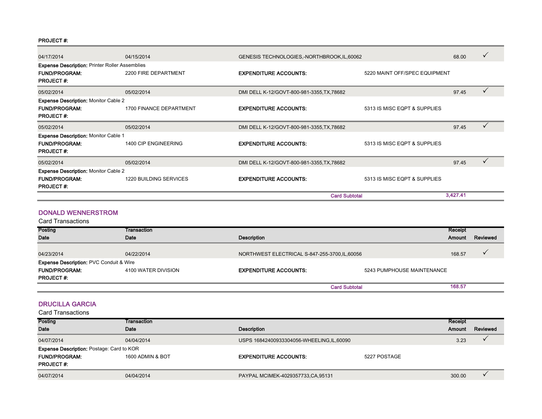#### PROJECT #:

| 04/17/2014                                            | 04/15/2014              | GENESIS TECHNOLOGIES,-NORTHBROOK, IL, 60062 |                               | 68.00    | $\checkmark$ |
|-------------------------------------------------------|-------------------------|---------------------------------------------|-------------------------------|----------|--------------|
| <b>Expense Description: Printer Roller Assemblies</b> |                         |                                             |                               |          |              |
| <b>FUND/PROGRAM:</b><br><b>PROJECT#:</b>              | 2200 FIRE DEPARTMENT    | <b>EXPENDITURE ACCOUNTS:</b>                | 5220 MAINT OFF/SPEC EQUIPMENT |          |              |
| 05/02/2014                                            | 05/02/2014              | DMI DELL K-12/GOVT-800-981-3355, TX, 78682  |                               | 97.45    | $\checkmark$ |
| <b>Expense Description: Monitor Cable 2</b>           |                         |                                             |                               |          |              |
| <b>FUND/PROGRAM:</b><br><b>PROJECT#:</b>              | 1700 FINANCE DEPARTMENT | <b>EXPENDITURE ACCOUNTS:</b>                | 5313 IS MISC EQPT & SUPPLIES  |          |              |
| 05/02/2014                                            | 05/02/2014              | DMI DELL K-12/GOVT-800-981-3355, TX, 78682  |                               | 97.45    |              |
| <b>Expense Description: Monitor Cable 1</b>           |                         |                                             |                               |          |              |
| <b>FUND/PROGRAM:</b><br><b>PROJECT#:</b>              | 1400 CIP ENGINEERING    | <b>EXPENDITURE ACCOUNTS:</b>                | 5313 IS MISC EQPT & SUPPLIES  |          |              |
| 05/02/2014                                            | 05/02/2014              | DMI DELL K-12/GOVT-800-981-3355, TX, 78682  |                               | 97.45    | $\checkmark$ |
| <b>Expense Description: Monitor Cable 2</b>           |                         |                                             |                               |          |              |
| <b>FUND/PROGRAM:</b><br><b>PROJECT#</b>               | 1220 BUILDING SERVICES  | <b>EXPENDITURE ACCOUNTS:</b>                | 5313 IS MISC EQPT & SUPPLIES  |          |              |
|                                                       |                         |                                             | <b>Card Subtotal</b>          | 3,427.41 |              |

### DONALD WENNERSTROM

Card Transactions

| Posting                                                                    | Transaction         |                                                |                            | Receipt |          |
|----------------------------------------------------------------------------|---------------------|------------------------------------------------|----------------------------|---------|----------|
| <b>Date</b>                                                                | Date                | <b>Description</b>                             |                            | Amount  | Reviewed |
| 04/23/2014                                                                 | 04/22/2014          | NORTHWEST ELECTRICAL S-847-255-3700, IL, 60056 |                            | 168.57  |          |
| <b>Expense Description: PVC Conduit &amp; Wire</b><br><b>FUND/PROGRAM:</b> | 4100 WATER DIVISION | <b>EXPENDITURE ACCOUNTS:</b>                   | 5243 PUMPHOUSE MAINTENANCE |         |          |
| <b>PROJECT#:</b>                                                           |                     |                                                | <b>Card Subtotal</b>       | 168.57  |          |

#### DRUCILLA GARCIA

| Posting              | Transaction                                      |                                            |              | Receipt       |          |
|----------------------|--------------------------------------------------|--------------------------------------------|--------------|---------------|----------|
| <b>Date</b>          | Date                                             | <b>Description</b>                         |              | <b>Amount</b> | Reviewed |
| 04/07/2014           | 04/04/2014                                       | USPS 16842400933304056-WHEELING, IL, 60090 |              | 3.23          |          |
|                      | <b>Expense Description: Postage: Card to KOR</b> |                                            |              |               |          |
| <b>FUND/PROGRAM:</b> | 1600 ADMIN & BOT                                 | <b>EXPENDITURE ACCOUNTS:</b>               | 5227 POSTAGE |               |          |
| <b>PROJECT#</b>      |                                                  |                                            |              |               |          |
| 04/07/2014           | 04/04/2014                                       | PAYPAL MCIMEK-4029357733, CA, 95131        |              | 300.00        |          |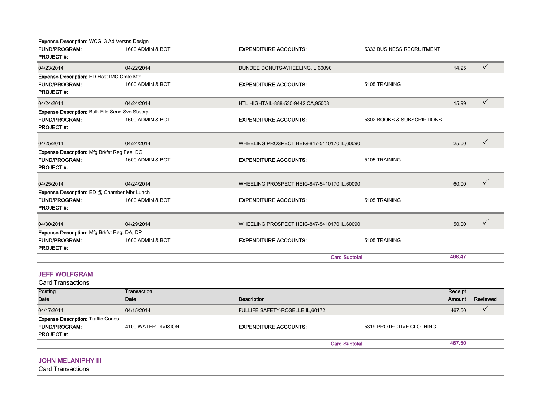| <b>Expense Description: WCG: 3 Ad Versns Design</b>   |                  |                                               |                            |        |              |
|-------------------------------------------------------|------------------|-----------------------------------------------|----------------------------|--------|--------------|
| <b>FUND/PROGRAM:</b><br><b>PROJECT#:</b>              | 1600 ADMIN & BOT | <b>EXPENDITURE ACCOUNTS:</b>                  | 5333 BUSINESS RECRUITMENT  |        |              |
| 04/23/2014                                            | 04/22/2014       | DUNDEE DONUTS-WHEELING, IL, 60090             |                            | 14.25  | $\checkmark$ |
| <b>Expense Description: ED Host IMC Cmte Mtg</b>      |                  |                                               |                            |        |              |
| <b>FUND/PROGRAM:</b><br><b>PROJECT#:</b>              | 1600 ADMIN & BOT | <b>EXPENDITURE ACCOUNTS:</b>                  | 5105 TRAINING              |        |              |
| 04/24/2014                                            | 04/24/2014       | HTL HIGHTAIL-888-535-9442, CA, 95008          |                            | 15.99  | $\checkmark$ |
| <b>Expense Description: Bulk File Send Svc Sbscrp</b> |                  |                                               |                            |        |              |
| <b>FUND/PROGRAM:</b><br><b>PROJECT#:</b>              | 1600 ADMIN & BOT | <b>EXPENDITURE ACCOUNTS:</b>                  | 5302 BOOKS & SUBSCRIPTIONS |        |              |
| 04/25/2014                                            | 04/24/2014       | WHEELING PROSPECT HEIG-847-5410170, IL, 60090 |                            | 25.00  | $\checkmark$ |
| <b>Expense Description: Mfg Brkfst Reg Fee: DG</b>    |                  |                                               |                            |        |              |
| <b>FUND/PROGRAM:</b><br><b>PROJECT#:</b>              | 1600 ADMIN & BOT | <b>EXPENDITURE ACCOUNTS:</b>                  | 5105 TRAINING              |        |              |
| 04/25/2014                                            | 04/24/2014       | WHEELING PROSPECT HEIG-847-5410170, IL, 60090 |                            | 60.00  |              |
| Expense Description: ED @ Chamber Mbr Lunch           |                  |                                               |                            |        |              |
| <b>FUND/PROGRAM:</b><br><b>PROJECT#:</b>              | 1600 ADMIN & BOT | <b>EXPENDITURE ACCOUNTS:</b>                  | 5105 TRAINING              |        |              |
| 04/30/2014                                            | 04/29/2014       | WHEELING PROSPECT HEIG-847-5410170, IL, 60090 |                            | 50.00  | $\checkmark$ |
| Expense Description: Mfg Brkfst Reg: DA, DP           |                  |                                               |                            |        |              |
| <b>FUND/PROGRAM:</b><br><b>PROJECT#:</b>              | 1600 ADMIN & BOT | <b>EXPENDITURE ACCOUNTS:</b>                  | 5105 TRAINING              |        |              |
|                                                       |                  | <b>Card Subtotal</b>                          |                            | 468.47 |              |

#### JEFF WOLFGRAM

Posting Date **Transaction** Date **Date Description** Receipt Amount Reviewed 04/17/2014 04/15/2014 04/15/2014 04/15/2014 FULLIFE SAFETY-ROSELLE,IL,60172 467.50  $\checkmark$ FUND/PROGRAM: 4100 WATER DIVISION EXPENDITURE ACCOUNTS: 5319 PROTECTIVE CLOTHING PROJECT #: 467.50 Card Subtotal Card Transactions Expense Description: Traffic Cones

#### **JOHN MELANIPHY III**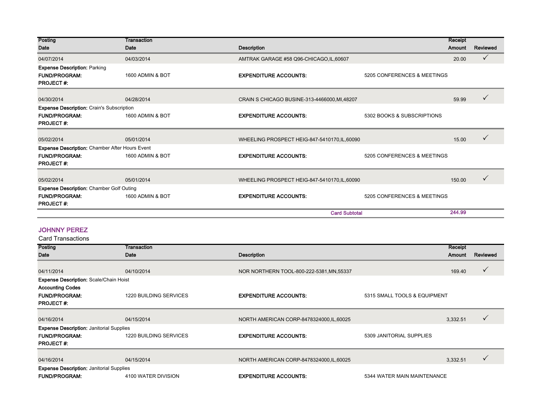| Posting                                                                         | Transaction      |                                                             | Receipt |              |
|---------------------------------------------------------------------------------|------------------|-------------------------------------------------------------|---------|--------------|
| Date                                                                            | Date             | <b>Description</b>                                          | Amount  | Reviewed     |
| 04/07/2014                                                                      | 04/03/2014       | AMTRAK GARAGE #58 Q96-CHICAGO, IL, 60607                    | 20.00   | $\checkmark$ |
| <b>Expense Description: Parking</b><br><b>FUND/PROGRAM:</b><br><b>PROJECT#:</b> | 1600 ADMIN & BOT | <b>EXPENDITURE ACCOUNTS:</b><br>5205 CONFERENCES & MEETINGS |         |              |
| 04/30/2014                                                                      | 04/28/2014       | CRAIN S CHICAGO BUSINE-313-4466000, MI, 48207               | 59.99   |              |
| <b>Expense Description: Crain's Subscription</b>                                |                  |                                                             |         |              |
| <b>FUND/PROGRAM:</b><br><b>PROJECT#:</b>                                        | 1600 ADMIN & BOT | <b>EXPENDITURE ACCOUNTS:</b><br>5302 BOOKS & SUBSCRIPTIONS  |         |              |
| 05/02/2014                                                                      | 05/01/2014       | WHEELING PROSPECT HEIG-847-5410170, IL, 60090               | 15.00   |              |
| <b>Expense Description: Chamber After Hours Event</b>                           |                  |                                                             |         |              |
| <b>FUND/PROGRAM:</b><br><b>PROJECT#:</b>                                        | 1600 ADMIN & BOT | <b>EXPENDITURE ACCOUNTS:</b><br>5205 CONFERENCES & MEETINGS |         |              |
| 05/02/2014                                                                      | 05/01/2014       | WHEELING PROSPECT HEIG-847-5410170, IL, 60090               | 150.00  | $\checkmark$ |
| <b>Expense Description: Chamber Golf Outing</b>                                 |                  |                                                             |         |              |
| <b>FUND/PROGRAM:</b><br><b>PROJECT#:</b>                                        | 1600 ADMIN & BOT | <b>EXPENDITURE ACCOUNTS:</b><br>5205 CONFERENCES & MEETINGS |         |              |
|                                                                                 |                  | <b>Card Subtotal</b>                                        | 244.99  |              |

#### JOHNNY PEREZ

| Posting                                         | Transaction            |                                           |                              | Receipt  |              |
|-------------------------------------------------|------------------------|-------------------------------------------|------------------------------|----------|--------------|
| Date                                            | Date                   | <b>Description</b>                        |                              | Amount   | Reviewed     |
|                                                 |                        |                                           |                              |          |              |
| 04/11/2014                                      | 04/10/2014             | NOR NORTHERN TOOL-800-222-5381, MN, 55337 |                              | 169.40   | ✓            |
| <b>Expense Description: Scale/Chain Hoist</b>   |                        |                                           |                              |          |              |
| <b>Accounting Codes</b>                         |                        |                                           |                              |          |              |
| <b>FUND/PROGRAM:</b>                            | 1220 BUILDING SERVICES | <b>EXPENDITURE ACCOUNTS:</b>              | 5315 SMALL TOOLS & EQUIPMENT |          |              |
| <b>PROJECT#:</b>                                |                        |                                           |                              |          |              |
|                                                 |                        |                                           |                              |          |              |
| 04/16/2014                                      | 04/15/2014             | NORTH AMERICAN CORP-8478324000, IL, 60025 |                              | 3,332.51 | ✓            |
| <b>Expense Description: Janitorial Supplies</b> |                        |                                           |                              |          |              |
| <b>FUND/PROGRAM:</b>                            | 1220 BUILDING SERVICES | <b>EXPENDITURE ACCOUNTS:</b>              | 5309 JANITORIAL SUPPLIES     |          |              |
| <b>PROJECT#</b>                                 |                        |                                           |                              |          |              |
|                                                 |                        |                                           |                              |          |              |
| 04/16/2014                                      | 04/15/2014             | NORTH AMERICAN CORP-8478324000, IL, 60025 |                              | 3,332.51 | $\checkmark$ |
| <b>Expense Description: Janitorial Supplies</b> |                        |                                           |                              |          |              |
| <b>FUND/PROGRAM:</b>                            | 4100 WATER DIVISION    | <b>EXPENDITURE ACCOUNTS:</b>              | 5344 WATER MAIN MAINTENANCE  |          |              |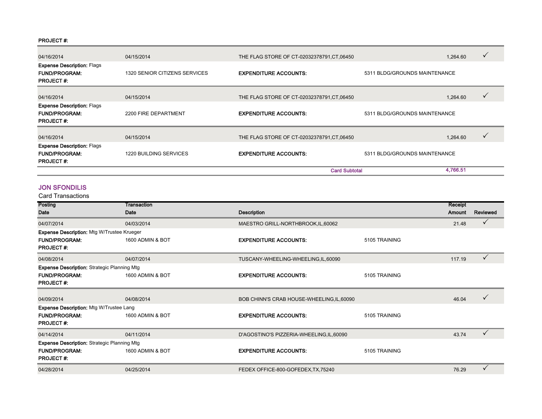#### PROJECT #:

| 04/16/2014                                                                    | 04/15/2014                    | THE FLAG STORE OF CT-02032378791, CT, 06450 |                               | 1,264.60 | $\checkmark$ |
|-------------------------------------------------------------------------------|-------------------------------|---------------------------------------------|-------------------------------|----------|--------------|
| <b>Expense Description: Flags</b><br><b>FUND/PROGRAM:</b><br><b>PROJECT#:</b> | 1320 SENIOR CITIZENS SERVICES | <b>EXPENDITURE ACCOUNTS:</b>                | 5311 BLDG/GROUNDS MAINTENANCE |          |              |
| 04/16/2014                                                                    | 04/15/2014                    | THE FLAG STORE OF CT-02032378791, CT, 06450 |                               | 1,264.60 |              |
| <b>Expense Description: Flags</b><br><b>FUND/PROGRAM:</b><br><b>PROJECT#:</b> | 2200 FIRE DEPARTMENT          | <b>EXPENDITURE ACCOUNTS:</b>                | 5311 BLDG/GROUNDS MAINTENANCE |          |              |
| 04/16/2014                                                                    | 04/15/2014                    | THE FLAG STORE OF CT-02032378791, CT, 06450 |                               | 1,264.60 | $\checkmark$ |
| <b>Expense Description: Flags</b><br><b>FUND/PROGRAM:</b><br><b>PROJECT#:</b> | <b>1220 BUILDING SERVICES</b> | <b>EXPENDITURE ACCOUNTS:</b>                | 5311 BLDG/GROUNDS MAINTENANCE |          |              |
|                                                                               |                               | <b>Card Subtotal</b>                        |                               | 4,766.51 |              |

### JON SFONDILIS

| Posting                                            | Transaction      |                                            |               | Receipt |              |
|----------------------------------------------------|------------------|--------------------------------------------|---------------|---------|--------------|
| Date                                               | Date             | <b>Description</b>                         |               | Amount  | Reviewed     |
| 04/07/2014                                         | 04/03/2014       | MAESTRO GRILL-NORTHBROOK, IL, 60062        |               | 21.48   | ✓            |
| <b>Expense Description: Mtg W/Trustee Krueger</b>  |                  |                                            |               |         |              |
| <b>FUND/PROGRAM:</b>                               | 1600 ADMIN & BOT | <b>EXPENDITURE ACCOUNTS:</b>               | 5105 TRAINING |         |              |
| <b>PROJECT#:</b>                                   |                  |                                            |               |         |              |
| 04/08/2014                                         | 04/07/2014       | TUSCANY-WHEELING-WHEELING, IL, 60090       |               | 117.19  | ✓            |
| <b>Expense Description: Strategic Planning Mtg</b> |                  |                                            |               |         |              |
| <b>FUND/PROGRAM:</b>                               | 1600 ADMIN & BOT | <b>EXPENDITURE ACCOUNTS:</b>               | 5105 TRAINING |         |              |
| <b>PROJECT#:</b>                                   |                  |                                            |               |         |              |
|                                                    |                  |                                            |               |         |              |
| 04/09/2014                                         | 04/08/2014       | BOB CHINN'S CRAB HOUSE-WHEELING, IL, 60090 |               | 46.04   |              |
| Expense Description: Mtg W/Trustee Lang            |                  |                                            |               |         |              |
| <b>FUND/PROGRAM:</b>                               | 1600 ADMIN & BOT | <b>EXPENDITURE ACCOUNTS:</b>               | 5105 TRAINING |         |              |
| <b>PROJECT#:</b>                                   |                  |                                            |               |         |              |
| 04/14/2014                                         | 04/11/2014       | D'AGOSTINO'S PIZZERIA-WHEELING, IL, 60090  |               | 43.74   | $\checkmark$ |
| <b>Expense Description:</b> Strategic Planning Mtg |                  |                                            |               |         |              |
| <b>FUND/PROGRAM:</b>                               | 1600 ADMIN & BOT | <b>EXPENDITURE ACCOUNTS:</b>               | 5105 TRAINING |         |              |
| <b>PROJECT#:</b>                                   |                  |                                            |               |         |              |
| 04/28/2014                                         | 04/25/2014       | FEDEX OFFICE-800-GOFEDEX, TX, 75240        |               | 76.29   | ✓            |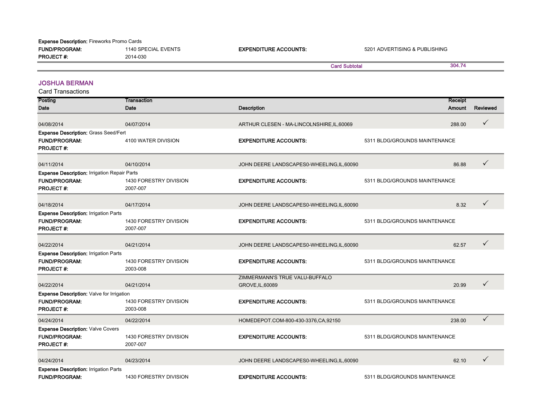| <b>Expense Description: Fireworks Promo Cards</b> |                     |                              |                               |        |
|---------------------------------------------------|---------------------|------------------------------|-------------------------------|--------|
| <b>FUND/PROGRAM:</b>                              | 1140 SPECIAL EVENTS | <b>EXPENDITURE ACCOUNTS:</b> | 5201 ADVERTISING & PUBLISHING |        |
| <b>PROJECT#:</b>                                  | 2014-030            |                              |                               |        |
|                                                   |                     |                              | <b>Card Subtotal</b>          | 304.74 |
|                                                   |                     |                              |                               |        |

#### JOSHUA BERMAN

| Posting                                                                                         | <b>Transaction</b>                 |                                                    |                               | Receipt |              |
|-------------------------------------------------------------------------------------------------|------------------------------------|----------------------------------------------------|-------------------------------|---------|--------------|
| Date                                                                                            | Date                               | <b>Description</b>                                 |                               | Amount  | Reviewed     |
| 04/08/2014                                                                                      | 04/07/2014                         | ARTHUR CLESEN - MA-LINCOLNSHIRE, IL, 60069         |                               | 288.00  | $\checkmark$ |
| <b>Expense Description: Grass Seed/Fert</b><br><b>FUND/PROGRAM:</b><br><b>PROJECT#:</b>         | 4100 WATER DIVISION                | <b>EXPENDITURE ACCOUNTS:</b>                       | 5311 BLDG/GROUNDS MAINTENANCE |         |              |
| 04/11/2014                                                                                      | 04/10/2014                         | JOHN DEERE LANDSCAPES0-WHEELING,IL,60090           |                               | 86.88   | $\checkmark$ |
| <b>Expense Description: Irrigation Repair Parts</b><br><b>FUND/PROGRAM:</b><br><b>PROJECT#:</b> | 1430 FORESTRY DIVISION<br>2007-007 | <b>EXPENDITURE ACCOUNTS:</b>                       | 5311 BLDG/GROUNDS MAINTENANCE |         |              |
| 04/18/2014                                                                                      | 04/17/2014                         | JOHN DEERE LANDSCAPES0-WHEELING, IL, 60090         |                               | 8.32    | $\checkmark$ |
| <b>Expense Description: Irrigation Parts</b><br><b>FUND/PROGRAM:</b><br><b>PROJECT#:</b>        | 1430 FORESTRY DIVISION<br>2007-007 | <b>EXPENDITURE ACCOUNTS:</b>                       | 5311 BLDG/GROUNDS MAINTENANCE |         |              |
| 04/22/2014                                                                                      | 04/21/2014                         | JOHN DEERE LANDSCAPES0-WHEELING, IL, 60090         |                               | 62.57   | $\checkmark$ |
| <b>Expense Description: Irrigation Parts</b><br><b>FUND/PROGRAM:</b><br><b>PROJECT#:</b>        | 1430 FORESTRY DIVISION<br>2003-008 | <b>EXPENDITURE ACCOUNTS:</b>                       | 5311 BLDG/GROUNDS MAINTENANCE |         |              |
| 04/22/2014                                                                                      | 04/21/2014                         | ZIMMERMANN'S TRUE VALU-BUFFALO<br>GROVE, IL, 60089 |                               | 20.99   | $\checkmark$ |
| <b>Expense Description: Valve for Irrigation</b><br><b>FUND/PROGRAM:</b><br><b>PROJECT#:</b>    | 1430 FORESTRY DIVISION<br>2003-008 | <b>EXPENDITURE ACCOUNTS:</b>                       | 5311 BLDG/GROUNDS MAINTENANCE |         |              |
| 04/24/2014                                                                                      | 04/22/2014                         | HOMEDEPOT.COM-800-430-3376,CA,92150                |                               | 238.00  | $\checkmark$ |
| <b>Expense Description: Valve Covers</b><br><b>FUND/PROGRAM:</b><br><b>PROJECT#:</b>            | 1430 FORESTRY DIVISION<br>2007-007 | <b>EXPENDITURE ACCOUNTS:</b>                       | 5311 BLDG/GROUNDS MAINTENANCE |         |              |
| 04/24/2014                                                                                      | 04/23/2014                         | JOHN DEERE LANDSCAPES0-WHEELING, IL, 60090         |                               | 62.10   | $\checkmark$ |
| <b>Expense Description: Irrigation Parts</b><br>FUND/PROGRAM:                                   | 1430 FORESTRY DIVISION             | <b>EXPENDITURE ACCOUNTS:</b>                       | 5311 BLDG/GROUNDS MAINTENANCE |         |              |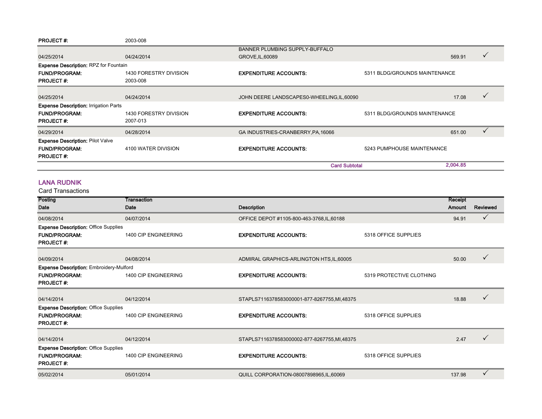| <b>PROJECT#:</b>                             | 2003-008                           |                                            |                               |          |  |
|----------------------------------------------|------------------------------------|--------------------------------------------|-------------------------------|----------|--|
|                                              |                                    | BANNER PLUMBING SUPPLY-BUFFALO             |                               |          |  |
| 04/25/2014                                   | 04/24/2014                         | GROVE, IL, 60089                           |                               | 569.91   |  |
| <b>Expense Description: RPZ for Fountain</b> |                                    |                                            |                               |          |  |
| <b>FUND/PROGRAM:</b><br><b>PROJECT#:</b>     | 1430 FORESTRY DIVISION<br>2003-008 | <b>EXPENDITURE ACCOUNTS:</b>               | 5311 BLDG/GROUNDS MAINTENANCE |          |  |
| 04/25/2014                                   | 04/24/2014                         | JOHN DEERE LANDSCAPES0-WHEELING, IL, 60090 |                               | 17.08    |  |
| <b>Expense Description: Irrigation Parts</b> |                                    |                                            |                               |          |  |
| <b>FUND/PROGRAM:</b><br><b>PROJECT#:</b>     | 1430 FORESTRY DIVISION<br>2007-013 | <b>EXPENDITURE ACCOUNTS:</b>               | 5311 BLDG/GROUNDS MAINTENANCE |          |  |
| 04/29/2014                                   | 04/28/2014                         | GA INDUSTRIES-CRANBERRY, PA, 16066         |                               | 651.00   |  |
| <b>Expense Description: Pilot Valve</b>      |                                    |                                            |                               |          |  |
| <b>FUND/PROGRAM:</b><br><b>PROJECT#:</b>     | 4100 WATER DIVISION                | <b>EXPENDITURE ACCOUNTS:</b>               | 5243 PUMPHOUSE MAINTENANCE    |          |  |
|                                              |                                    |                                            | <b>Card Subtotal</b>          | 2,004.85 |  |

#### LANA RUDNIK

| Posting                                                                                    | Transaction          |                                             |                          | Receipt |              |
|--------------------------------------------------------------------------------------------|----------------------|---------------------------------------------|--------------------------|---------|--------------|
| Date                                                                                       | Date                 | <b>Description</b>                          |                          | Amount  | Reviewed     |
| 04/08/2014                                                                                 | 04/07/2014           | OFFICE DEPOT #1105-800-463-3768, IL, 60188  |                          | 94.91   | $\checkmark$ |
| <b>Expense Description: Office Supplies</b><br><b>FUND/PROGRAM:</b><br><b>PROJECT#:</b>    | 1400 CIP ENGINEERING | <b>EXPENDITURE ACCOUNTS:</b>                | 5318 OFFICE SUPPLIES     |         |              |
| 04/09/2014                                                                                 | 04/08/2014           | ADMIRAL GRAPHICS-ARLINGTON HTS, IL, 60005   |                          | 50.00   | $\checkmark$ |
| <b>Expense Description: Embroidery-Mulford</b><br><b>FUND/PROGRAM:</b><br><b>PROJECT#:</b> | 1400 CIP ENGINEERING | <b>EXPENDITURE ACCOUNTS:</b>                | 5319 PROTECTIVE CLOTHING |         |              |
| 04/14/2014                                                                                 | 04/12/2014           | STAPLS7116378583000001-877-8267755,MI,48375 |                          | 18.88   | $\checkmark$ |
| <b>Expense Description: Office Supplies</b><br><b>FUND/PROGRAM:</b><br><b>PROJECT#:</b>    | 1400 CIP ENGINEERING | <b>EXPENDITURE ACCOUNTS:</b>                | 5318 OFFICE SUPPLIES     |         |              |
| 04/14/2014                                                                                 | 04/12/2014           | STAPLS7116378583000002-877-8267755,MI,48375 |                          | 2.47    | ✓            |
| <b>Expense Description: Office Supplies</b><br><b>FUND/PROGRAM:</b><br><b>PROJECT#:</b>    | 1400 CIP ENGINEERING | <b>EXPENDITURE ACCOUNTS:</b>                | 5318 OFFICE SUPPLIES     |         |              |
| 05/02/2014                                                                                 | 05/01/2014           | QUILL CORPORATION-08007898965, IL, 60069    |                          | 137.98  | ✓            |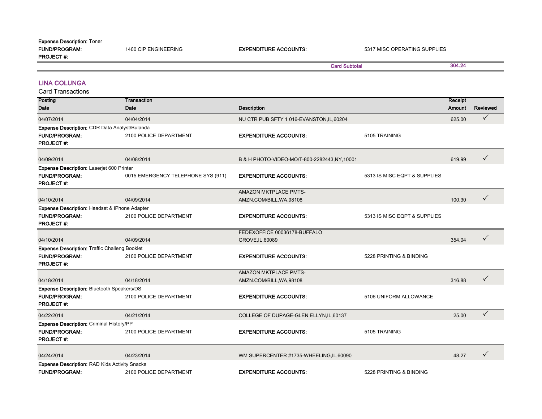| <b>FUND/PROGRAM:</b><br><b>PROJECT#:</b>                                                             | 1400 CIP ENGINEERING               | <b>EXPENDITURE ACCOUNTS:</b>                  | 5317 MISC OPERATING SUPPLIES |                          |                 |
|------------------------------------------------------------------------------------------------------|------------------------------------|-----------------------------------------------|------------------------------|--------------------------|-----------------|
|                                                                                                      |                                    | <b>Card Subtotal</b>                          |                              | 304.24                   |                 |
| <b>LINA COLUNGA</b><br><b>Card Transactions</b>                                                      |                                    |                                               |                              |                          |                 |
| Posting<br>Date                                                                                      | <b>Transaction</b><br><b>Date</b>  | <b>Description</b>                            |                              | Receipt<br><b>Amount</b> | <b>Reviewed</b> |
| 04/07/2014                                                                                           | 04/04/2014                         | NU CTR PUB SFTY 1 016-EVANSTON, IL, 60204     |                              | 625.00                   | $\checkmark$    |
| Expense Description: CDR Data Analyst/Bulanda                                                        |                                    |                                               |                              |                          |                 |
| <b>FUND/PROGRAM:</b><br><b>PROJECT#:</b>                                                             | 2100 POLICE DEPARTMENT             | <b>EXPENDITURE ACCOUNTS:</b>                  | 5105 TRAINING                |                          |                 |
| 04/09/2014                                                                                           | 04/08/2014                         | B & H PHOTO-VIDEO-MO/T-800-2282443, NY, 10001 |                              | 619.99                   | ✓               |
| <b>Expense Description: Laserjet 600 Printer</b>                                                     |                                    |                                               |                              |                          |                 |
| <b>FUND/PROGRAM:</b><br><b>PROJECT#:</b>                                                             | 0015 EMERGENCY TELEPHONE SYS (911) | <b>EXPENDITURE ACCOUNTS:</b>                  | 5313 IS MISC EQPT & SUPPLIES |                          |                 |
|                                                                                                      |                                    | <b>AMAZON MKTPLACE PMTS-</b>                  |                              |                          |                 |
| 04/10/2014                                                                                           | 04/09/2014                         | AMZN.COM/BILL, WA, 98108                      |                              | 100.30                   | ✓               |
| <b>Expense Description: Headset &amp; iPhone Adapter</b><br><b>FUND/PROGRAM:</b><br><b>PROJECT#:</b> | 2100 POLICE DEPARTMENT             | <b>EXPENDITURE ACCOUNTS:</b>                  | 5313 IS MISC EQPT & SUPPLIES |                          |                 |
|                                                                                                      |                                    | FEDEXOFFICE 00036178-BUFFALO                  |                              |                          | ✓               |
| 04/10/2014                                                                                           | 04/09/2014                         | GROVE, IL, 60089                              |                              | 354.04                   |                 |
| <b>Expense Description: Traffic Challeng Booklet</b><br><b>FUND/PROGRAM:</b><br><b>PROJECT#:</b>     | 2100 POLICE DEPARTMENT             | <b>EXPENDITURE ACCOUNTS:</b>                  | 5228 PRINTING & BINDING      |                          |                 |
|                                                                                                      |                                    | AMAZON MKTPLACE PMTS-                         |                              |                          |                 |
| 04/18/2014                                                                                           | 04/18/2014                         | AMZN.COM/BILL, WA, 98108                      |                              | 316.88                   | ✓               |
| <b>Expense Description: Bluetooth Speakers/DS</b><br><b>FUND/PROGRAM:</b><br><b>PROJECT#:</b>        | 2100 POLICE DEPARTMENT             | <b>EXPENDITURE ACCOUNTS:</b>                  | 5106 UNIFORM ALLOWANCE       |                          |                 |
| 04/22/2014                                                                                           | 04/21/2014                         | COLLEGE OF DUPAGE-GLEN ELLYN, IL, 60137       |                              | 25.00                    | ✓               |
| Expense Description: Criminal History/PP                                                             |                                    |                                               |                              |                          |                 |
| <b>FUND/PROGRAM:</b><br><b>PROJECT#:</b>                                                             | 2100 POLICE DEPARTMENT             | <b>EXPENDITURE ACCOUNTS:</b>                  | 5105 TRAINING                |                          |                 |
| 04/24/2014                                                                                           | 04/23/2014                         | WM SUPERCENTER #1735-WHEELING, IL, 60090      |                              | 48.27                    | ✓               |
| <b>Expense Description: RAD Kids Activity Snacks</b><br><b>FUND/PROGRAM:</b>                         | 2100 POLICE DEPARTMENT             | <b>EXPENDITURE ACCOUNTS:</b>                  | 5228 PRINTING & BINDING      |                          |                 |

Expense Description: Toner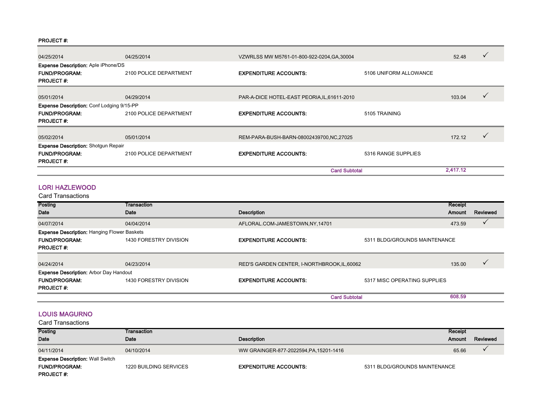#### PROJECT #:

| 04/25/2014                                                                             | 04/25/2014             |                                           | VZWRLSS MW M5761-01-800-922-0204.GA.30004    |          |  |
|----------------------------------------------------------------------------------------|------------------------|-------------------------------------------|----------------------------------------------|----------|--|
| <b>Expense Description: Aple iPhone/DS</b><br><b>FUND/PROGRAM:</b><br><b>PROJECT#:</b> | 2100 POLICE DEPARTMENT | <b>EXPENDITURE ACCOUNTS:</b>              | 5106 UNIFORM ALLOWANCE                       |          |  |
| 05/01/2014                                                                             | 04/29/2014             |                                           | PAR-A-DICE HOTEL-EAST PEORIA, IL, 61611-2010 |          |  |
| <b>Expense Description: Conf Lodging 9/15-PP</b>                                       |                        |                                           |                                              |          |  |
| <b>FUND/PROGRAM:</b>                                                                   | 2100 POLICE DEPARTMENT | <b>EXPENDITURE ACCOUNTS:</b>              | 5105 TRAINING                                |          |  |
| <b>PROJECT#</b>                                                                        |                        |                                           |                                              |          |  |
| 05/02/2014                                                                             | 05/01/2014             | REM-PARA-BUSH-BARN-08002439700, NC, 27025 |                                              | 172.12   |  |
| <b>Expense Description: Shotgun Repair</b>                                             |                        |                                           |                                              |          |  |
| <b>FUND/PROGRAM:</b><br><b>PROJECT#:</b>                                               | 2100 POLICE DEPARTMENT | <b>EXPENDITURE ACCOUNTS:</b>              | 5316 RANGE SUPPLIES                          |          |  |
|                                                                                        |                        | <b>Card Subtotal</b>                      |                                              | 2,417.12 |  |

#### LORI HAZLEWOOD

Card Transactions

| Posting                                            | Transaction            |                                              |                               | Receipt |          |
|----------------------------------------------------|------------------------|----------------------------------------------|-------------------------------|---------|----------|
| Date                                               | Date                   | <b>Description</b>                           |                               | Amount  | Reviewed |
| 04/07/2014                                         | 04/04/2014             | AFLORAL.COM-JAMESTOWN,NY,14701               |                               | 473.59  |          |
| <b>Expense Description: Hanging Flower Baskets</b> |                        |                                              |                               |         |          |
| <b>FUND/PROGRAM:</b>                               | 1430 FORESTRY DIVISION | <b>EXPENDITURE ACCOUNTS:</b>                 | 5311 BLDG/GROUNDS MAINTENANCE |         |          |
| <b>PROJECT#:</b>                                   |                        |                                              |                               |         |          |
| 04/24/2014                                         | 04/23/2014             | RED'S GARDEN CENTER, I-NORTHBROOK, IL, 60062 |                               | 135.00  |          |
| Expense Description: Arbor Day Handout             |                        |                                              |                               |         |          |
| <b>FUND/PROGRAM:</b>                               | 1430 FORESTRY DIVISION | <b>EXPENDITURE ACCOUNTS:</b>                 | 5317 MISC OPERATING SUPPLIES  |         |          |
| <b>PROJECT#:</b>                                   |                        |                                              |                               |         |          |
|                                                    |                        | <b>Card Subtotal</b>                         |                               | 608.59  |          |

#### LOUIS MAGURNO

| Posting                                 | Transaction            |                                         |                               | Receipt |          |
|-----------------------------------------|------------------------|-----------------------------------------|-------------------------------|---------|----------|
| <b>Date</b>                             | Date                   | Description                             |                               | Amount  | Reviewed |
| 04/11/2014                              | 04/10/2014             | WW GRAINGER-877-2022594, PA, 15201-1416 |                               | 65.66   |          |
| <b>Expense Description: Wall Switch</b> |                        |                                         |                               |         |          |
| <b>FUND/PROGRAM:</b>                    | 1220 BUILDING SERVICES | <b>EXPENDITURE ACCOUNTS:</b>            | 5311 BLDG/GROUNDS MAINTENANCE |         |          |
| <b>PROJECT#:</b>                        |                        |                                         |                               |         |          |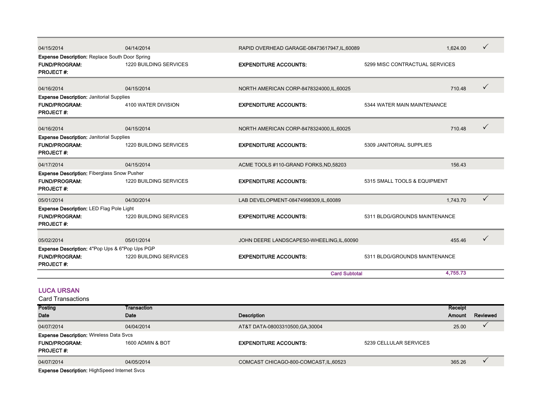| 04/15/2014                                                                                        | 04/14/2014                    | RAPID OVERHEAD GARAGE-08473617947, IL, 60089 |                                | 1.624.00 |              |
|---------------------------------------------------------------------------------------------------|-------------------------------|----------------------------------------------|--------------------------------|----------|--------------|
| <b>Expense Description: Replace South Door Spring</b><br><b>FUND/PROGRAM:</b><br><b>PROJECT#:</b> | <b>1220 BUILDING SERVICES</b> | <b>EXPENDITURE ACCOUNTS:</b>                 | 5299 MISC CONTRACTUAL SERVICES |          |              |
| 04/16/2014                                                                                        | 04/15/2014                    | NORTH AMERICAN CORP-8478324000, IL, 60025    |                                | 710.48   | $\checkmark$ |
| <b>Expense Description: Janitorial Supplies</b><br><b>FUND/PROGRAM:</b><br><b>PROJECT#:</b>       | 4100 WATER DIVISION           | <b>EXPENDITURE ACCOUNTS:</b>                 | 5344 WATER MAIN MAINTENANCE    |          |              |
| 04/16/2014                                                                                        | 04/15/2014                    | NORTH AMERICAN CORP-8478324000, IL, 60025    |                                | 710.48   | $\checkmark$ |
| <b>Expense Description: Janitorial Supplies</b><br><b>FUND/PROGRAM:</b><br><b>PROJECT#:</b>       | 1220 BUILDING SERVICES        | <b>EXPENDITURE ACCOUNTS:</b>                 | 5309 JANITORIAL SUPPLIES       |          |              |
| 04/17/2014                                                                                        | 04/15/2014                    | ACME TOOLS #110-GRAND FORKS, ND, 58203       |                                | 156.43   |              |
| <b>Expense Description: Fiberglass Snow Pusher</b><br><b>FUND/PROGRAM:</b><br><b>PROJECT#:</b>    | <b>1220 BUILDING SERVICES</b> | <b>EXPENDITURE ACCOUNTS:</b>                 | 5315 SMALL TOOLS & EQUIPMENT   |          |              |
| 05/01/2014                                                                                        | 04/30/2014                    | LAB DEVELOPMENT-08474998309,IL,60089         |                                | 1,743.70 | $\checkmark$ |
| <b>Expense Description: LED Flag Pole Light</b><br><b>FUND/PROGRAM:</b><br><b>PROJECT#:</b>       | <b>1220 BUILDING SERVICES</b> | <b>EXPENDITURE ACCOUNTS:</b>                 | 5311 BLDG/GROUNDS MAINTENANCE  |          |              |
| 05/02/2014                                                                                        | 05/01/2014                    | JOHN DEERE LANDSCAPES0-WHEELING, IL, 60090   |                                | 455.46   | $\checkmark$ |
| Expense Description: 4"Pop Ups & 6"Pop Ups PGP<br><b>FUND/PROGRAM:</b><br><b>PROJECT#:</b>        | 1220 BUILDING SERVICES        | <b>EXPENDITURE ACCOUNTS:</b>                 | 5311 BLDG/GROUNDS MAINTENANCE  |          |              |
|                                                                                                   |                               | <b>Card Subtotal</b>                         |                                | 4.755.73 |              |

#### LUCA URSAN

| Posting                                             | Transaction      |                                        |                        | Receipt |          |
|-----------------------------------------------------|------------------|----------------------------------------|------------------------|---------|----------|
| <b>Date</b>                                         | Date             | <b>Description</b>                     |                        | Amount  | Reviewed |
| 04/07/2014                                          | 04/04/2014       | AT&T DATA-08003310500, GA, 30004       |                        | 25.00   |          |
| <b>Expense Description: Wireless Data Svcs</b>      |                  |                                        |                        |         |          |
| <b>FUND/PROGRAM:</b>                                | 1600 ADMIN & BOT | <b>EXPENDITURE ACCOUNTS:</b>           | 5239 CELLULAR SERVICES |         |          |
| <b>PROJECT#:</b>                                    |                  |                                        |                        |         |          |
| 04/07/2014                                          | 04/05/2014       | COMCAST CHICAGO-800-COMCAST, IL, 60523 |                        | 365.26  |          |
| <b>Expense Description: HighSpeed Internet Svcs</b> |                  |                                        |                        |         |          |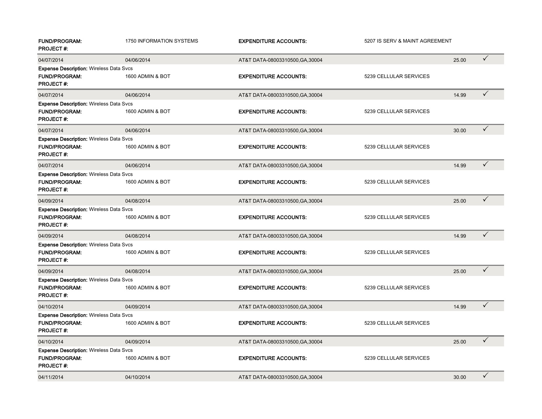| <b>FUND/PROGRAM:</b><br><b>PROJECT#:</b>                                                   | <b>1750 INFORMATION SYSTEMS</b> | <b>EXPENDITURE ACCOUNTS:</b>     | 5207 IS SERV & MAINT AGREEMENT |       |              |
|--------------------------------------------------------------------------------------------|---------------------------------|----------------------------------|--------------------------------|-------|--------------|
| 04/07/2014                                                                                 | 04/06/2014                      | AT&T DATA-08003310500, GA, 30004 |                                | 25.00 | $\checkmark$ |
| <b>Expense Description: Wireless Data Svcs</b><br><b>FUND/PROGRAM:</b><br><b>PROJECT#:</b> | 1600 ADMIN & BOT                | <b>EXPENDITURE ACCOUNTS:</b>     | 5239 CELLULAR SERVICES         |       |              |
| 04/07/2014                                                                                 | 04/06/2014                      | AT&T DATA-08003310500, GA, 30004 |                                | 14.99 | $\checkmark$ |
| <b>Expense Description: Wireless Data Svcs</b><br><b>FUND/PROGRAM:</b><br><b>PROJECT#:</b> | 1600 ADMIN & BOT                | <b>EXPENDITURE ACCOUNTS:</b>     | 5239 CELLULAR SERVICES         |       |              |
| 04/07/2014                                                                                 | 04/06/2014                      | AT&T DATA-08003310500, GA, 30004 |                                | 30.00 | $\checkmark$ |
| <b>Expense Description: Wireless Data Svcs</b><br><b>FUND/PROGRAM:</b><br><b>PROJECT#:</b> | 1600 ADMIN & BOT                | <b>EXPENDITURE ACCOUNTS:</b>     | 5239 CELLULAR SERVICES         |       |              |
| 04/07/2014                                                                                 | 04/06/2014                      | AT&T DATA-08003310500, GA, 30004 |                                | 14.99 | $\checkmark$ |
| <b>Expense Description: Wireless Data Svcs</b><br><b>FUND/PROGRAM:</b><br><b>PROJECT#:</b> | 1600 ADMIN & BOT                | <b>EXPENDITURE ACCOUNTS:</b>     | 5239 CELLULAR SERVICES         |       |              |
| 04/09/2014                                                                                 | 04/08/2014                      | AT&T DATA-08003310500, GA, 30004 |                                | 25.00 | $\checkmark$ |
| <b>Expense Description: Wireless Data Svcs</b><br><b>FUND/PROGRAM:</b><br><b>PROJECT#:</b> | 1600 ADMIN & BOT                | <b>EXPENDITURE ACCOUNTS:</b>     | 5239 CELLULAR SERVICES         |       |              |
| 04/09/2014                                                                                 | 04/08/2014                      | AT&T DATA-08003310500, GA, 30004 |                                | 14.99 | $\checkmark$ |
| <b>Expense Description: Wireless Data Svcs</b><br><b>FUND/PROGRAM:</b><br><b>PROJECT#:</b> | 1600 ADMIN & BOT                | <b>EXPENDITURE ACCOUNTS:</b>     | 5239 CELLULAR SERVICES         |       |              |
| 04/09/2014                                                                                 | 04/08/2014                      | AT&T DATA-08003310500, GA, 30004 |                                | 25.00 | $\checkmark$ |
| <b>Expense Description: Wireless Data Svcs</b><br><b>FUND/PROGRAM:</b><br><b>PROJECT#:</b> | 1600 ADMIN & BOT                | <b>EXPENDITURE ACCOUNTS:</b>     | 5239 CELLULAR SERVICES         |       |              |
| 04/10/2014                                                                                 | 04/09/2014                      | AT&T DATA-08003310500, GA, 30004 |                                | 14.99 | $\checkmark$ |
| <b>Expense Description: Wireless Data Svcs</b><br><b>FUND/PROGRAM:</b><br><b>PROJECT#:</b> | 1600 ADMIN & BOT                | <b>EXPENDITURE ACCOUNTS:</b>     | 5239 CELLULAR SERVICES         |       |              |
| 04/10/2014                                                                                 | 04/09/2014                      | AT&T DATA-08003310500, GA, 30004 |                                | 25.00 | $\checkmark$ |
| <b>Expense Description: Wireless Data Svcs</b><br><b>FUND/PROGRAM:</b><br><b>PROJECT#:</b> | 1600 ADMIN & BOT                | <b>EXPENDITURE ACCOUNTS:</b>     | 5239 CELLULAR SERVICES         |       |              |
| 04/11/2014                                                                                 | 04/10/2014                      | AT&T DATA-08003310500, GA, 30004 |                                | 30.00 | $\checkmark$ |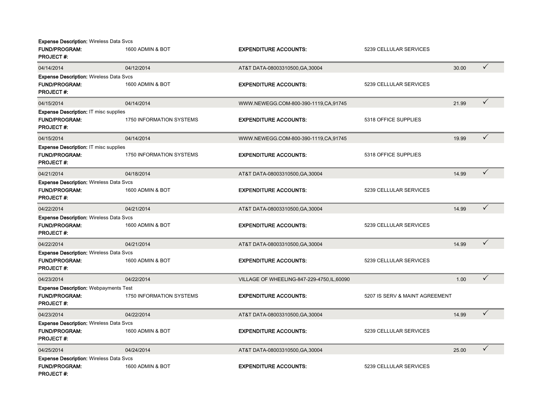| <b>Expense Description: Wireless Data Svcs</b><br><b>FUND/PROGRAM:</b><br><b>PROJECT#:</b> | 1600 ADMIN & BOT                | <b>EXPENDITURE ACCOUNTS:</b>                | 5239 CELLULAR SERVICES         |       |              |
|--------------------------------------------------------------------------------------------|---------------------------------|---------------------------------------------|--------------------------------|-------|--------------|
| 04/14/2014                                                                                 | 04/12/2014                      | AT&T DATA-08003310500, GA, 30004            |                                | 30.00 | $\checkmark$ |
| <b>Expense Description: Wireless Data Svcs</b><br><b>FUND/PROGRAM:</b><br><b>PROJECT#:</b> | 1600 ADMIN & BOT                | <b>EXPENDITURE ACCOUNTS:</b>                | 5239 CELLULAR SERVICES         |       |              |
| 04/15/2014                                                                                 | 04/14/2014                      | WWW.NEWEGG.COM-800-390-1119.CA,91745        |                                | 21.99 | $\checkmark$ |
| <b>Expense Description: IT misc supplies</b><br><b>FUND/PROGRAM:</b><br><b>PROJECT#:</b>   | <b>1750 INFORMATION SYSTEMS</b> | <b>EXPENDITURE ACCOUNTS:</b>                | 5318 OFFICE SUPPLIES           |       |              |
| 04/15/2014                                                                                 | 04/14/2014                      | WWW.NEWEGG.COM-800-390-1119,CA,91745        |                                | 19.99 | $\checkmark$ |
| <b>Expense Description: IT misc supplies</b><br><b>FUND/PROGRAM:</b><br><b>PROJECT#:</b>   | 1750 INFORMATION SYSTEMS        | <b>EXPENDITURE ACCOUNTS:</b>                | 5318 OFFICE SUPPLIES           |       |              |
| 04/21/2014                                                                                 | 04/18/2014                      | AT&T DATA-08003310500, GA, 30004            |                                | 14.99 | $\checkmark$ |
| <b>Expense Description: Wireless Data Svcs</b><br><b>FUND/PROGRAM:</b><br><b>PROJECT#:</b> | 1600 ADMIN & BOT                | <b>EXPENDITURE ACCOUNTS:</b>                | 5239 CELLULAR SERVICES         |       |              |
| 04/22/2014                                                                                 | 04/21/2014                      | AT&T DATA-08003310500, GA, 30004            |                                | 14.99 | $\checkmark$ |
| <b>Expense Description: Wireless Data Svcs</b><br><b>FUND/PROGRAM:</b><br><b>PROJECT#:</b> | 1600 ADMIN & BOT                | <b>EXPENDITURE ACCOUNTS:</b>                | 5239 CELLULAR SERVICES         |       |              |
| 04/22/2014                                                                                 | 04/21/2014                      | AT&T DATA-08003310500, GA, 30004            |                                | 14.99 | $\checkmark$ |
| <b>Expense Description: Wireless Data Svcs</b><br><b>FUND/PROGRAM:</b><br><b>PROJECT#:</b> | 1600 ADMIN & BOT                | <b>EXPENDITURE ACCOUNTS:</b>                | 5239 CELLULAR SERVICES         |       |              |
| 04/23/2014                                                                                 | 04/22/2014                      | VILLAGE OF WHEELING-847-229-4750, IL, 60090 |                                | 1.00  | $\checkmark$ |
| <b>Expense Description: Webpayments Test</b><br><b>FUND/PROGRAM:</b><br><b>PROJECT#:</b>   | 1750 INFORMATION SYSTEMS        | <b>EXPENDITURE ACCOUNTS:</b>                | 5207 IS SERV & MAINT AGREEMENT |       |              |
| 04/23/2014                                                                                 | 04/22/2014                      | AT&T DATA-08003310500, GA, 30004            |                                | 14.99 | $\checkmark$ |
| <b>Expense Description: Wireless Data Svcs</b><br><b>FUND/PROGRAM:</b><br><b>PROJECT#:</b> | 1600 ADMIN & BOT                | <b>EXPENDITURE ACCOUNTS:</b>                | 5239 CELLULAR SERVICES         |       |              |
| 04/25/2014                                                                                 | 04/24/2014                      | AT&T DATA-08003310500, GA, 30004            |                                | 25.00 | $\checkmark$ |
| <b>Expense Description: Wireless Data Svcs</b><br><b>FUND/PROGRAM:</b><br><b>PROJECT#:</b> | 1600 ADMIN & BOT                | <b>EXPENDITURE ACCOUNTS:</b>                | 5239 CELLULAR SERVICES         |       |              |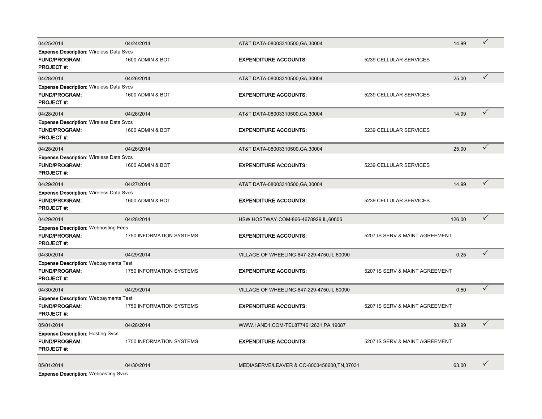| 04/25/2014                                                                                 | 04/24/2014                      | AT&T DATA-08003310500, GA, 30004             |                                | 14.99  | $\checkmark$ |
|--------------------------------------------------------------------------------------------|---------------------------------|----------------------------------------------|--------------------------------|--------|--------------|
| <b>Expense Description: Wireless Data Svcs</b><br>FUND/PROGRAM:<br><b>PROJECT#:</b>        | 1600 ADMIN & BOT                | <b>EXPENDITURE ACCOUNTS:</b>                 | 5239 CELLULAR SERVICES         |        |              |
| 04/28/2014                                                                                 | 04/26/2014                      | AT&T DATA-08003310500, GA, 30004             |                                | 25.00  | ✓            |
| <b>Expense Description: Wireless Data Svcs</b><br><b>FUND/PROGRAM:</b><br><b>PROJECT#:</b> | 1600 ADMIN & BOT                | <b>EXPENDITURE ACCOUNTS:</b>                 | 5239 CELLULAR SERVICES         |        |              |
| 04/28/2014                                                                                 | 04/26/2014                      | AT&T DATA-08003310500, GA, 30004             |                                | 14.99  | ✓            |
| <b>Expense Description: Wireless Data Svcs</b><br><b>FUND/PROGRAM:</b><br><b>PROJECT#:</b> | 1600 ADMIN & BOT                | <b>EXPENDITURE ACCOUNTS:</b>                 | 5239 CELLULAR SERVICES         |        |              |
| 04/28/2014                                                                                 | 04/26/2014                      | AT&T DATA-08003310500, GA, 30004             |                                | 25.00  | $\checkmark$ |
| <b>Expense Description: Wireless Data Svcs</b><br><b>FUND/PROGRAM:</b><br><b>PROJECT#:</b> | 1600 ADMIN & BOT                | <b>EXPENDITURE ACCOUNTS:</b>                 | 5239 CELLULAR SERVICES         |        |              |
| 04/29/2014                                                                                 | 04/27/2014                      | AT&T DATA-08003310500, GA, 30004             |                                | 14.99  | $\checkmark$ |
| <b>Expense Description: Wireless Data Svcs</b><br><b>FUND/PROGRAM:</b><br><b>PROJECT#:</b> | 1600 ADMIN & BOT                | <b>EXPENDITURE ACCOUNTS:</b>                 | 5239 CELLULAR SERVICES         |        |              |
| 04/29/2014                                                                                 | 04/28/2014                      | HSW HOSTWAY.COM-866-4678929, IL, 60606       |                                | 126.00 | $\checkmark$ |
| <b>Expense Description: Webhosting Fees</b><br><b>FUND/PROGRAM:</b><br><b>PROJECT#:</b>    | 1750 INFORMATION SYSTEMS        | <b>EXPENDITURE ACCOUNTS:</b>                 | 5207 IS SERV & MAINT AGREEMENT |        |              |
| 04/30/2014                                                                                 | 04/29/2014                      | VILLAGE OF WHEELING-847-229-4750, IL, 60090  |                                | 0.25   | $\checkmark$ |
| <b>Expense Description: Webpayments Test</b><br><b>FUND/PROGRAM:</b><br><b>PROJECT#:</b>   | 1750 INFORMATION SYSTEMS        | <b>EXPENDITURE ACCOUNTS:</b>                 | 5207 IS SERV & MAINT AGREEMENT |        |              |
| 04/30/2014                                                                                 | 04/29/2014                      | VILLAGE OF WHEELING-847-229-4750, IL, 60090  |                                | 0.50   | ✓            |
| <b>Expense Description: Webpayments Test</b><br><b>FUND/PROGRAM:</b><br><b>PROJECT#:</b>   | 1750 INFORMATION SYSTEMS        | <b>EXPENDITURE ACCOUNTS:</b>                 | 5207 IS SERV & MAINT AGREEMENT |        |              |
| 05/01/2014                                                                                 | 04/28/2014                      | WWW.1AND1.COM-TEL8774612631,PA,19087         |                                | 88.99  | ✓            |
| <b>Expense Description: Hosting Svcs</b><br><b>FUND/PROGRAM:</b><br><b>PROJECT#:</b>       | <b>1750 INFORMATION SYSTEMS</b> | <b>EXPENDITURE ACCOUNTS:</b>                 | 5207 IS SERV & MAINT AGREEMENT |        |              |
| 05/01/2014                                                                                 | 04/30/2014                      | MEDIASERVE/LEAVER & CO-8003456600, TN, 37031 |                                | 63.00  | ✓            |

Expense Description: Webcasting Svcs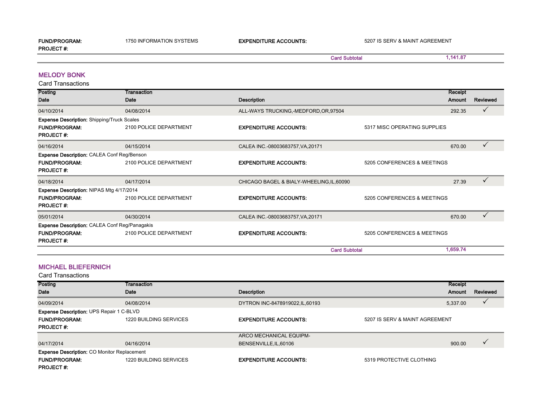FUND/PROGRAM: 1750 INFORMATION SYSTEMS EXPENDITURE ACCOUNTS: 5207 IS SERV & MAINT AGREEMENT

Card Subtotal

1,141.87

PROJECT #:

Card Transactions MELODY BONK

| Posting                                           | Transaction            |                                           |                              | Receipt  |              |
|---------------------------------------------------|------------------------|-------------------------------------------|------------------------------|----------|--------------|
| Date                                              | Date                   | <b>Description</b>                        |                              | Amount   | Reviewed     |
| 04/10/2014                                        | 04/08/2014             | ALL-WAYS TRUCKING,-MEDFORD, OR, 97504     |                              | 292.35   | ✓            |
| <b>Expense Description: Shipping/Truck Scales</b> |                        |                                           |                              |          |              |
| <b>FUND/PROGRAM:</b><br><b>PROJECT#:</b>          | 2100 POLICE DEPARTMENT | <b>EXPENDITURE ACCOUNTS:</b>              | 5317 MISC OPERATING SUPPLIES |          |              |
| 04/16/2014                                        | 04/15/2014             | CALEA INC.-08003683757, VA, 20171         |                              | 670.00   | ✓            |
| Expense Description: CALEA Conf Reg/Benson        |                        |                                           |                              |          |              |
| <b>FUND/PROGRAM:</b><br><b>PROJECT#:</b>          | 2100 POLICE DEPARTMENT | <b>EXPENDITURE ACCOUNTS:</b>              | 5205 CONFERENCES & MEETINGS  |          |              |
| 04/18/2014                                        | 04/17/2014             | CHICAGO BAGEL & BIALY-WHEELING, IL, 60090 |                              | 27.39    | $\checkmark$ |
| Expense Description: NIPAS Mtg 4/17/2014          |                        |                                           |                              |          |              |
| <b>FUND/PROGRAM:</b><br><b>PROJECT#:</b>          | 2100 POLICE DEPARTMENT | <b>EXPENDITURE ACCOUNTS:</b>              | 5205 CONFERENCES & MEETINGS  |          |              |
| 05/01/2014                                        | 04/30/2014             | CALEA INC.-08003683757, VA, 20171         |                              | 670.00   | ✓            |
| Expense Description: CALEA Conf Reg/Panagakis     |                        |                                           |                              |          |              |
| <b>FUND/PROGRAM:</b><br><b>PROJECT#:</b>          | 2100 POLICE DEPARTMENT | <b>EXPENDITURE ACCOUNTS:</b>              | 5205 CONFERENCES & MEETINGS  |          |              |
|                                                   |                        | <b>Card Subtotal</b>                      |                              | 1,659.74 |              |

#### MICHAEL BLIEFERNICH

| Posting                                            | Transaction            |                                  |                                | Receipt  |          |
|----------------------------------------------------|------------------------|----------------------------------|--------------------------------|----------|----------|
| Date                                               | Date                   | Description                      |                                | Amount   | Reviewed |
| 04/09/2014                                         | 04/08/2014             | DYTRON INC-8478919022, IL, 60193 |                                | 5,337.00 |          |
| <b>Expense Description: UPS Repair 1 C-BLVD</b>    |                        |                                  |                                |          |          |
| <b>FUND/PROGRAM:</b>                               | 1220 BUILDING SERVICES | <b>EXPENDITURE ACCOUNTS:</b>     | 5207 IS SERV & MAINT AGREEMENT |          |          |
| <b>PROJECT#:</b>                                   |                        |                                  |                                |          |          |
|                                                    |                        | ARCO MECHANICAL EQUIPM-          |                                |          |          |
| 04/17/2014                                         | 04/16/2014             | BENSENVILLE, IL, 60106           |                                | 900.00   |          |
| <b>Expense Description: CO Monitor Replacement</b> |                        |                                  |                                |          |          |
| <b>FUND/PROGRAM:</b>                               | 1220 BUILDING SERVICES | <b>EXPENDITURE ACCOUNTS:</b>     | 5319 PROTECTIVE CLOTHING       |          |          |
| <b>PROJECT#:</b>                                   |                        |                                  |                                |          |          |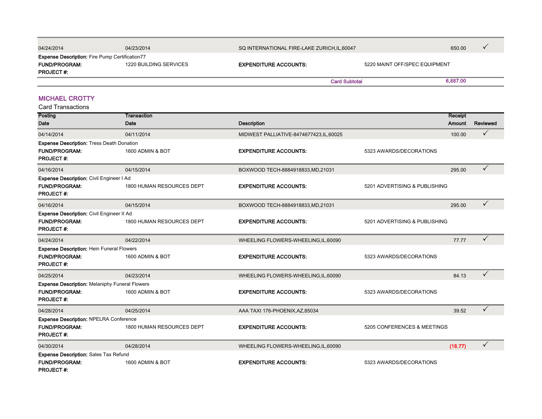| 04/24/2014                                            | 04/23/2014             | SQ INTERNATIONAL FIRE-LAKE ZURICH.IL.60047 |                      | 650.00                        |  |
|-------------------------------------------------------|------------------------|--------------------------------------------|----------------------|-------------------------------|--|
| <b>Expense Description:</b> Fire Pump Certification77 |                        |                                            |                      |                               |  |
| <b>FUND/PROGRAM:</b>                                  | 1220 BUILDING SERVICES | <b>EXPENDITURE ACCOUNTS:</b>               |                      | 5220 MAINT OFF/SPEC EQUIPMENT |  |
| <b>PROJECT#:</b>                                      |                        |                                            |                      |                               |  |
|                                                       |                        |                                            | <b>Card Subtotal</b> | 6,887.00                      |  |

#### MICHAEL CROTTY

| Posting                                               | <b>Transaction</b>        |                                          |                               | Receipt       |              |
|-------------------------------------------------------|---------------------------|------------------------------------------|-------------------------------|---------------|--------------|
| Date                                                  | Date                      | <b>Description</b>                       |                               | <b>Amount</b> | Reviewed     |
| 04/14/2014                                            | 04/11/2014                | MIDWEST PALLIATIVE-8474677423, IL, 60025 |                               | 100.00        | $\checkmark$ |
| <b>Expense Description: Tress Death Donation</b>      |                           |                                          |                               |               |              |
| <b>FUND/PROGRAM:</b><br><b>PROJECT#:</b>              | 1600 ADMIN & BOT          | <b>EXPENDITURE ACCOUNTS:</b>             | 5323 AWARDS/DECORATIONS       |               |              |
| 04/16/2014                                            | 04/15/2014                | BOXWOOD TECH-8884918833, MD, 21031       |                               | 295.00        | $\checkmark$ |
| Expense Description: Civil Engineer I Ad              |                           |                                          |                               |               |              |
| <b>FUND/PROGRAM:</b><br><b>PROJECT#:</b>              | 1800 HUMAN RESOURCES DEPT | <b>EXPENDITURE ACCOUNTS:</b>             | 5201 ADVERTISING & PUBLISHING |               |              |
| 04/16/2014                                            | 04/15/2014                | BOXWOOD TECH-8884918833, MD, 21031       |                               | 295.00        | ✓            |
| Expense Description: Civil Engineer II Ad             |                           |                                          |                               |               |              |
| <b>FUND/PROGRAM:</b><br><b>PROJECT#:</b>              | 1800 HUMAN RESOURCES DEPT | <b>EXPENDITURE ACCOUNTS:</b>             | 5201 ADVERTISING & PUBLISHING |               |              |
| 04/24/2014                                            | 04/22/2014                | WHEELING FLOWERS-WHEELING, IL, 60090     |                               | 77.77         | $\checkmark$ |
| <b>Expense Description: Hein Funeral Flowers</b>      |                           |                                          |                               |               |              |
| <b>FUND/PROGRAM:</b><br><b>PROJECT#:</b>              | 1600 ADMIN & BOT          | <b>EXPENDITURE ACCOUNTS:</b>             | 5323 AWARDS/DECORATIONS       |               |              |
| 04/25/2014                                            | 04/23/2014                | WHEELING FLOWERS-WHEELING, IL, 60090     |                               | 84.13         | $\checkmark$ |
| <b>Expense Description: Melaniphy Funeral Flowers</b> |                           |                                          |                               |               |              |
| <b>FUND/PROGRAM:</b><br><b>PROJECT#:</b>              | 1600 ADMIN & BOT          | <b>EXPENDITURE ACCOUNTS:</b>             | 5323 AWARDS/DECORATIONS       |               |              |
| 04/28/2014                                            | 04/25/2014                | AAA TAXI 176-PHOENIX, AZ, 85034          |                               | 39.52         | ✓            |
| <b>Expense Description: NPELRA Conference</b>         |                           |                                          |                               |               |              |
| <b>FUND/PROGRAM:</b>                                  | 1800 HUMAN RESOURCES DEPT | <b>EXPENDITURE ACCOUNTS:</b>             | 5205 CONFERENCES & MEETINGS   |               |              |
| <b>PROJECT#:</b>                                      |                           |                                          |                               |               |              |
| 04/30/2014                                            | 04/28/2014                | WHEELING FLOWERS-WHEELING, IL, 60090     |                               | (18.77)       | $\checkmark$ |
| Expense Description: Sales Tax Refund                 |                           |                                          |                               |               |              |
| <b>FUND/PROGRAM:</b><br><b>PROJECT#:</b>              | 1600 ADMIN & BOT          | <b>EXPENDITURE ACCOUNTS:</b>             | 5323 AWARDS/DECORATIONS       |               |              |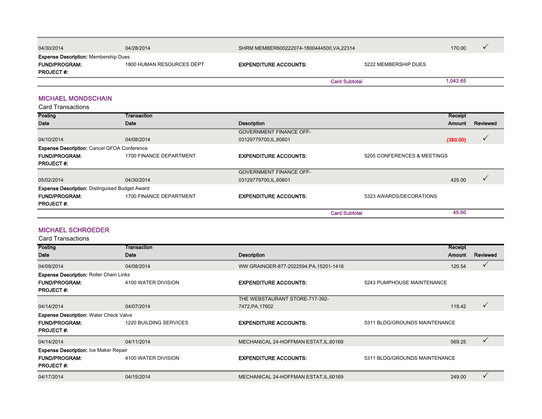| 04/30/2014                                  | 04/28/2014                | SHRM MEMBER600222074-1800444500, VA, 22314 |                      | 170.00   |  |
|---------------------------------------------|---------------------------|--------------------------------------------|----------------------|----------|--|
| <b>Expense Description:</b> Membership Dues |                           |                                            |                      |          |  |
| <b>FUND/PROGRAM:</b>                        | 1800 HUMAN RESOURCES DEPT | <b>EXPENDITURE ACCOUNTS:</b>               | 5222 MEMBERSHIP DUES |          |  |
| <b>PROJECT#:</b>                            |                           |                                            |                      |          |  |
|                                             |                           | <b>Card Subtotal</b>                       |                      | 1.042.65 |  |

#### MICHAEL MONDSCHAIN

Card Transactions

| <b>Posting</b>                                        | Transaction             |                                |                             | Receipt  |              |
|-------------------------------------------------------|-------------------------|--------------------------------|-----------------------------|----------|--------------|
| Date                                                  | Date                    | <b>Description</b>             |                             | Amount   | Reviewed     |
|                                                       |                         | <b>GOVERNMENT FINANCE OFF-</b> |                             |          |              |
| 04/10/2014                                            | 04/08/2014              | 03129779700,IL,60601           |                             | (380.00) | $\checkmark$ |
| <b>Expense Description: Cancel GFOA Conference</b>    |                         |                                |                             |          |              |
| <b>FUND/PROGRAM:</b>                                  | 1700 FINANCE DEPARTMENT | <b>EXPENDITURE ACCOUNTS:</b>   | 5205 CONFERENCES & MEETINGS |          |              |
| <b>PROJECT#:</b>                                      |                         |                                |                             |          |              |
|                                                       |                         | <b>GOVERNMENT FINANCE OFF-</b> |                             |          |              |
| 05/02/2014                                            | 04/30/2014              | 03129779700,IL,60601           |                             | 425.00   |              |
| <b>Expense Description: Distinguised Budget Award</b> |                         |                                |                             |          |              |
| <b>FUND/PROGRAM:</b>                                  | 1700 FINANCE DEPARTMENT | <b>EXPENDITURE ACCOUNTS:</b>   | 5323 AWARDS/DECORATIONS     |          |              |
| <b>PROJECT#:</b>                                      |                         |                                |                             |          |              |
|                                                       |                         |                                | <b>Card Subtotal</b>        | 45.00    |              |

#### MICHAEL SCHROEDER

| Posting                                        | Transaction                   |                                         |                               | Receipt |          |
|------------------------------------------------|-------------------------------|-----------------------------------------|-------------------------------|---------|----------|
| <b>Date</b>                                    | Date                          | <b>Description</b>                      |                               | Amount  | Reviewed |
| 04/09/2014                                     | 04/08/2014                    | WW GRAINGER-877-2022594, PA, 15201-1416 |                               | 120.54  |          |
| <b>Expense Description: Roller Chain Links</b> |                               |                                         |                               |         |          |
| <b>FUND/PROGRAM:</b>                           | 4100 WATER DIVISION           | <b>EXPENDITURE ACCOUNTS:</b>            | 5243 PUMPHOUSE MAINTENANCE    |         |          |
| <b>PROJECT#:</b>                               |                               |                                         |                               |         |          |
|                                                |                               | THE WEBSTAURANT STORE-717-392-          |                               |         |          |
| 04/14/2014                                     | 04/07/2014                    | 7472, PA, 17602                         |                               | 119.42  |          |
| <b>Expense Description: Water Check Valve</b>  |                               |                                         |                               |         |          |
| <b>FUND/PROGRAM:</b>                           | <b>1220 BUILDING SERVICES</b> | <b>EXPENDITURE ACCOUNTS:</b>            | 5311 BLDG/GROUNDS MAINTENANCE |         |          |
| <b>PROJECT#:</b>                               |                               |                                         |                               |         |          |
| 04/14/2014                                     | 04/11/2014                    | MECHANICAL 24-HOFFMAN ESTAT, IL, 60169  |                               | 569.25  |          |
| <b>Expense Description: Ice Maker Repair</b>   |                               |                                         |                               |         |          |
| <b>FUND/PROGRAM:</b>                           | 4100 WATER DIVISION           | <b>EXPENDITURE ACCOUNTS:</b>            | 5311 BLDG/GROUNDS MAINTENANCE |         |          |
| <b>PROJECT#:</b>                               |                               |                                         |                               |         |          |
| 04/17/2014                                     | 04/15/2014                    | MECHANICAL 24-HOFFMAN ESTAT, IL, 60169  |                               | 249.00  |          |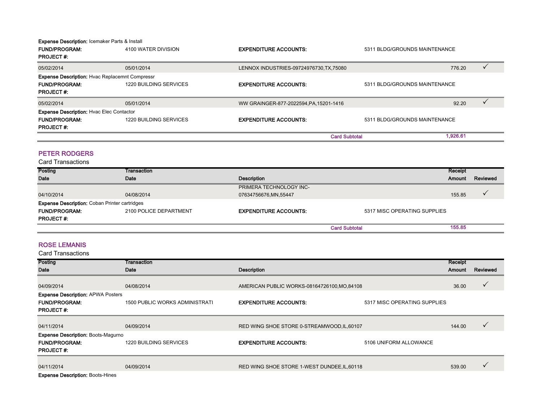#### Expense Description: Icemaker Parts & Install

| <b>FUND/PROGRAM:</b><br><b>PROJECT#:</b>              | 4100 WATER DIVISION           | <b>EXPENDITURE ACCOUNTS:</b>             | 5311 BLDG/GROUNDS MAINTENANCE |          |  |
|-------------------------------------------------------|-------------------------------|------------------------------------------|-------------------------------|----------|--|
| 05/02/2014                                            | 05/01/2014                    | LENNOX INDUSTRIES-09724976730, TX, 75080 |                               | 776.20   |  |
| <b>Expense Description: Hyac Replacemnt Compressr</b> |                               |                                          |                               |          |  |
| <b>FUND/PROGRAM:</b>                                  | 1220 BUILDING SERVICES        | <b>EXPENDITURE ACCOUNTS:</b>             | 5311 BLDG/GROUNDS MAINTENANCE |          |  |
| <b>PROJECT#:</b>                                      |                               |                                          |                               |          |  |
| 05/02/2014                                            | 05/01/2014                    | WW GRAINGER-877-2022594, PA, 15201-1416  |                               | 92.20    |  |
| <b>Expense Description: Hyac Elec Contactor</b>       |                               |                                          |                               |          |  |
| <b>FUND/PROGRAM:</b>                                  | <b>1220 BUILDING SERVICES</b> | <b>EXPENDITURE ACCOUNTS:</b>             | 5311 BLDG/GROUNDS MAINTENANCE |          |  |
| <b>PROJECT#:</b>                                      |                               |                                          |                               |          |  |
|                                                       |                               | <b>Card Subtotal</b>                     |                               | 1,926.61 |  |

#### PETER RODGERS

Card Transactions

| <b>Posting</b>                                       | Transaction            |                              |                              | Receipt |          |
|------------------------------------------------------|------------------------|------------------------------|------------------------------|---------|----------|
| <b>Date</b>                                          | Date                   | Description                  |                              | Amount  | Reviewed |
|                                                      |                        | PRIMERA TECHNOLOGY INC-      |                              |         |          |
| 04/10/2014                                           | 04/08/2014             | 07634756676, MN, 55447       |                              | 155.85  |          |
| <b>Expense Description: Coban Printer cartridges</b> |                        |                              |                              |         |          |
| <b>FUND/PROGRAM:</b>                                 | 2100 POLICE DEPARTMENT | <b>EXPENDITURE ACCOUNTS:</b> | 5317 MISC OPERATING SUPPLIES |         |          |
| <b>PROJECT#:</b>                                     |                        |                              |                              |         |          |
|                                                      |                        |                              | <b>Card Subtotal</b>         | 155.85  |          |

#### ROSE LEMANIS

| Posting                                   | Transaction                           |                                              |                              | Receipt |              |
|-------------------------------------------|---------------------------------------|----------------------------------------------|------------------------------|---------|--------------|
| <b>Date</b>                               | Date                                  | <b>Description</b>                           |                              | Amount  | Reviewed     |
|                                           |                                       |                                              |                              |         |              |
| 04/09/2014                                | 04/08/2014                            | AMERICAN PUBLIC WORKS-08164726100, MO, 84108 |                              | 36.00   | $\checkmark$ |
| <b>Expense Description: APWA Posters</b>  |                                       |                                              |                              |         |              |
| <b>FUND/PROGRAM:</b>                      | <b>1500 PUBLIC WORKS ADMINISTRATI</b> | <b>EXPENDITURE ACCOUNTS:</b>                 | 5317 MISC OPERATING SUPPLIES |         |              |
| <b>PROJECT#:</b>                          |                                       |                                              |                              |         |              |
|                                           |                                       |                                              |                              |         |              |
| 04/11/2014                                | 04/09/2014                            | RED WING SHOE STORE 0-STREAMWOOD, IL, 60107  |                              | 144.00  | ✓            |
| <b>Expense Description: Boots-Magurno</b> |                                       |                                              |                              |         |              |
| <b>FUND/PROGRAM:</b>                      | 1220 BUILDING SERVICES                | <b>EXPENDITURE ACCOUNTS:</b>                 | 5106 UNIFORM ALLOWANCE       |         |              |
| <b>PROJECT#:</b>                          |                                       |                                              |                              |         |              |
|                                           |                                       |                                              |                              |         |              |
| 04/11/2014                                | 04/09/2014                            | RED WING SHOE STORE 1-WEST DUNDEE, IL, 60118 |                              | 539.00  | ✓            |
| <b>Expense Description: Boots-Hines</b>   |                                       |                                              |                              |         |              |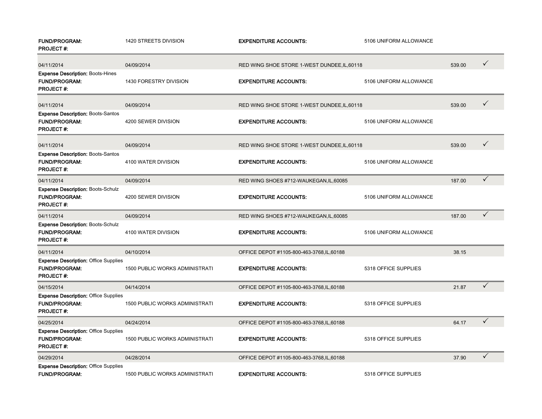| <b>FUND/PROGRAM:</b><br><b>PROJECT#:</b>                                                | 1420 STREETS DIVISION                 | <b>EXPENDITURE ACCOUNTS:</b>                 | 5106 UNIFORM ALLOWANCE |        |              |
|-----------------------------------------------------------------------------------------|---------------------------------------|----------------------------------------------|------------------------|--------|--------------|
| 04/11/2014                                                                              | 04/09/2014                            | RED WING SHOE STORE 1-WEST DUNDEE, IL, 60118 |                        | 539.00 | $\checkmark$ |
| <b>Expense Description: Boots-Hines</b><br><b>FUND/PROGRAM:</b><br><b>PROJECT#:</b>     | 1430 FORESTRY DIVISION                | <b>EXPENDITURE ACCOUNTS:</b>                 | 5106 UNIFORM ALLOWANCE |        |              |
| 04/11/2014                                                                              | 04/09/2014                            | RED WING SHOE STORE 1-WEST DUNDEE, IL, 60118 |                        | 539.00 | $\checkmark$ |
| <b>Expense Description: Boots-Santos</b><br><b>FUND/PROGRAM:</b><br><b>PROJECT#:</b>    | 4200 SEWER DIVISION                   | <b>EXPENDITURE ACCOUNTS:</b>                 | 5106 UNIFORM ALLOWANCE |        |              |
| 04/11/2014                                                                              | 04/09/2014                            | RED WING SHOE STORE 1-WEST DUNDEE, IL, 60118 |                        | 539.00 | $\checkmark$ |
| <b>Expense Description: Boots-Santos</b><br><b>FUND/PROGRAM:</b><br><b>PROJECT#:</b>    | 4100 WATER DIVISION                   | <b>EXPENDITURE ACCOUNTS:</b>                 | 5106 UNIFORM ALLOWANCE |        |              |
| 04/11/2014                                                                              | 04/09/2014                            | RED WING SHOES #712-WAUKEGAN, IL, 60085      |                        | 187.00 | $\checkmark$ |
| <b>Expense Description: Boots-Schulz</b><br><b>FUND/PROGRAM:</b><br><b>PROJECT#:</b>    | 4200 SEWER DIVISION                   | <b>EXPENDITURE ACCOUNTS:</b>                 | 5106 UNIFORM ALLOWANCE |        |              |
| 04/11/2014                                                                              | 04/09/2014                            | RED WING SHOES #712-WAUKEGAN, IL, 60085      |                        | 187.00 | ✓            |
| <b>Expense Description: Boots-Schulz</b><br><b>FUND/PROGRAM:</b><br><b>PROJECT#:</b>    | 4100 WATER DIVISION                   | <b>EXPENDITURE ACCOUNTS:</b>                 | 5106 UNIFORM ALLOWANCE |        |              |
| 04/11/2014                                                                              | 04/10/2014                            | OFFICE DEPOT #1105-800-463-3768, IL, 60188   |                        | 38.15  |              |
| <b>Expense Description: Office Supplies</b><br><b>FUND/PROGRAM:</b><br><b>PROJECT#:</b> | <b>1500 PUBLIC WORKS ADMINISTRATI</b> | <b>EXPENDITURE ACCOUNTS:</b>                 | 5318 OFFICE SUPPLIES   |        |              |
| 04/15/2014                                                                              | 04/14/2014                            | OFFICE DEPOT #1105-800-463-3768, IL, 60188   |                        | 21.87  | $\checkmark$ |
| <b>Expense Description: Office Supplies</b><br>FUND/PROGRAM:<br><b>PROJECT#:</b>        | <b>1500 PUBLIC WORKS ADMINISTRATI</b> | <b>EXPENDITURE ACCOUNTS:</b>                 | 5318 OFFICE SUPPLIES   |        |              |
| 04/25/2014                                                                              | 04/24/2014                            | OFFICE DEPOT #1105-800-463-3768, IL, 60188   |                        | 64.17  | $\checkmark$ |
| <b>Expense Description: Office Supplies</b><br><b>FUND/PROGRAM:</b><br><b>PROJECT#:</b> | <b>1500 PUBLIC WORKS ADMINISTRATI</b> | <b>EXPENDITURE ACCOUNTS:</b>                 | 5318 OFFICE SUPPLIES   |        |              |
| 04/29/2014                                                                              | 04/28/2014                            | OFFICE DEPOT #1105-800-463-3768, IL, 60188   |                        | 37.90  | $\checkmark$ |
| <b>Expense Description: Office Supplies</b><br><b>FUND/PROGRAM:</b>                     | <b>1500 PUBLIC WORKS ADMINISTRATI</b> | <b>EXPENDITURE ACCOUNTS:</b>                 | 5318 OFFICE SUPPLIES   |        |              |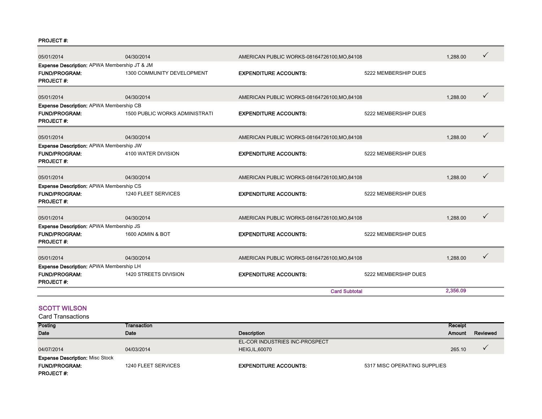PROJECT #:

| 05/01/2014                                   | 04/30/2014                     | AMERICAN PUBLIC WORKS-08164726100, MO, 84108 |                      | 1,288.00 | ✓ |
|----------------------------------------------|--------------------------------|----------------------------------------------|----------------------|----------|---|
| Expense Description: APWA Membership JT & JM |                                |                                              |                      |          |   |
| <b>FUND/PROGRAM:</b><br><b>PROJECT#:</b>     | 1300 COMMUNITY DEVELOPMENT     | <b>EXPENDITURE ACCOUNTS:</b>                 | 5222 MEMBERSHIP DUES |          |   |
|                                              |                                |                                              |                      |          |   |
| 05/01/2014                                   | 04/30/2014                     | AMERICAN PUBLIC WORKS-08164726100, MO.84108  |                      | 1,288.00 |   |
| Expense Description: APWA Membership CB      |                                |                                              |                      |          |   |
| <b>FUND/PROGRAM:</b><br><b>PROJECT#:</b>     | 1500 PUBLIC WORKS ADMINISTRATI | <b>EXPENDITURE ACCOUNTS:</b>                 | 5222 MEMBERSHIP DUES |          |   |
| 05/01/2014                                   | 04/30/2014                     | AMERICAN PUBLIC WORKS-08164726100, MO, 84108 |                      | 1,288.00 |   |
| Expense Description: APWA Membership JW      |                                |                                              |                      |          |   |
| <b>FUND/PROGRAM:</b><br><b>PROJECT#:</b>     | 4100 WATER DIVISION            | <b>EXPENDITURE ACCOUNTS:</b>                 | 5222 MEMBERSHIP DUES |          |   |
| 05/01/2014                                   | 04/30/2014                     | AMERICAN PUBLIC WORKS-08164726100, MO.84108  |                      | 1,288.00 | ✓ |
| Expense Description: APWA Membership CS      |                                |                                              |                      |          |   |
| <b>FUND/PROGRAM:</b><br><b>PROJECT#:</b>     | 1240 FLEET SERVICES            | <b>EXPENDITURE ACCOUNTS:</b>                 | 5222 MEMBERSHIP DUES |          |   |
| 05/01/2014                                   | 04/30/2014                     | AMERICAN PUBLIC WORKS-08164726100, MO, 84108 |                      | 1,288.00 | ✓ |
| Expense Description: APWA Membership JS      |                                |                                              |                      |          |   |
| <b>FUND/PROGRAM:</b><br><b>PROJECT#:</b>     | 1600 ADMIN & BOT               | <b>EXPENDITURE ACCOUNTS:</b>                 | 5222 MEMBERSHIP DUES |          |   |
| 05/01/2014                                   | 04/30/2014                     | AMERICAN PUBLIC WORKS-08164726100, MO.84108  |                      | 1,288.00 | ✓ |
| Expense Description: APWA Membership LH      |                                |                                              |                      |          |   |
| <b>FUND/PROGRAM:</b><br><b>PROJECT#:</b>     | 1420 STREETS DIVISION          | <b>EXPENDITURE ACCOUNTS:</b>                 | 5222 MEMBERSHIP DUES |          |   |
|                                              |                                |                                              | <b>Card Subtotal</b> | 2.356.09 |   |

#### SCOTT WILSON

| <b>Posting</b>                         | Transaction         |                                |                              | Receipt |          |
|----------------------------------------|---------------------|--------------------------------|------------------------------|---------|----------|
| Date                                   | Date                | Description                    |                              | Amount  | Reviewed |
|                                        |                     | EL-COR INDUSTRIES INC-PROSPECT |                              |         |          |
| 04/07/2014                             | 04/03/2014          | <b>HEIG, IL, 60070</b>         |                              | 265.10  |          |
| <b>Expense Description: Misc Stock</b> |                     |                                |                              |         |          |
| <b>FUND/PROGRAM:</b>                   | 1240 FLEET SERVICES | <b>EXPENDITURE ACCOUNTS:</b>   | 5317 MISC OPERATING SUPPLIES |         |          |
| <b>PROJECT#:</b>                       |                     |                                |                              |         |          |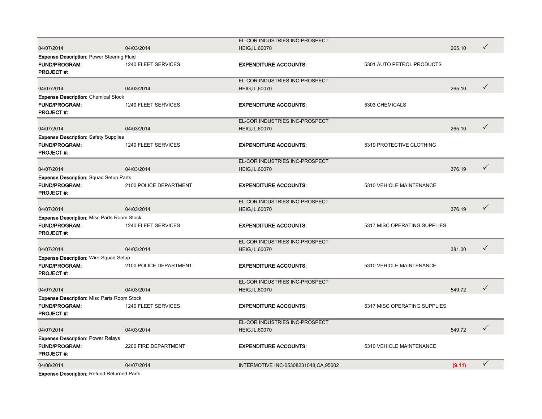|                                                   |                        | EL-COR INDUSTRIES INC-PROSPECT         |                              |        |              |
|---------------------------------------------------|------------------------|----------------------------------------|------------------------------|--------|--------------|
| 04/07/2014                                        | 04/03/2014             | <b>HEIG, IL, 60070</b>                 |                              | 265.10 | $\checkmark$ |
| <b>Expense Description: Power Steering Fluid</b>  |                        |                                        |                              |        |              |
| <b>FUND/PROGRAM:</b><br><b>PROJECT#:</b>          | 1240 FLEET SERVICES    | <b>EXPENDITURE ACCOUNTS:</b>           | 5301 AUTO PETROL PRODUCTS    |        |              |
|                                                   |                        | EL-COR INDUSTRIES INC-PROSPECT         |                              |        |              |
| 04/07/2014                                        | 04/03/2014             | <b>HEIG, IL, 60070</b>                 |                              | 265.10 | $\checkmark$ |
| <b>Expense Description: Chemical Stock</b>        |                        |                                        |                              |        |              |
| <b>FUND/PROGRAM:</b><br><b>PROJECT#:</b>          | 1240 FLEET SERVICES    | <b>EXPENDITURE ACCOUNTS:</b>           | 5303 CHEMICALS               |        |              |
|                                                   |                        | EL-COR INDUSTRIES INC-PROSPECT         |                              |        |              |
| 04/07/2014                                        | 04/03/2014             | <b>HEIG, IL, 60070</b>                 |                              | 265.10 | $\checkmark$ |
| <b>Expense Description: Safety Supplies</b>       |                        |                                        |                              |        |              |
| <b>FUND/PROGRAM:</b><br><b>PROJECT#:</b>          | 1240 FLEET SERVICES    | <b>EXPENDITURE ACCOUNTS:</b>           | 5319 PROTECTIVE CLOTHING     |        |              |
|                                                   |                        | EL-COR INDUSTRIES INC-PROSPECT         |                              |        |              |
| 04/07/2014                                        | 04/03/2014             | <b>HEIG, IL, 60070</b>                 |                              | 376.19 | $\checkmark$ |
| <b>Expense Description: Squad Setup Parts</b>     |                        |                                        |                              |        |              |
| FUND/PROGRAM:<br><b>PROJECT#:</b>                 | 2100 POLICE DEPARTMENT | <b>EXPENDITURE ACCOUNTS:</b>           | 5310 VEHICLE MAINTENANCE     |        |              |
|                                                   |                        | EL-COR INDUSTRIES INC-PROSPECT         |                              |        |              |
| 04/07/2014                                        | 04/03/2014             | <b>HEIG, IL, 60070</b>                 |                              | 376.19 | $\checkmark$ |
| <b>Expense Description: Misc Parts Room Stock</b> |                        |                                        |                              |        |              |
| <b>FUND/PROGRAM:</b><br><b>PROJECT#:</b>          | 1240 FLEET SERVICES    | <b>EXPENDITURE ACCOUNTS:</b>           | 5317 MISC OPERATING SUPPLIES |        |              |
|                                                   |                        | EL-COR INDUSTRIES INC-PROSPECT         |                              |        |              |
| 04/07/2014                                        | 04/03/2014             | <b>HEIG, IL, 60070</b>                 |                              | 381.00 | $\checkmark$ |
| <b>Expense Description: Wire-Squad Setup</b>      |                        |                                        |                              |        |              |
| <b>FUND/PROGRAM:</b><br><b>PROJECT#:</b>          | 2100 POLICE DEPARTMENT | <b>EXPENDITURE ACCOUNTS:</b>           | 5310 VEHICLE MAINTENANCE     |        |              |
|                                                   |                        | EL-COR INDUSTRIES INC-PROSPECT         |                              |        |              |
| 04/07/2014                                        | 04/03/2014             | <b>HEIG, IL, 60070</b>                 |                              | 549.72 | $\checkmark$ |
| <b>Expense Description: Misc Parts Room Stock</b> |                        |                                        |                              |        |              |
| <b>FUND/PROGRAM:</b><br><b>PROJECT#:</b>          | 1240 FLEET SERVICES    | <b>EXPENDITURE ACCOUNTS:</b>           | 5317 MISC OPERATING SUPPLIES |        |              |
|                                                   |                        | EL-COR INDUSTRIES INC-PROSPECT         |                              |        |              |
| 04/07/2014                                        | 04/03/2014             | <b>HEIG, IL, 60070</b>                 |                              | 549.72 | $\checkmark$ |
| <b>Expense Description: Power Relays</b>          |                        |                                        |                              |        |              |
| <b>FUND/PROGRAM:</b><br><b>PROJECT#:</b>          | 2200 FIRE DEPARTMENT   | <b>EXPENDITURE ACCOUNTS:</b>           | 5310 VEHICLE MAINTENANCE     |        |              |
| 04/08/2014                                        | 04/07/2014             | INTERMOTIVE INC-05308231048, CA, 95602 |                              | (9.11) | $\checkmark$ |
|                                                   |                        |                                        |                              |        |              |

Expense Description: Refund Returned Parts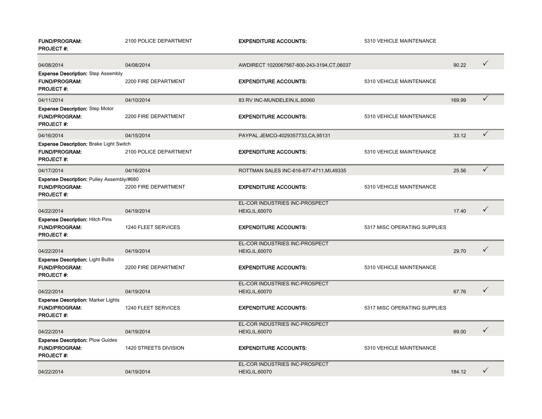| <b>FUND/PROGRAM:</b><br><b>PROJECT#:</b>                                              | 2100 POLICE DEPARTMENT | <b>EXPENDITURE ACCOUNTS:</b>                             | 5310 VEHICLE MAINTENANCE     |        |              |
|---------------------------------------------------------------------------------------|------------------------|----------------------------------------------------------|------------------------------|--------|--------------|
| 04/08/2014                                                                            | 04/08/2014             | AWDIRECT 1020067567-800-243-3194, CT, 06037              |                              | 90.22  | $\checkmark$ |
| <b>Expense Description: Step Assembly</b><br><b>FUND/PROGRAM:</b><br><b>PROJECT#:</b> | 2200 FIRE DEPARTMENT   | <b>EXPENDITURE ACCOUNTS:</b>                             | 5310 VEHICLE MAINTENANCE     |        |              |
| 04/11/2014                                                                            | 04/10/2014             | 83 RV INC-MUNDELEIN, IL, 60060                           |                              | 169.99 | $\checkmark$ |
| <b>Expense Description: Step Motor</b><br><b>FUND/PROGRAM:</b><br><b>PROJECT#:</b>    | 2200 FIRE DEPARTMENT   | <b>EXPENDITURE ACCOUNTS:</b>                             | 5310 VEHICLE MAINTENANCE     |        |              |
| 04/16/2014                                                                            | 04/15/2014             | PAYPAL JEMCO-4029357733, CA, 95131                       |                              | 33.12  | $\checkmark$ |
| Expense Description: Brake Light Switch<br><b>FUND/PROGRAM:</b><br><b>PROJECT#:</b>   | 2100 POLICE DEPARTMENT | <b>EXPENDITURE ACCOUNTS:</b>                             | 5310 VEHICLE MAINTENANCE     |        |              |
| 04/17/2014                                                                            | 04/16/2014             | ROTTMAN SALES INC-616-877-4711, MI, 49335                |                              | 25.56  | $\checkmark$ |
| Expense Description: Pulley Assembly/#680<br><b>FUND/PROGRAM:</b><br><b>PROJECT#:</b> | 2200 FIRE DEPARTMENT   | <b>EXPENDITURE ACCOUNTS:</b>                             | 5310 VEHICLE MAINTENANCE     |        |              |
|                                                                                       |                        | EL-COR INDUSTRIES INC-PROSPECT                           |                              |        | $\checkmark$ |
| 04/22/2014<br><b>Expense Description: Hitch Pins</b>                                  | 04/19/2014             | <b>HEIG, IL, 60070</b>                                   |                              | 17.40  |              |
| <b>FUND/PROGRAM:</b><br><b>PROJECT#:</b>                                              | 1240 FLEET SERVICES    | <b>EXPENDITURE ACCOUNTS:</b>                             | 5317 MISC OPERATING SUPPLIES |        |              |
| 04/22/2014                                                                            | 04/19/2014             | EL-COR INDUSTRIES INC-PROSPECT<br><b>HEIG, IL, 60070</b> |                              | 29.70  | $\checkmark$ |
| <b>Expense Description: Light Bulbs</b><br><b>FUND/PROGRAM:</b><br><b>PROJECT#:</b>   | 2200 FIRE DEPARTMENT   | <b>EXPENDITURE ACCOUNTS:</b>                             | 5310 VEHICLE MAINTENANCE     |        |              |
| 04/22/2014                                                                            | 04/19/2014             | EL-COR INDUSTRIES INC-PROSPECT<br><b>HEIG, IL, 60070</b> |                              | 67.76  | $\checkmark$ |
| <b>Expense Description: Marker Lights</b><br><b>FUND/PROGRAM:</b><br><b>PROJECT#:</b> | 1240 FLEET SERVICES    | <b>EXPENDITURE ACCOUNTS:</b>                             | 5317 MISC OPERATING SUPPLIES |        |              |
| 04/22/2014                                                                            | 04/19/2014             | EL-COR INDUSTRIES INC-PROSPECT<br><b>HEIG, IL, 60070</b> |                              | 69.00  | $\checkmark$ |
| <b>Expense Description: Plow Guides</b><br><b>FUND/PROGRAM:</b><br><b>PROJECT#:</b>   | 1420 STREETS DIVISION  | <b>EXPENDITURE ACCOUNTS:</b>                             | 5310 VEHICLE MAINTENANCE     |        |              |
|                                                                                       |                        | EL-COR INDUSTRIES INC-PROSPECT                           |                              |        |              |
| 04/22/2014                                                                            | 04/19/2014             | <b>HEIG, IL, 60070</b>                                   |                              | 184.12 | $\checkmark$ |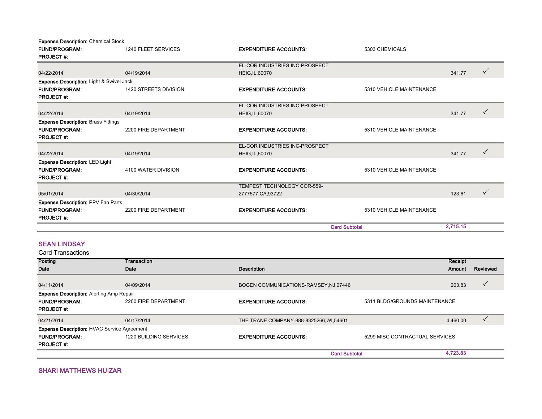Expense Description: Chemical Stock

| <b>FUND/PROGRAM:</b>                                | 1240 FLEET SERVICES   | <b>EXPENDITURE ACCOUNTS:</b>   | 5303 CHEMICALS           |          |              |
|-----------------------------------------------------|-----------------------|--------------------------------|--------------------------|----------|--------------|
| <b>PROJECT#:</b>                                    |                       |                                |                          |          |              |
|                                                     |                       | EL-COR INDUSTRIES INC-PROSPECT |                          |          |              |
| 04/22/2014                                          | 04/19/2014            | <b>HEIG, IL, 60070</b>         |                          | 341.77   |              |
| <b>Expense Description: Light &amp; Swivel Jack</b> |                       |                                |                          |          |              |
| <b>FUND/PROGRAM:</b>                                | 1420 STREETS DIVISION | <b>EXPENDITURE ACCOUNTS:</b>   | 5310 VEHICLE MAINTENANCE |          |              |
| <b>PROJECT#:</b>                                    |                       |                                |                          |          |              |
|                                                     |                       | EL-COR INDUSTRIES INC-PROSPECT |                          |          |              |
| 04/22/2014                                          | 04/19/2014            | <b>HEIG, IL, 60070</b>         |                          | 341.77   | $\checkmark$ |
| <b>Expense Description: Brass Fittings</b>          |                       |                                |                          |          |              |
| <b>FUND/PROGRAM:</b>                                | 2200 FIRE DEPARTMENT  | <b>EXPENDITURE ACCOUNTS:</b>   | 5310 VEHICLE MAINTENANCE |          |              |
| <b>PROJECT#:</b>                                    |                       |                                |                          |          |              |
|                                                     |                       | EL-COR INDUSTRIES INC-PROSPECT |                          |          |              |
| 04/22/2014                                          | 04/19/2014            | <b>HEIG, IL, 60070</b>         |                          | 341.77   | $\checkmark$ |
| <b>Expense Description: LED Light</b>               |                       |                                |                          |          |              |
| <b>FUND/PROGRAM:</b>                                | 4100 WATER DIVISION   | <b>EXPENDITURE ACCOUNTS:</b>   | 5310 VEHICLE MAINTENANCE |          |              |
| <b>PROJECT#:</b>                                    |                       |                                |                          |          |              |
|                                                     |                       | TEMPEST TECHNOLOGY COR-559-    |                          |          |              |
| 05/01/2014                                          | 04/30/2014            | 2777577, CA, 93722             |                          | 123.61   | $\checkmark$ |
| <b>Expense Description: PPV Fan Parts</b>           |                       |                                |                          |          |              |
| <b>FUND/PROGRAM:</b>                                | 2200 FIRE DEPARTMENT  | <b>EXPENDITURE ACCOUNTS:</b>   | 5310 VEHICLE MAINTENANCE |          |              |
| <b>PROJECT#:</b>                                    |                       |                                |                          |          |              |
|                                                     |                       | <b>Card Subtotal</b>           |                          | 2,715.15 |              |

#### SEAN LINDSAY

| Posting                                            | Transaction            |                                          |                                | Receipt  |          |
|----------------------------------------------------|------------------------|------------------------------------------|--------------------------------|----------|----------|
| Date                                               | Date                   | <b>Description</b>                       |                                | Amount   | Reviewed |
|                                                    |                        |                                          |                                |          |          |
| 04/11/2014                                         | 04/09/2014             | BOGEN COMMUNICATIONS-RAMSEY, NJ,07446    |                                | 263.83   | ✓        |
| <b>Expense Description: Alerting Amp Repair</b>    |                        |                                          |                                |          |          |
| <b>FUND/PROGRAM:</b>                               | 2200 FIRE DEPARTMENT   | <b>EXPENDITURE ACCOUNTS:</b>             | 5311 BLDG/GROUNDS MAINTENANCE  |          |          |
| <b>PROJECT#:</b>                                   |                        |                                          |                                |          |          |
| 04/21/2014                                         | 04/17/2014             | THE TRANE COMPANY-888-8325266, WI, 54601 |                                | 4,460.00 |          |
| <b>Expense Description: HVAC Service Agreement</b> |                        |                                          |                                |          |          |
| <b>FUND/PROGRAM:</b>                               | 1220 BUILDING SERVICES | <b>EXPENDITURE ACCOUNTS:</b>             | 5299 MISC CONTRACTUAL SERVICES |          |          |
| <b>PROJECT#:</b>                                   |                        |                                          |                                |          |          |
|                                                    |                        | <b>Card Subtotal</b>                     |                                | 4,723.83 |          |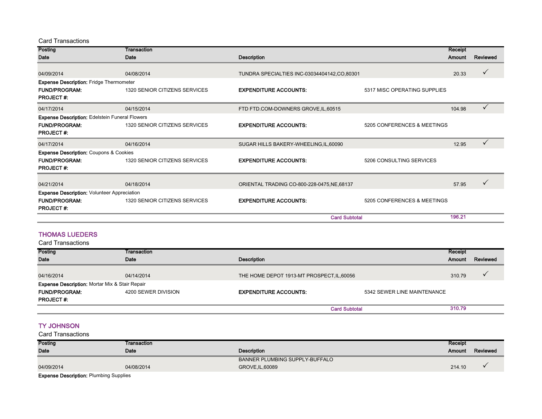Card Transactions

| Posting                                               | Transaction                   |                                             |                              | Receipt |                    |  |
|-------------------------------------------------------|-------------------------------|---------------------------------------------|------------------------------|---------|--------------------|--|
| Date                                                  | Date                          | <b>Description</b>                          |                              |         | Reviewed<br>Amount |  |
| 04/09/2014                                            | 04/08/2014                    | TUNDRA SPECIALTIES INC-03034404142,CO,80301 |                              | 20.33   |                    |  |
| <b>Expense Description: Fridge Thermometer</b>        |                               |                                             |                              |         |                    |  |
| <b>FUND/PROGRAM:</b><br><b>PROJECT#:</b>              | 1320 SENIOR CITIZENS SERVICES | <b>EXPENDITURE ACCOUNTS:</b>                | 5317 MISC OPERATING SUPPLIES |         |                    |  |
| 04/17/2014                                            | 04/15/2014                    | FTD FTD.COM-DOWNERS GROVE, IL, 60515        |                              | 104.98  |                    |  |
| <b>Expense Description: Edelstein Funeral Flowers</b> |                               |                                             |                              |         |                    |  |
| <b>FUND/PROGRAM:</b><br><b>PROJECT#:</b>              | 1320 SENIOR CITIZENS SERVICES | <b>EXPENDITURE ACCOUNTS:</b>                | 5205 CONFERENCES & MEETINGS  |         |                    |  |
| 04/17/2014                                            | 04/16/2014                    | SUGAR HILLS BAKERY-WHEELING, IL, 60090      |                              | 12.95   | $\checkmark$       |  |
| <b>Expense Description: Coupons &amp; Cookies</b>     |                               |                                             |                              |         |                    |  |
| <b>FUND/PROGRAM:</b><br><b>PROJECT#:</b>              | 1320 SENIOR CITIZENS SERVICES | <b>EXPENDITURE ACCOUNTS:</b>                | 5206 CONSULTING SERVICES     |         |                    |  |
| 04/21/2014                                            | 04/18/2014                    | ORIENTAL TRADING CO-800-228-0475, NE, 68137 |                              | 57.95   |                    |  |
| <b>Expense Description: Volunteer Appreciation</b>    |                               |                                             |                              |         |                    |  |
| <b>FUND/PROGRAM:</b><br><b>PROJECT#:</b>              | 1320 SENIOR CITIZENS SERVICES | <b>EXPENDITURE ACCOUNTS:</b>                | 5205 CONFERENCES & MEETINGS  |         |                    |  |
|                                                       |                               | <b>Card Subtotal</b>                        |                              | 196.21  |                    |  |

#### THOMAS LUEDERS

Card Transactions

| Posting                                                   | Transaction         |                                            |                             | Receipt |          |
|-----------------------------------------------------------|---------------------|--------------------------------------------|-----------------------------|---------|----------|
| <b>Date</b>                                               | Date                | <b>Description</b>                         |                             | Amount  | Reviewed |
| 04/16/2014                                                | 04/14/2014          | THE HOME DEPOT 1913-MT PROSPECT, IL, 60056 |                             | 310.79  |          |
| <b>Expense Description: Mortar Mix &amp; Stair Repair</b> |                     |                                            |                             |         |          |
| <b>FUND/PROGRAM:</b>                                      | 4200 SEWER DIVISION | <b>EXPENDITURE ACCOUNTS:</b>               | 5342 SEWER LINE MAINTENANCE |         |          |
| <b>PROJECT#:</b>                                          |                     |                                            |                             |         |          |
|                                                           |                     | <b>Card Subtotal</b>                       |                             | 310.79  |          |

#### TY JOHNSON

Card Transactions

| Posting     | Transaction |                                | Receipt |          |
|-------------|-------------|--------------------------------|---------|----------|
| <b>Date</b> | Date        | <b>Description</b>             |         | Reviewed |
|             |             | BANNER PLUMBING SUPPLY-BUFFALO |         |          |
| 04/09/2014  | 04/08/2014  | GROVE, IL, 60089               | 214.10  |          |
| $\sim$      |             |                                |         |          |

Expense Description: Plumbing Supplies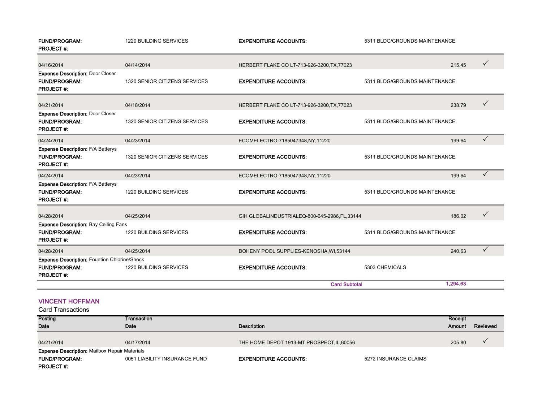| <b>FUND/PROGRAM:</b><br><b>PROJECT#:</b>                                                        | <b>1220 BUILDING SERVICES</b> | <b>EXPENDITURE ACCOUNTS:</b>                                  | 5311 BLDG/GROUNDS MAINTENANCE |          |              |
|-------------------------------------------------------------------------------------------------|-------------------------------|---------------------------------------------------------------|-------------------------------|----------|--------------|
| 04/16/2014                                                                                      | 04/14/2014                    | HERBERT FLAKE CO LT-713-926-3200, TX, 77023                   |                               | 215.45   | $\checkmark$ |
| <b>Expense Description: Door Closer</b><br><b>FUND/PROGRAM:</b><br><b>PROJECT#:</b>             | 1320 SENIOR CITIZENS SERVICES | <b>EXPENDITURE ACCOUNTS:</b>                                  | 5311 BLDG/GROUNDS MAINTENANCE |          |              |
| 04/21/2014                                                                                      | 04/18/2014                    | HERBERT FLAKE CO LT-713-926-3200, TX, 77023                   |                               | 238.79   | $\checkmark$ |
| <b>Expense Description: Door Closer</b><br>FUND/PROGRAM:<br><b>PROJECT#:</b>                    | 1320 SENIOR CITIZENS SERVICES | <b>EXPENDITURE ACCOUNTS:</b><br>5311 BLDG/GROUNDS MAINTENANCE |                               |          |              |
| 04/24/2014                                                                                      | 04/23/2014                    | ECOMELECTRO-7185047348,NY,11220                               |                               | 199.64   | $\checkmark$ |
| <b>Expense Description: F/A Batterys</b><br><b>FUND/PROGRAM:</b><br><b>PROJECT#:</b>            | 1320 SENIOR CITIZENS SERVICES | <b>EXPENDITURE ACCOUNTS:</b>                                  | 5311 BLDG/GROUNDS MAINTENANCE |          |              |
| 04/24/2014                                                                                      | 04/23/2014                    | ECOMELECTRO-7185047348,NY,11220                               |                               | 199.64   | $\checkmark$ |
| <b>Expense Description: F/A Batterys</b><br><b>FUND/PROGRAM:</b><br><b>PROJECT#:</b>            | 1220 BUILDING SERVICES        | <b>EXPENDITURE ACCOUNTS:</b>                                  | 5311 BLDG/GROUNDS MAINTENANCE |          |              |
| 04/28/2014                                                                                      | 04/25/2014                    | GIH GLOBALINDUSTRIALEQ-800-645-2986, FL, 33144                |                               | 186.02   | $\checkmark$ |
| <b>Expense Description: Bay Ceiling Fans</b><br><b>FUND/PROGRAM:</b><br><b>PROJECT#:</b>        | <b>1220 BUILDING SERVICES</b> | <b>EXPENDITURE ACCOUNTS:</b><br>5311 BLDG/GROUNDS MAINTENANCE |                               |          |              |
| 04/28/2014                                                                                      | 04/25/2014                    | DOHENY POOL SUPPLIES-KENOSHA, WI,53144                        |                               | 240.63   | $\checkmark$ |
| <b>Expense Description: Fountion Chlorine/Shock</b><br><b>FUND/PROGRAM:</b><br><b>PROJECT#:</b> | 1220 BUILDING SERVICES        | <b>EXPENDITURE ACCOUNTS:</b>                                  | 5303 CHEMICALS                |          |              |
|                                                                                                 |                               | <b>Card Subtotal</b>                                          |                               | 1,294.63 |              |

#### VINCENT HOFFMAN

| <b>Posting</b>                                       | Transaction                   |                                            |                       | Receipt       |          |
|------------------------------------------------------|-------------------------------|--------------------------------------------|-----------------------|---------------|----------|
| <b>Date</b>                                          | Date                          | <b>Description</b>                         |                       | <b>Amount</b> | Reviewed |
|                                                      |                               |                                            |                       |               |          |
| 04/21/2014                                           | 04/17/2014                    | THE HOME DEPOT 1913-MT PROSPECT, IL, 60056 |                       | 205.80        |          |
| <b>Expense Description: Mailbox Repair Materials</b> |                               |                                            |                       |               |          |
| <b>FUND/PROGRAM:</b>                                 | 0051 LIABILITY INSURANCE FUND | <b>EXPENDITURE ACCOUNTS:</b>               | 5272 INSURANCE CLAIMS |               |          |
| <b>PROJECT#:</b>                                     |                               |                                            |                       |               |          |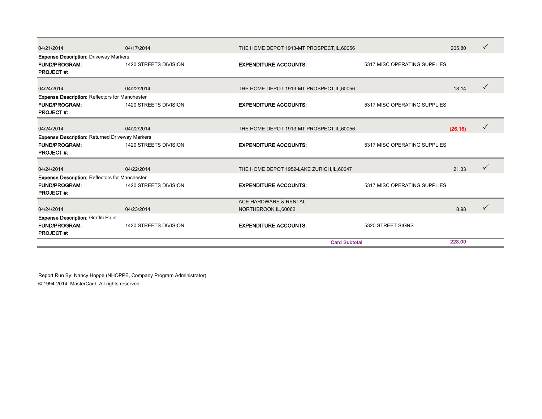| 04/21/2014                                                                    | 04/17/2014            | THE HOME DEPOT 1913-MT PROSPECT, IL, 60056 |                              |         | ✓ |
|-------------------------------------------------------------------------------|-----------------------|--------------------------------------------|------------------------------|---------|---|
| <b>Expense Description: Driveway Markers</b>                                  |                       |                                            |                              |         |   |
| <b>FUND/PROGRAM:</b>                                                          | 1420 STREETS DIVISION | <b>EXPENDITURE ACCOUNTS:</b>               | 5317 MISC OPERATING SUPPLIES |         |   |
| <b>PROJECT#:</b>                                                              |                       |                                            |                              |         |   |
| 04/24/2014                                                                    | 04/22/2014            | THE HOME DEPOT 1913-MT PROSPECT, IL, 60056 |                              | 18.14   |   |
|                                                                               |                       |                                            |                              |         |   |
| <b>Expense Description: Reflectors for Manchester</b><br><b>FUND/PROGRAM:</b> | 1420 STREETS DIVISION | <b>EXPENDITURE ACCOUNTS:</b>               | 5317 MISC OPERATING SUPPLIES |         |   |
| <b>PROJECT#:</b>                                                              |                       |                                            |                              |         |   |
|                                                                               |                       |                                            |                              |         |   |
| 04/24/2014                                                                    | 04/22/2014            | THE HOME DEPOT 1913-MT PROSPECT, IL, 60056 |                              | (26.16) |   |
| <b>Expense Description: Returned Driveway Markers</b>                         |                       |                                            |                              |         |   |
| <b>FUND/PROGRAM:</b>                                                          | 1420 STREETS DIVISION | <b>EXPENDITURE ACCOUNTS:</b>               | 5317 MISC OPERATING SUPPLIES |         |   |
| <b>PROJECT#:</b>                                                              |                       |                                            |                              |         |   |
|                                                                               | 04/22/2014            |                                            |                              | 21.33   |   |
| 04/24/2014                                                                    |                       | THE HOME DEPOT 1952-LAKE ZURICH, IL, 60047 |                              |         |   |
| <b>Expense Description: Reflectors for Manchester</b>                         |                       |                                            |                              |         |   |
| <b>FUND/PROGRAM:</b><br><b>PROJECT#:</b>                                      | 1420 STREETS DIVISION | <b>EXPENDITURE ACCOUNTS:</b>               | 5317 MISC OPERATING SUPPLIES |         |   |
|                                                                               |                       | <b>ACE HARDWARE &amp; RENTAL-</b>          |                              |         |   |
| 04/24/2014                                                                    | 04/23/2014            | NORTHBROOK, IL, 60062                      |                              | 8.98    |   |
| <b>Expense Description: Graffiti Paint</b>                                    |                       |                                            |                              |         |   |
| <b>FUND/PROGRAM:</b>                                                          | 1420 STREETS DIVISION | <b>EXPENDITURE ACCOUNTS:</b>               | 5320 STREET SIGNS            |         |   |
| <b>PROJECT#:</b>                                                              |                       |                                            |                              |         |   |
|                                                                               |                       | <b>Card Subtotal</b>                       |                              | 228.09  |   |

Report Run By: Nancy Hoppe (NHOPPE, Company Program Administrator) © 1994-2014. MasterCard. All rights reserved.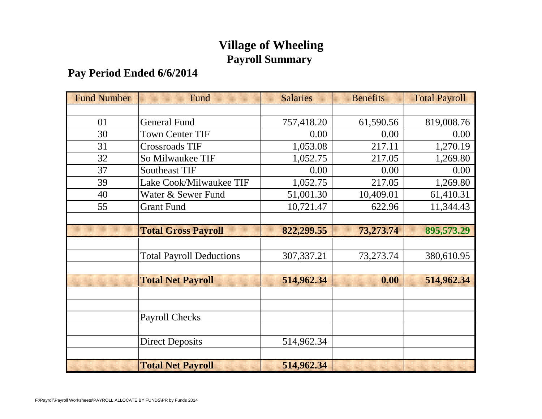# **Village of Wheeling Payroll Summary**

# **Pay Period Ended 6/6/2014**

| <b>Fund Number</b> | Fund                            | <b>Salaries</b> | <b>Benefits</b> | <b>Total Payroll</b> |
|--------------------|---------------------------------|-----------------|-----------------|----------------------|
|                    |                                 |                 |                 |                      |
| 01                 | <b>General Fund</b>             | 757,418.20      | 61,590.56       | 819,008.76           |
| 30                 | <b>Town Center TIF</b>          | 0.00            | 0.00            | 0.00                 |
| 31                 | <b>Crossroads TIF</b>           | 1,053.08        | 217.11          | 1,270.19             |
| 32                 | So Milwaukee TIF                | 1,052.75        | 217.05          | 1,269.80             |
| 37                 | <b>Southeast TIF</b>            | 0.00            | 0.00            | 0.00                 |
| 39                 | Lake Cook/Milwaukee TIF         | 1,052.75        | 217.05          | 1,269.80             |
| 40                 | Water & Sewer Fund              | 51,001.30       | 10,409.01       | 61,410.31            |
| 55                 | <b>Grant Fund</b>               | 10,721.47       | 622.96          | 11,344.43            |
|                    |                                 |                 |                 |                      |
|                    | <b>Total Gross Payroll</b>      | 822,299.55      | 73,273.74       | 895,573.29           |
|                    |                                 |                 |                 |                      |
|                    | <b>Total Payroll Deductions</b> | 307, 337. 21    | 73,273.74       | 380,610.95           |
|                    |                                 |                 |                 |                      |
|                    | <b>Total Net Payroll</b>        | 514,962.34      | 0.00            | 514,962.34           |
|                    |                                 |                 |                 |                      |
|                    |                                 |                 |                 |                      |
|                    | <b>Payroll Checks</b>           |                 |                 |                      |
|                    |                                 |                 |                 |                      |
|                    | <b>Direct Deposits</b>          | 514,962.34      |                 |                      |
|                    |                                 |                 |                 |                      |
|                    | <b>Total Net Payroll</b>        | 514,962.34      |                 |                      |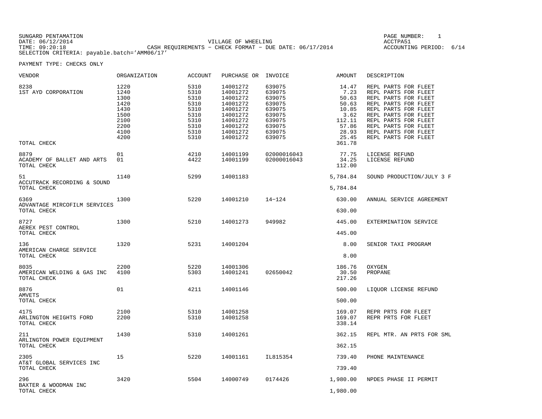| SUNGARD PENTAMATION                          |                                                         | PAGE NUMBER:            |  |
|----------------------------------------------|---------------------------------------------------------|-------------------------|--|
| DATE: 06/12/2014                             | VILLAGE OF WHEELING                                     | ACCTPA51                |  |
| TIME: 09:20:18                               | CASH REOUIREMENTS - CHECK FORMAT - DUE DATE: 06/17/2014 | ACCOUNTING PERIOD: 6/14 |  |
| SELECTION CRITERIA: payable.batch='AMM06/17' |                                                         |                         |  |

| VENDOR                                              | ORGANIZATION                                                                 | ACCOUNT                                                                      | PURCHASE OR INVOICE                                                                                                  |                                                                                                  | AMOUNT                                                                                          | DESCRIPTION                                                                                                                                                                                                                                  |
|-----------------------------------------------------|------------------------------------------------------------------------------|------------------------------------------------------------------------------|----------------------------------------------------------------------------------------------------------------------|--------------------------------------------------------------------------------------------------|-------------------------------------------------------------------------------------------------|----------------------------------------------------------------------------------------------------------------------------------------------------------------------------------------------------------------------------------------------|
| 8238<br>1ST AYD CORPORATION<br>TOTAL CHECK          | 1220<br>1240<br>1300<br>1420<br>1430<br>1500<br>2100<br>2200<br>4100<br>4200 | 5310<br>5310<br>5310<br>5310<br>5310<br>5310<br>5310<br>5310<br>5310<br>5310 | 14001272<br>14001272<br>14001272<br>14001272<br>14001272<br>14001272<br>14001272<br>14001272<br>14001272<br>14001272 | 639075<br>639075<br>639075<br>639075<br>639075<br>639075<br>639075<br>639075<br>639075<br>639075 | 14.47<br>7.23<br>50.63<br>50.63<br>10.85<br>3.62<br>112.11<br>57.86<br>28.93<br>25.45<br>361.78 | REPL PARTS FOR FLEET<br>REPL PARTS FOR FLEET<br>REPL PARTS FOR FLEET<br>REPL PARTS FOR FLEET<br>REPL PARTS FOR FLEET<br>REPL PARTS FOR FLEET<br>REPL PARTS FOR FLEET<br>REPL PARTS FOR FLEET<br>REPL PARTS FOR FLEET<br>REPL PARTS FOR FLEET |
| 8879<br>ACADEMY OF BALLET AND ARTS<br>TOTAL CHECK   | 01<br>01                                                                     | 4210<br>4422                                                                 | 14001199<br>14001199                                                                                                 | 02000016043<br>02000016043                                                                       | 77.75<br>34.25<br>112.00                                                                        | LICENSE REFUND<br>LICENSE REFUND                                                                                                                                                                                                             |
| 51<br>ACCUTRACK RECORDING & SOUND<br>TOTAL CHECK    | 1140                                                                         | 5299                                                                         | 14001183                                                                                                             |                                                                                                  | 5,784.84<br>5,784.84                                                                            | SOUND PRODUCTION/JULY 3 F                                                                                                                                                                                                                    |
| 6369<br>ADVANTAGE MIRCOFILM SERVICES<br>TOTAL CHECK | 1300                                                                         | 5220                                                                         | 14001210                                                                                                             | $14 - 124$                                                                                       | 630.00<br>630.00                                                                                | ANNUAL SERVICE AGREEMENT                                                                                                                                                                                                                     |
| 8727<br>AEREX PEST CONTROL<br>TOTAL CHECK           | 1300                                                                         | 5210                                                                         | 14001273                                                                                                             | 949982                                                                                           | 445.00<br>445.00                                                                                | EXTERMINATION SERVICE                                                                                                                                                                                                                        |
| 136<br>AMERICAN CHARGE SERVICE<br>TOTAL CHECK       | 1320                                                                         | 5231                                                                         | 14001204                                                                                                             |                                                                                                  | 8.00<br>8.00                                                                                    | SENIOR TAXI PROGRAM                                                                                                                                                                                                                          |
| 8035<br>AMERICAN WELDING & GAS INC<br>TOTAL CHECK   | 2200<br>4100                                                                 | 5220<br>5303                                                                 | 14001306<br>14001241                                                                                                 | 02650042                                                                                         | 186.76<br>30.50<br>217.26                                                                       | OXYGEN<br>PROPANE                                                                                                                                                                                                                            |
| 8876<br><b>AMVETS</b><br>TOTAL CHECK                | 01                                                                           | 4211                                                                         | 14001146                                                                                                             |                                                                                                  | 500.00<br>500.00                                                                                | LIQUOR LICENSE REFUND                                                                                                                                                                                                                        |
| 4175<br>ARLINGTON HEIGHTS FORD<br>TOTAL CHECK       | 2100<br>2200                                                                 | 5310<br>5310                                                                 | 14001258<br>14001258                                                                                                 |                                                                                                  | 169.07<br>169.07<br>338.14                                                                      | REPR PRTS FOR FLEET<br>REPR PRTS FOR FLEET                                                                                                                                                                                                   |
| 211<br>ARLINGTON POWER EQUIPMENT<br>TOTAL CHECK     | 1430                                                                         | 5310                                                                         | 14001261                                                                                                             |                                                                                                  | 362.15<br>362.15                                                                                | REPL MTR. AN PRTS FOR SML                                                                                                                                                                                                                    |
| 2305<br>AT&T GLOBAL SERVICES INC<br>TOTAL CHECK     | 15                                                                           | 5220                                                                         | 14001161                                                                                                             | IL815354                                                                                         | 739.40<br>739.40                                                                                | PHONE MAINTENANCE                                                                                                                                                                                                                            |
| 296<br>BAXTER & WOODMAN INC<br>TOTAL CHECK          | 3420                                                                         | 5504                                                                         | 14000749                                                                                                             | 0174426                                                                                          | 1,980.00<br>1,980.00                                                                            | NPDES PHASE II PERMIT                                                                                                                                                                                                                        |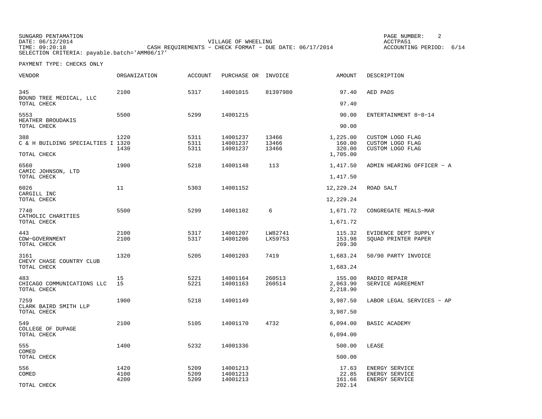SUNGARD PENTAMATION PAGE NUMBER: 2DATE:  $06/12/2014$  ACCTPA51 TIME: 09:20:18 CASH REQUIREMENTS − CHECK FORMAT − DUE DATE: 06/17/2014 SELECTION CRITERIA: payable.batch='AMM06/17'

ACCOUNTING PERIOD: 6/14

| VENDOR                                   | ORGANIZATION | <b>ACCOUNT</b>       | PURCHASE OR                      | INVOICE                 | AMOUNT                       | DESCRIPTION                                              |
|------------------------------------------|--------------|----------------------|----------------------------------|-------------------------|------------------------------|----------------------------------------------------------|
| 345<br>BOUND TREE MEDICAL, LLC           | 2100         | 5317                 | 14001015                         | 81397980                | 97.40                        | AED PADS                                                 |
| TOTAL CHECK                              |              |                      |                                  |                         | 97.40                        |                                                          |
| 5553<br>HEATHER BROUDAKIS                | 5500         | 5299                 | 14001215                         |                         | 90.00                        | ENTERTAINMENT 8-8-14                                     |
| TOTAL CHECK                              |              |                      |                                  |                         | 90.00                        |                                                          |
| 388<br>C & H BUILDING SPECIALTIES I 1320 | 1220<br>1430 | 5311<br>5311<br>5311 | 14001237<br>14001237<br>14001237 | 13466<br>13466<br>13466 | 1,225.00<br>160.00<br>320.00 | CUSTOM LOGO FLAG<br>CUSTOM LOGO FLAG<br>CUSTOM LOGO FLAG |
| TOTAL CHECK                              |              |                      |                                  |                         | 1,705.00                     |                                                          |
| 6560<br>CAMIC JOHNSON, LTD               | 1900         | 5218                 | 14001148                         | 113                     | 1,417.50                     | ADMIN HEARING OFFICER - A                                |
| TOTAL CHECK                              |              |                      |                                  |                         | 1,417.50                     |                                                          |
| 6026<br>CARGILL INC                      | 11           | 5303                 | 14001152                         |                         | 12,229.24                    | ROAD SALT                                                |
| TOTAL CHECK                              |              |                      |                                  |                         | 12,229.24                    |                                                          |
| 7740<br>CATHOLIC CHARITIES               | 5500         | 5299                 | 14001102                         | 6                       | 1,671.72                     | CONGREGATE MEALS-MAR                                     |
| TOTAL CHECK                              |              |                      |                                  |                         | 1,671.72                     |                                                          |
| 443<br>CDW-GOVERNMENT                    | 2100<br>2100 | 5317<br>5317         | 14001207<br>14001206             | LW82741<br>LX59753      | 115.32<br>153.98             | EVIDENCE DEPT SUPPLY<br>SOUAD PRINTER PAPER              |
| TOTAL CHECK                              |              |                      |                                  |                         | 269.30                       |                                                          |
| 3161<br>CHEVY CHASE COUNTRY CLUB         | 1320         | 5205                 | 14001203                         | 7419                    | 1,683.24                     | 50/90 PARTY INVOICE                                      |
| TOTAL CHECK                              |              |                      |                                  |                         | 1,683.24                     |                                                          |
| 483<br>CHICAGO COMMUNICATIONS LLC        | 15<br>15     | 5221<br>5221         | 14001164<br>14001163             | 260513<br>260514        | 155.00<br>2,063.90           | RADIO REPAIR<br>SERVICE AGREEMENT                        |
| TOTAL CHECK                              |              |                      |                                  |                         | 2,218.90                     |                                                          |
| 7259<br>CLARK BAIRD SMITH LLP            | 1900         | 5218                 | 14001149                         |                         | 3,987.50                     | LABOR LEGAL SERVICES - AP                                |
| TOTAL CHECK                              |              |                      |                                  |                         | 3,987.50                     |                                                          |
| 549<br>COLLEGE OF DUPAGE                 | 2100         | 5105                 | 14001170                         | 4732                    | 6,094.00                     | <b>BASIC ACADEMY</b>                                     |
| TOTAL CHECK                              |              |                      |                                  |                         | 6,094.00                     |                                                          |
| 555<br>COMED                             | 1400         | 5232                 | 14001336                         |                         | 500.00                       | LEASE                                                    |
| TOTAL CHECK                              |              |                      |                                  |                         | 500.00                       |                                                          |
| 556                                      | 1420         | 5209                 | 14001213                         |                         | 17.63                        | ENERGY SERVICE                                           |
| COMED                                    | 4100<br>4200 | 5209<br>5209         | 14001213<br>14001213             |                         | 22.85<br>161.66              | ENERGY SERVICE<br>ENERGY SERVICE                         |
| TOTAL CHECK                              |              |                      |                                  |                         | 202.14                       |                                                          |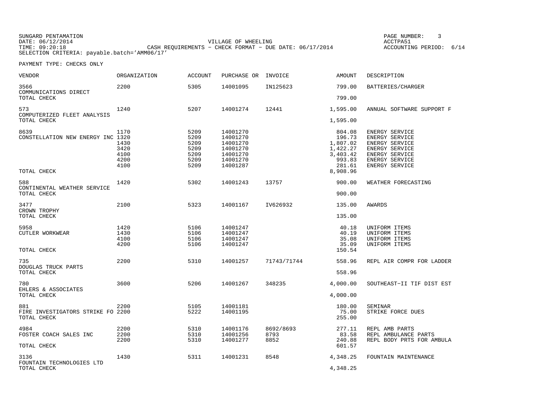| SUNGARD PENTAMATION                          |                                                         | PAGE NUMBER:            |  |
|----------------------------------------------|---------------------------------------------------------|-------------------------|--|
| DATE: 06/12/2014                             | VILLAGE OF WHEELING                                     | ACCTPA51                |  |
| TIME: 09:20:18                               | CASH REOUIREMENTS - CHECK FORMAT - DUE DATE: 06/17/2014 | ACCOUNTING PERIOD: 6/14 |  |
| SELECTION CRITERIA: payable.batch='AMM06/17' |                                                         |                         |  |

| <b>VENDOR</b>                                            | <b>ORGANIZATION</b>                          | <b>ACCOUNT</b>                                       | PURCHASE OR                                                                      | INVOICE                   | <b>AMOUNT</b>                                                                        | DESCRIPTION                                                                                                                |
|----------------------------------------------------------|----------------------------------------------|------------------------------------------------------|----------------------------------------------------------------------------------|---------------------------|--------------------------------------------------------------------------------------|----------------------------------------------------------------------------------------------------------------------------|
| 3566<br>COMMUNICATIONS DIRECT<br>TOTAL CHECK             | 2200                                         | 5305                                                 | 14001095                                                                         | IN125623                  | 799.00<br>799.00                                                                     | BATTERIES/CHARGER                                                                                                          |
|                                                          |                                              |                                                      |                                                                                  |                           |                                                                                      |                                                                                                                            |
| 573<br>COMPUTERIZED FLEET ANALYSIS<br>TOTAL CHECK        | 1240                                         | 5207                                                 | 14001274                                                                         | 12441                     | 1,595.00<br>1,595.00                                                                 | ANNUAL SOFTWARE SUPPORT F                                                                                                  |
| 8639<br>CONSTELLATION NEW ENERGY INC 1320<br>TOTAL CHECK | 1170<br>1430<br>3420<br>4100<br>4200<br>4100 | 5209<br>5209<br>5209<br>5209<br>5209<br>5209<br>5209 | 14001270<br>14001270<br>14001270<br>14001270<br>14001270<br>14001270<br>14001287 |                           | 804.08<br>196.73<br>1,807.02<br>1,422.27<br>3,403.42<br>993.83<br>281.61<br>8,908.96 | ENERGY SERVICE<br>ENERGY SERVICE<br>ENERGY SERVICE<br>ENERGY SERVICE<br>ENERGY SERVICE<br>ENERGY SERVICE<br>ENERGY SERVICE |
| 588<br>CONTINENTAL WEATHER SERVICE<br>TOTAL CHECK        | 1420                                         | 5302                                                 | 14001243                                                                         | 13757                     | 900.00<br>900.00                                                                     | WEATHER FORECASTING                                                                                                        |
|                                                          |                                              |                                                      |                                                                                  |                           |                                                                                      |                                                                                                                            |
| 3477<br>CROWN TROPHY<br>TOTAL CHECK                      | 2100                                         | 5323                                                 | 14001167                                                                         | IV626932                  | 135.00<br>135.00                                                                     | <b>AWARDS</b>                                                                                                              |
| 5958<br>CUTLER WORKWEAR<br>TOTAL CHECK                   | 1420<br>1430<br>4100<br>4200                 | 5106<br>5106<br>5106<br>5106                         | 14001247<br>14001247<br>14001247<br>14001247                                     |                           | 40.18<br>40.19<br>35.08<br>35.09<br>150.54                                           | UNIFORM ITEMS<br>UNIFORM ITEMS<br>UNIFORM ITEMS<br>UNIFORM ITEMS                                                           |
| 735<br>DOUGLAS TRUCK PARTS<br>TOTAL CHECK                | 2200                                         | 5310                                                 | 14001257                                                                         | 71743/71744               | 558.96<br>558.96                                                                     | REPL AIR COMPR FOR LADDER                                                                                                  |
| 780<br>EHLERS & ASSOCIATES<br>TOTAL CHECK                | 3600                                         | 5206                                                 | 14001267                                                                         | 348235                    | 4,000.00<br>4,000.00                                                                 | SOUTHEAST-II TIF DIST EST                                                                                                  |
| 881<br>FIRE INVESTIGATORS STRIKE FO 2200<br>TOTAL CHECK  | 2200                                         | 5105<br>5222                                         | 14001181<br>14001195                                                             |                           | 180.00<br>75.00<br>255.00                                                            | SEMINAR<br>STRIKE FORCE DUES                                                                                               |
| 4984<br>FOSTER COACH SALES INC<br>TOTAL CHECK            | 2200<br>2200<br>2200                         | 5310<br>5310<br>5310                                 | 14001176<br>14001256<br>14001277                                                 | 8692/8693<br>8793<br>8852 | 277.11<br>83.58<br>240.88<br>601.57                                                  | REPL AMB PARTS<br>REPL AMBULANCE PARTS<br>REPL BODY PRTS FOR AMBULA                                                        |
| 3136<br>FOUNTAIN TECHNOLOGIES LTD<br>TOTAL CHECK         | 1430                                         | 5311                                                 | 14001231                                                                         | 8548                      | 4,348.25<br>4,348.25                                                                 | FOUNTAIN MAINTENANCE                                                                                                       |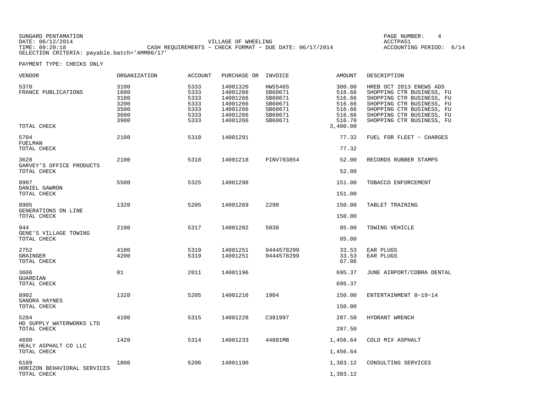| SUNGARD PENTAMATION                          |                                                         |                     |  | PAGE NUMBER:       |      |
|----------------------------------------------|---------------------------------------------------------|---------------------|--|--------------------|------|
| DATE: 06/12/2014                             |                                                         | VILLAGE OF WHEELING |  | ACCTPA51           |      |
| TIME: 09:20:18                               | CASH REQUIREMENTS - CHECK FORMAT - DUE DATE: 06/17/2014 |                     |  | ACCOUNTING PERIOD: | 6/14 |
| SELECTION CRITERIA: payable.batch='AMM06/17' |                                                         |                     |  |                    |      |

| VENDOR                                          | ORGANIZATION                                         | ACCOUNT                                              | PURCHASE OR                                                                      | INVOICE                                                                   | AMOUNT                                                                         | DESCRIPTION                                                                                                                                                                                           |
|-------------------------------------------------|------------------------------------------------------|------------------------------------------------------|----------------------------------------------------------------------------------|---------------------------------------------------------------------------|--------------------------------------------------------------------------------|-------------------------------------------------------------------------------------------------------------------------------------------------------------------------------------------------------|
| 5370<br>FRANCE PUBLICATIONS<br>TOTAL CHECK      | 3100<br>1600<br>3100<br>3200<br>3500<br>3600<br>3900 | 5333<br>5333<br>5333<br>5333<br>5333<br>5333<br>5333 | 14001320<br>14001266<br>14001266<br>14001266<br>14001266<br>14001266<br>14001266 | HW55465<br>SB60671<br>SB60671<br>SB60671<br>SB60671<br>SB60671<br>SB60671 | 300.00<br>516.66<br>516.66<br>516.66<br>516.66<br>516.66<br>516.70<br>3,400.00 | HREB OCT 2013 ENEWS ADS<br>SHOPPING CTR BUSINESS, FU<br>SHOPPING CTR BUSINESS, FU<br>SHOPPING CTR BUSINESS, FU<br>SHOPPING CTR BUSINESS, FU<br>SHOPPING CTR BUSINESS, FU<br>SHOPPING CTR BUSINESS, FU |
| 5704<br>FUELMAN                                 | 2100                                                 | 5310                                                 | 14001291                                                                         |                                                                           | 77.32                                                                          | FUEL FOR FLEET - CHARGES                                                                                                                                                                              |
| TOTAL CHECK                                     |                                                      |                                                      |                                                                                  |                                                                           | 77.32                                                                          |                                                                                                                                                                                                       |
| 3628<br>GARVEY'S OFFICE PRODUCTS<br>TOTAL CHECK | 2100                                                 | 5318                                                 | 14001218                                                                         | PINV783854                                                                | 52.00<br>52.00                                                                 | RECORDS RUBBER STAMPS                                                                                                                                                                                 |
| 8907                                            | 5500                                                 | 5325                                                 | 14001298                                                                         |                                                                           | 151.00                                                                         | TOBACCO ENFORCEMENT                                                                                                                                                                                   |
| DANIEL GAWRON<br>TOTAL CHECK                    |                                                      |                                                      |                                                                                  |                                                                           | 151.00                                                                         |                                                                                                                                                                                                       |
| 8905                                            | 1320                                                 | 5205                                                 | 14001269                                                                         | 2290                                                                      | 150.00                                                                         | TABLET TRAINING                                                                                                                                                                                       |
| GENERATIONS ON LINE<br>TOTAL CHECK              |                                                      |                                                      |                                                                                  |                                                                           | 150.00                                                                         |                                                                                                                                                                                                       |
| 944<br>GENE'S VILLAGE TOWING<br>TOTAL CHECK     | 2100                                                 | 5317                                                 | 14001202                                                                         | 5038                                                                      | 85.00<br>85.00                                                                 | TOWING VEHICLE                                                                                                                                                                                        |
| 2752<br>GRAINGER<br>TOTAL CHECK                 | 4100<br>4200                                         | 5319<br>5319                                         | 14001251<br>14001251                                                             | 9444578299<br>9444578299                                                  | 33.53<br>33.53<br>67.06                                                        | EAR PLUGS<br>EAR PLUGS                                                                                                                                                                                |
| 3606                                            | 01                                                   | 2011                                                 | 14001196                                                                         |                                                                           | 695.37                                                                         | JUNE AIRPORT/COBRA DENTAL                                                                                                                                                                             |
| GUARDIAN<br>TOTAL CHECK                         |                                                      |                                                      |                                                                                  |                                                                           | 695.37                                                                         |                                                                                                                                                                                                       |
| 8902                                            | 1320                                                 | 5205                                                 | 14001216                                                                         | 1904                                                                      | 150.00                                                                         | ENTERTAINMENT 8-19-14                                                                                                                                                                                 |
| SANDRA HAYNES<br>TOTAL CHECK                    |                                                      |                                                      |                                                                                  |                                                                           | 150.00                                                                         |                                                                                                                                                                                                       |
| 5284<br>HD SUPPLY WATERWORKS LTD<br>TOTAL CHECK | 4100                                                 | 5315                                                 | 14001228                                                                         | C381997                                                                   | 287.50<br>287.50                                                               | HYDRANT WRENCH                                                                                                                                                                                        |
| 4690                                            | 1420                                                 | 5314                                                 | 14001233                                                                         | 44881MB                                                                   | 1,456.64                                                                       | COLD MIX ASPHALT                                                                                                                                                                                      |
| HEALY ASPHALT CO LLC<br>TOTAL CHECK             |                                                      |                                                      |                                                                                  |                                                                           | 1,456.64                                                                       |                                                                                                                                                                                                       |
| 6109<br>HORIZON BEHAVIORAL SERVICES             | 1800                                                 | 5206                                                 | 14001190                                                                         |                                                                           | 1,383.12                                                                       | CONSULTING SERVICES                                                                                                                                                                                   |
| TOTAL CHECK                                     |                                                      |                                                      |                                                                                  |                                                                           | 1,383.12                                                                       |                                                                                                                                                                                                       |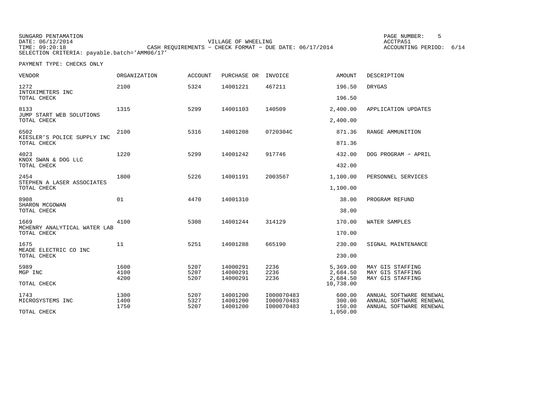| SUNGARD PENTAMATION                          |                                                           | PAGE NUMBER:            |  |
|----------------------------------------------|-----------------------------------------------------------|-------------------------|--|
| DATE: 06/12/2014                             | VILLAGE OF WHEELING                                       | ACCTPA51                |  |
| TIME: 09:20:18                               | CASH REOUIREMENTS - CHECK FORMAT - DUE DATE: $06/17/2014$ | ACCOUNTING PERIOD: 6/14 |  |
| SELECTION CRITERIA: payable.batch='AMM06/17' |                                                           |                         |  |

| <b>VENDOR</b>                                       | <b>ORGANIZATION</b>  | <b>ACCOUNT</b>       | PURCHASE OR                      | INVOICE                                | <b>AMOUNT</b>                                 | DESCRIPTION                                                                   |
|-----------------------------------------------------|----------------------|----------------------|----------------------------------|----------------------------------------|-----------------------------------------------|-------------------------------------------------------------------------------|
| 1272<br>INTOXIMETERS INC<br>TOTAL CHECK             | 2100                 | 5324                 | 14001221                         | 467211                                 | 196.50<br>196.50                              | <b>DRYGAS</b>                                                                 |
| 8133<br>JUMP START WEB SOLUTIONS<br>TOTAL CHECK     | 1315                 | 5299                 | 14001103                         | 140509                                 | 2,400.00<br>2,400.00                          | APPLICATION UPDATES                                                           |
| 6502<br>KIESLER'S POLICE SUPPLY INC<br>TOTAL CHECK  | 2100                 | 5316                 | 14001208                         | 0720304C                               | 871.36<br>871.36                              | RANGE AMMUNITION                                                              |
| 4023<br>KNOX SWAN & DOG LLC<br>TOTAL CHECK          | 1220                 | 5299                 | 14001242                         | 917746                                 | 432.00<br>432.00                              | DOG PROGRAM - APRIL                                                           |
| 2454<br>STEPHEN A LASER ASSOCIATES<br>TOTAL CHECK   | 1800                 | 5226                 | 14001191                         | 2003567                                | 1,100.00<br>1,100.00                          | PERSONNEL SERVICES                                                            |
| 8908<br>SHARON MCGOWAN<br>TOTAL CHECK               | 01                   | 4470                 | 14001310                         |                                        | 38.00<br>38.00                                | PROGRAM REFUND                                                                |
| 1669<br>MCHENRY ANALYTICAL WATER LAB<br>TOTAL CHECK | 4100                 | 5308                 | 14001244                         | 314129                                 | 170.00<br>170.00                              | WATER SAMPLES                                                                 |
| 1675<br>MEADE ELECTRIC CO INC<br>TOTAL CHECK        | 11                   | 5251                 | 14001288                         | 665190                                 | 230.00<br>230.00                              | SIGNAL MAINTENANCE                                                            |
| 5989<br>MGP INC<br>TOTAL CHECK                      | 1600<br>4100<br>4200 | 5207<br>5207<br>5207 | 14000291<br>14000291<br>14000291 | 2236<br>2236<br>2236                   | 5,369.00<br>2,684.50<br>2,684.50<br>10,738.00 | MAY GIS STAFFING<br>MAY GIS STAFFING<br>MAY GIS STAFFING                      |
| 1743<br>MICROSYSTEMS INC<br>TOTAL CHECK             | 1300<br>1400<br>1750 | 5207<br>5327<br>5207 | 14001200<br>14001200<br>14001200 | I000070483<br>I000070483<br>I000070483 | 600.00<br>300.00<br>150.00<br>1,050.00        | ANNUAL SOFTWARE RENEWAL<br>ANNUAL SOFTWARE RENEWAL<br>ANNUAL SOFTWARE RENEWAL |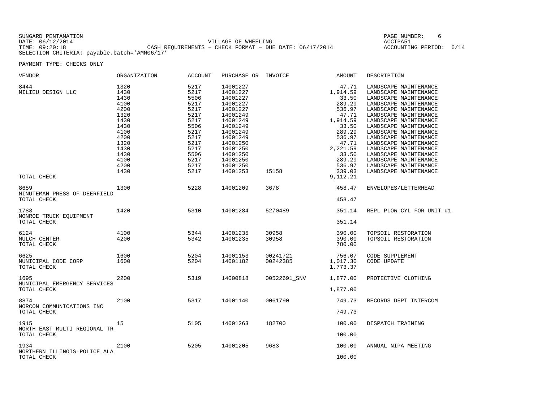| SUNGARD PENTAMATION                          |                                                         | PAGE NUMBER:            |  |
|----------------------------------------------|---------------------------------------------------------|-------------------------|--|
| DATE: 06/12/2014                             | VILLAGE OF WHEELING                                     | ACCTPA51                |  |
| TIME: 09:20:18                               | CASH REOUIREMENTS - CHECK FORMAT - DUE DATE: 06/17/2014 | ACCOUNTING PERIOD: 6/14 |  |
| SELECTION CRITERIA: payable.batch='AMM06/17' |                                                         |                         |  |

| VENDOR                                | ORGANIZATION | ACCOUNT | PURCHASE OR INVOICE |              | AMOUNT   | DESCRIPTION               |
|---------------------------------------|--------------|---------|---------------------|--------------|----------|---------------------------|
| 8444                                  | 1320         | 5217    | 14001227            |              | 47.71    | LANDSCAPE MAINTENANCE     |
| MILIEU DESIGN LLC                     | 1430         | 5217    | 14001227            |              | 1,914.59 | LANDSCAPE MAINTENANCE     |
|                                       | 1430         | 5506    | 14001227            |              | 33.50    | LANDSCAPE MAINTENANCE     |
|                                       | 4100         | 5217    | 14001227            |              | 289.29   | LANDSCAPE MAINTENANCE     |
|                                       | 4200         | 5217    | 14001227            |              | 536.97   | LANDSCAPE MAINTENANCE     |
|                                       | 1320         | 5217    | 14001249            |              | 47.71    | LANDSCAPE MAINTENANCE     |
|                                       | 1430         | 5217    | 14001249            |              |          | LANDSCAPE MAINTENANCE     |
|                                       |              |         |                     |              | 1,914.59 |                           |
|                                       | 1430         | 5506    | 14001249            |              | 33.50    | LANDSCAPE MAINTENANCE     |
|                                       | 4100         | 5217    | 14001249            |              | 289.29   | LANDSCAPE MAINTENANCE     |
|                                       | 4200         | 5217    | 14001249            |              | 536.97   | LANDSCAPE MAINTENANCE     |
|                                       | 1320         | 5217    | 14001250            |              | 47.71    | LANDSCAPE MAINTENANCE     |
|                                       | 1430         | 5217    | 14001250            |              | 2,221.59 | LANDSCAPE MAINTENANCE     |
|                                       | 1430         | 5506    | 14001250            |              | 33.50    | LANDSCAPE MAINTENANCE     |
|                                       | 4100         | 5217    | 14001250            |              | 289.29   | LANDSCAPE MAINTENANCE     |
|                                       | 4200         | 5217    | 14001250            |              | 536.97   | LANDSCAPE MAINTENANCE     |
|                                       | 1430         | 5217    | 14001253            | 15158        | 339.03   | LANDSCAPE MAINTENANCE     |
|                                       |              |         |                     |              |          |                           |
| TOTAL CHECK                           |              |         |                     |              | 9,112.21 |                           |
| 8659<br>MINUTEMAN PRESS OF DEERFIELD  | 1300         | 5228    | 14001209            | 3678         | 458.47   | ENVELOPES/LETTERHEAD      |
| TOTAL CHECK                           |              |         |                     |              | 458.47   |                           |
| 1783                                  | 1420         | 5310    | 14001284            | 5270489      | 351.14   | REPL PLOW CYL FOR UNIT #1 |
| MONROE TRUCK EQUIPMENT<br>TOTAL CHECK |              |         |                     |              | 351.14   |                           |
|                                       |              |         |                     |              |          |                           |
| 6124                                  | 4100         | 5344    | 14001235            | 30958        | 390.00   | TOPSOIL RESTORATION       |
| MULCH CENTER                          | 4200         | 5342    | 14001235            | 30958        | 390.00   | TOPSOIL RESTORATION       |
| TOTAL CHECK                           |              |         |                     |              | 780.00   |                           |
|                                       |              |         |                     |              |          |                           |
| 6625                                  | 1600         | 5204    | 14001153            | 00241721     | 756.07   | CODE SUPPLEMENT           |
| MUNICIPAL CODE CORP                   | 1600         | 5204    | 14001182            | 00242385     | 1,017.30 | CODE UPDATE               |
| TOTAL CHECK                           |              |         |                     |              | 1,773.37 |                           |
|                                       |              |         |                     |              |          |                           |
| 1695                                  | 2200         | 5319    | 14000818            | 00522691_SNV | 1,877.00 | PROTECTIVE CLOTHING       |
| MUNICIPAL EMERGENCY SERVICES          |              |         |                     |              |          |                           |
| TOTAL CHECK                           |              |         |                     |              | 1,877.00 |                           |
|                                       | 2100         | 5317    |                     |              |          |                           |
| 8874                                  |              |         | 14001140            | 0061790      | 749.73   | RECORDS DEPT INTERCOM     |
| NORCON COMMUNICATIONS INC             |              |         |                     |              |          |                           |
| TOTAL CHECK                           |              |         |                     |              | 749.73   |                           |
| 1915                                  | 15           | 5105    | 14001263            | 182700       | 100.00   | DISPATCH TRAINING         |
|                                       |              |         |                     |              |          |                           |
| NORTH EAST MULTI REGIONAL TR          |              |         |                     |              |          |                           |
| TOTAL CHECK                           |              |         |                     |              | 100.00   |                           |
|                                       |              |         |                     |              |          |                           |
| 1934                                  | 2100         | 5205    | 14001205            | 9683         | 100.00   | ANNUAL NIPA MEETING       |
| NORTHERN ILLINOIS POLICE ALA          |              |         |                     |              |          |                           |
| TOTAL CHECK                           |              |         |                     |              | 100.00   |                           |
|                                       |              |         |                     |              |          |                           |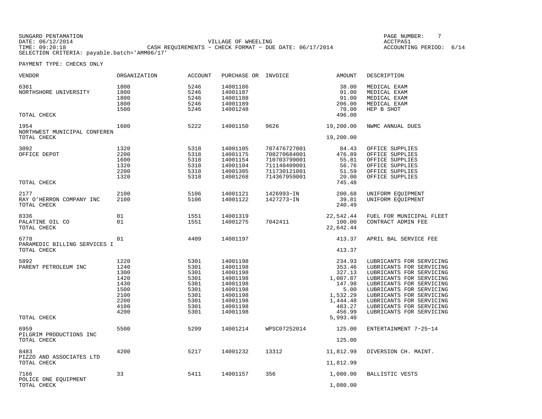| SUNGARD PENTAMATION                          |                                                           | PAGE NUMBER:            |  |
|----------------------------------------------|-----------------------------------------------------------|-------------------------|--|
| DATE: 06/12/2014                             | VILLAGE OF WHEELING                                       | ACCTPA51                |  |
| TIME: 09:20:18                               | CASH REQUIREMENTS - CHECK FORMAT - DUE DATE: $06/17/2014$ | ACCOUNTING PERIOD: 6/14 |  |
| SELECTION CRITERIA: payable.batch='AMM06/17' |                                                           |                         |  |

GE NUMBER: 7

| VENDOR                                       | ORGANIZATION                         | <b>ACCOUNT</b>                       | PURCHASE OR                                              | INVOICE      | AMOUNT                                               | DESCRIPTION                                                                |
|----------------------------------------------|--------------------------------------|--------------------------------------|----------------------------------------------------------|--------------|------------------------------------------------------|----------------------------------------------------------------------------|
| 6361<br>NORTHSHORE UNIVERSITY<br>TOTAL CHECK | 1800<br>1800<br>1800<br>1800<br>1500 | 5246<br>5246<br>5246<br>5246<br>5246 | 14001186<br>14001187<br>14001188<br>14001189<br>14001248 |              | 38.00<br>91.00<br>91.00<br>206.00<br>70.00<br>496.00 | MEDICAL EXAM<br>MEDICAL EXAM<br>MEDICAL EXAM<br>MEDICAL EXAM<br>HEP B SHOT |
| 1954                                         | 1600                                 | 5222                                 | 14001150                                                 | 9626         | 19,200.00                                            | NWMC ANNUAL DUES                                                           |
| NORTHWEST MUNICIPAL CONFEREN<br>TOTAL CHECK  |                                      |                                      |                                                          |              | 19,200.00                                            |                                                                            |
| 3092                                         | 1320                                 | 5318                                 | 14001105                                                 | 707476727001 | 84.43                                                | OFFICE SUPPLIES                                                            |
| OFFICE DEPOT                                 | 2200                                 | 5318                                 | 14001175                                                 | 708270684001 | 476.89                                               | OFFICE SUPPLIES                                                            |
|                                              | 1600                                 | 5318                                 | 14001154                                                 | 710703799001 | 55.81                                                | OFFICE SUPPLIES                                                            |
|                                              | 1320                                 | 5318                                 | 14001104                                                 | 711140409001 | 56.76                                                | OFFICE SUPPLIES                                                            |
|                                              | 2200                                 | 5318                                 | 14001305                                                 | 711730121001 | 51.59                                                | OFFICE SUPPLIES                                                            |
|                                              | 1320                                 | 5318                                 | 14001268                                                 | 714367959001 | 20.00                                                | OFFICE SUPPLIES                                                            |
| TOTAL CHECK                                  |                                      |                                      |                                                          |              | 745.48                                               |                                                                            |
| 2177                                         | 2100                                 | 5106                                 | 14001121                                                 | 1426993-IN   | 200.68                                               | UNIFORM EQUIPMENT                                                          |
| RAY O'HERRON COMPANY INC                     | 2100                                 | 5106                                 | 14001122                                                 | 1427273-IN   | 39.81                                                | UNIFORM EQUIPMENT                                                          |
| TOTAL CHECK                                  |                                      |                                      |                                                          |              | 240.49                                               |                                                                            |
|                                              |                                      |                                      |                                                          |              |                                                      |                                                                            |
| 8336                                         | 01                                   | 1551                                 | 14001319                                                 |              | 22,542.44                                            | FUEL FOR MUNICIPAL FLEET                                                   |
| PALATINE OIL CO                              | 01                                   | 1551                                 | 14001275                                                 | 7042411      | 100.00                                               | CONTRACT ADMIN FEE                                                         |
| TOTAL CHECK                                  |                                      |                                      |                                                          |              | 22,642.44                                            |                                                                            |
| 6778                                         | 01                                   | 4409                                 | 14001197                                                 |              | 413.37                                               | APRIL BAL SERVICE FEE                                                      |
| PARAMEDIC BILLING SERVICES I                 |                                      |                                      |                                                          |              |                                                      |                                                                            |
| TOTAL CHECK                                  |                                      |                                      |                                                          |              | 413.37                                               |                                                                            |
| 5892                                         | 1220                                 | 5301                                 | 14001198                                                 |              | 234.93                                               | LUBRICANTS FOR SERVICING                                                   |
| PARENT PETROLEUM INC                         | 1240                                 | 5301                                 | 14001198                                                 |              | 353.46                                               | LUBRICANTS FOR SERVICING                                                   |
|                                              | 1300                                 | 5301                                 | 14001198                                                 |              | 327.13                                               | LUBRICANTS FOR SERVICING                                                   |
|                                              | 1420                                 | 5301                                 | 14001198                                                 |              | 1,007.87                                             | LUBRICANTS FOR SERVICING                                                   |
|                                              | 1430                                 | 5301                                 | 14001198                                                 |              | 147.98                                               | LUBRICANTS FOR SERVICING                                                   |
|                                              | 1500                                 | 5301                                 | 14001198                                                 |              | 5.00                                                 | LUBRICANTS FOR SERVICING                                                   |
|                                              | 2100                                 | 5301                                 | 14001198                                                 |              | 1,532.29                                             | LUBRICANTS FOR SERVICING                                                   |
|                                              | 2200                                 | 5301                                 | 14001198                                                 |              | 1,444.48                                             | LUBRICANTS FOR SERVICING                                                   |
|                                              | 4100                                 | 5301                                 | 14001198                                                 |              | 483.27                                               | LUBRICANTS FOR SERVICING                                                   |
|                                              | 4200                                 | 5301                                 | 14001198                                                 |              | 456.99                                               | LUBRICANTS FOR SERVICING                                                   |
| TOTAL CHECK                                  |                                      |                                      |                                                          |              | 5,993.40                                             |                                                                            |
| 6959                                         | 5500                                 | 5299                                 | 14001214                                                 | WPSC07252014 | 125.00                                               | ENTERTAINMENT 7-25-14                                                      |
| PILGRIM PRODUCTIONS INC                      |                                      |                                      |                                                          |              |                                                      |                                                                            |
| TOTAL CHECK                                  |                                      |                                      |                                                          |              | 125.00                                               |                                                                            |
|                                              |                                      |                                      |                                                          |              |                                                      |                                                                            |
| 8483<br>PIZZO AND ASSOCIATES LTD             | 4200                                 | 5217                                 | 14001232                                                 | 13312        | 11,812.99                                            | DIVERSION CH. MAINT.                                                       |
|                                              |                                      |                                      |                                                          |              |                                                      |                                                                            |
| TOTAL CHECK                                  |                                      |                                      |                                                          |              | 11,812.99                                            |                                                                            |
| 7166                                         | 33                                   | 5411                                 | 14001157                                                 | 356          | 1,080.00                                             | BALLISTIC VESTS                                                            |
| POLICE ONE EQUIPMENT                         |                                      |                                      |                                                          |              |                                                      |                                                                            |
| TOTAL CHECK                                  |                                      |                                      |                                                          |              | 1,080.00                                             |                                                                            |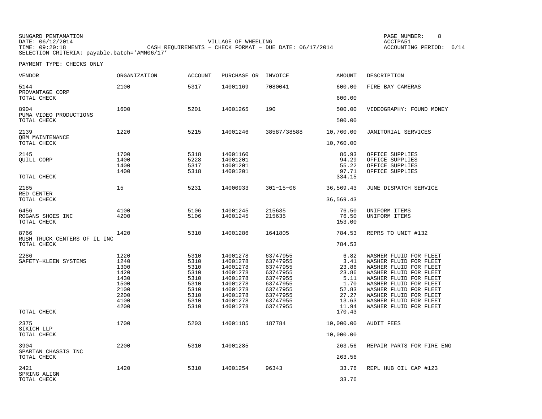SUNGARD PENTAMATION PAGE NUMBER: 8DATE:  $06/12/2014$  ACCTPA51 TIME: 09:20:18 CASH REQUIREMENTS − CHECK FORMAT − DUE DATE: 06/17/2014 SELECTION CRITERIA: payable.batch='AMM06/17'

ACCOUNTING PERIOD: 6/14

| VENDOR                                        | <b>ORGANIZATION</b>                                                          | <b>ACCOUNT</b>                                                               | PURCHASE OR                                                                                                          | INVOICE                                                                                                              | <b>AMOUNT</b>                                                                      | DESCRIPTION                                                                                                                                                                                                                                                      |
|-----------------------------------------------|------------------------------------------------------------------------------|------------------------------------------------------------------------------|----------------------------------------------------------------------------------------------------------------------|----------------------------------------------------------------------------------------------------------------------|------------------------------------------------------------------------------------|------------------------------------------------------------------------------------------------------------------------------------------------------------------------------------------------------------------------------------------------------------------|
| 5144<br>PROVANTAGE CORP                       | 2100                                                                         | 5317                                                                         | 14001169                                                                                                             | 7080041                                                                                                              | 600.00                                                                             | FIRE BAY CAMERAS                                                                                                                                                                                                                                                 |
| TOTAL CHECK                                   |                                                                              |                                                                              |                                                                                                                      |                                                                                                                      | 600.00                                                                             |                                                                                                                                                                                                                                                                  |
| 8904<br>PUMA VIDEO PRODUCTIONS<br>TOTAL CHECK | 1600                                                                         | 5201                                                                         | 14001265                                                                                                             | 190                                                                                                                  | 500.00<br>500.00                                                                   | VIDEOGRAPHY: FOUND MONEY                                                                                                                                                                                                                                         |
| 2139<br><b>QBM MAINTENANCE</b>                | 1220                                                                         | 5215                                                                         | 14001246                                                                                                             | 38587/38588                                                                                                          | 10,760.00                                                                          | JANITORIAL SERVICES                                                                                                                                                                                                                                              |
| TOTAL CHECK                                   |                                                                              |                                                                              |                                                                                                                      |                                                                                                                      | 10,760.00                                                                          |                                                                                                                                                                                                                                                                  |
| 2145<br>QUILL CORP<br>TOTAL CHECK             | 1700<br>1400<br>1400<br>1400                                                 | 5318<br>5228<br>5317<br>5318                                                 | 14001160<br>14001201<br>14001201<br>14001201                                                                         |                                                                                                                      | 86.93<br>94.29<br>55.22<br>97.71<br>334.15                                         | OFFICE SUPPLIES<br>OFFICE SUPPLIES<br>OFFICE SUPPLIES<br>OFFICE SUPPLIES                                                                                                                                                                                         |
| 2185                                          | 15                                                                           | 5231                                                                         | 14000933                                                                                                             | $301 - 15 - 06$                                                                                                      | 36,569.43                                                                          | JUNE DISPATCH SERVICE                                                                                                                                                                                                                                            |
| RED CENTER<br>TOTAL CHECK                     |                                                                              |                                                                              |                                                                                                                      |                                                                                                                      | 36,569.43                                                                          |                                                                                                                                                                                                                                                                  |
| 6456<br>ROGANS SHOES INC<br>TOTAL CHECK       | 4100<br>4200                                                                 | 5106<br>5106                                                                 | 14001245<br>14001245                                                                                                 | 215635<br>215635                                                                                                     | 76.50<br>76.50<br>153.00                                                           | UNIFORM ITEMS<br>UNIFORM ITEMS                                                                                                                                                                                                                                   |
| 8766<br>RUSH TRUCK CENTERS OF IL INC          | 1420                                                                         | 5310                                                                         | 14001286                                                                                                             | 1641805                                                                                                              | 784.53                                                                             | REPRS TO UNIT #132                                                                                                                                                                                                                                               |
| TOTAL CHECK                                   |                                                                              |                                                                              |                                                                                                                      |                                                                                                                      | 784.53                                                                             |                                                                                                                                                                                                                                                                  |
| 2286<br>SAFETY-KLEEN SYSTEMS                  | 1220<br>1240<br>1300<br>1420<br>1430<br>1500<br>2100<br>2200<br>4100<br>4200 | 5310<br>5310<br>5310<br>5310<br>5310<br>5310<br>5310<br>5310<br>5310<br>5310 | 14001278<br>14001278<br>14001278<br>14001278<br>14001278<br>14001278<br>14001278<br>14001278<br>14001278<br>14001278 | 63747955<br>63747955<br>63747955<br>63747955<br>63747955<br>63747955<br>63747955<br>63747955<br>63747955<br>63747955 | 6.82<br>3.41<br>23.86<br>23.86<br>5.11<br>1.70<br>52.83<br>27.27<br>13.63<br>11.94 | WASHER FLUID FOR FLEET<br>WASHER FLUID FOR FLEET<br>WASHER FLUID FOR FLEET<br>WASHER FLUID FOR FLEET<br>WASHER FLUID FOR FLEET<br>WASHER FLUID FOR FLEET<br>WASHER FLUID FOR FLEET<br>WASHER FLUID FOR FLEET<br>WASHER FLUID FOR FLEET<br>WASHER FLUID FOR FLEET |
| TOTAL CHECK                                   |                                                                              |                                                                              |                                                                                                                      |                                                                                                                      | 170.43                                                                             |                                                                                                                                                                                                                                                                  |
| 2375<br>SIKICH LLP<br>TOTAL CHECK             | 1700                                                                         | 5203                                                                         | 14001185                                                                                                             | 187784                                                                                                               | 10,000.00<br>10,000.00                                                             | <b>AUDIT FEES</b>                                                                                                                                                                                                                                                |
|                                               |                                                                              |                                                                              |                                                                                                                      |                                                                                                                      |                                                                                    |                                                                                                                                                                                                                                                                  |
| 3904<br>SPARTAN CHASSIS INC<br>TOTAL CHECK    | 2200                                                                         | 5310                                                                         | 14001285                                                                                                             |                                                                                                                      | 263.56<br>263.56                                                                   | REPAIR PARTS FOR FIRE ENG                                                                                                                                                                                                                                        |
|                                               |                                                                              |                                                                              |                                                                                                                      |                                                                                                                      |                                                                                    |                                                                                                                                                                                                                                                                  |
| 2421<br>SPRING ALIGN<br>TOTAL CHECK           | 1420                                                                         | 5310                                                                         | 14001254                                                                                                             | 96343                                                                                                                | 33.76<br>33.76                                                                     | REPL HUB OIL CAP #123                                                                                                                                                                                                                                            |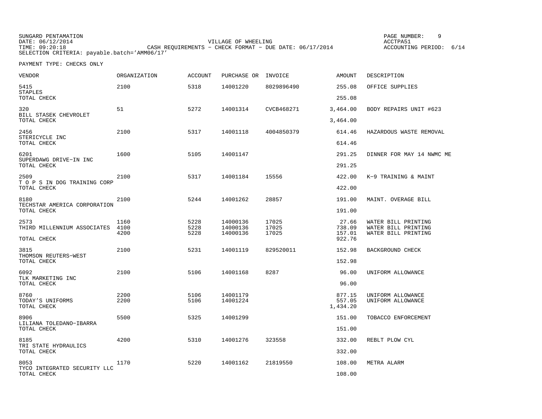| SUNGARD PENTAMATION                          |                                                         | PAGE NUMBER:            |  |
|----------------------------------------------|---------------------------------------------------------|-------------------------|--|
| DATE: 06/12/2014                             | VILLAGE OF WHEELING                                     | ACCTPA51                |  |
| TIME: 09:20:18                               | CASH REOUIREMENTS - CHECK FORMAT - DUE DATE: 06/17/2014 | ACCOUNTING PERIOD: 6/14 |  |
| SELECTION CRITERIA: payable.batch='AMM06/17' |                                                         |                         |  |

| VENDOR                                              | <b>ORGANIZATION</b>  | <b>ACCOUNT</b>       | PURCHASE OR                      | INVOICE                 | <b>AMOUNT</b>                | DESCRIPTION                                                       |
|-----------------------------------------------------|----------------------|----------------------|----------------------------------|-------------------------|------------------------------|-------------------------------------------------------------------|
| 5415<br><b>STAPLES</b>                              | 2100                 | 5318                 | 14001220                         | 8029896490              | 255.08                       | OFFICE SUPPLIES                                                   |
| TOTAL CHECK                                         |                      |                      |                                  |                         | 255.08                       |                                                                   |
| 320<br>BILL STASEK CHEVROLET<br>TOTAL CHECK         | 51                   | 5272                 | 14001314                         | CVCB468271              | 3,464.00<br>3,464.00         | BODY REPAIRS UNIT #623                                            |
| 2456<br>STERICYCLE INC                              | 2100                 | 5317                 | 14001118                         | 4004850379              | 614.46                       | HAZARDOUS WASTE REMOVAL                                           |
| TOTAL CHECK                                         |                      |                      |                                  |                         | 614.46                       |                                                                   |
| 6201<br>SUPERDAWG DRIVE-IN INC<br>TOTAL CHECK       | 1600                 | 5105                 | 14001147                         |                         | 291.25<br>291.25             | DINNER FOR MAY 14 NWMC ME                                         |
|                                                     |                      |                      |                                  |                         |                              |                                                                   |
| 2509<br>T O P S IN DOG TRAINING CORP<br>TOTAL CHECK | 2100                 | 5317                 | 14001184                         | 15556                   | 422.00<br>422.00             | K-9 TRAINING & MAINT                                              |
| 8180                                                | 2100                 | 5244                 | 14001262                         | 28857                   | 191.00                       | MAINT. OVERAGE BILL                                               |
| TECHSTAR AMERICA CORPORATION<br>TOTAL CHECK         |                      |                      |                                  |                         | 191.00                       |                                                                   |
| 2573<br>THIRD MILLENNIUM ASSOCIATES                 | 1160<br>4100<br>4200 | 5228<br>5228<br>5228 | 14000136<br>14000136<br>14000136 | 17025<br>17025<br>17025 | 27.66<br>738.09<br>157.01    | WATER BILL PRINTING<br>WATER BILL PRINTING<br>WATER BILL PRINTING |
| TOTAL CHECK                                         |                      |                      |                                  |                         | 922.76                       |                                                                   |
| 3815<br>THOMSON REUTERS-WEST                        | 2100                 | 5231                 | 14001119                         | 829520011               | 152.98                       | BACKGROUND CHECK                                                  |
| TOTAL CHECK                                         |                      |                      |                                  |                         | 152.98                       |                                                                   |
| 6092<br>TLK MARKETING INC                           | 2100                 | 5106                 | 14001168                         | 8287                    | 96.00                        | UNIFORM ALLOWANCE                                                 |
| TOTAL CHECK                                         |                      |                      |                                  |                         | 96.00                        |                                                                   |
| 8760<br>TODAY'S UNIFORMS<br>TOTAL CHECK             | 2200<br>2200         | 5106<br>5106         | 14001179<br>14001224             |                         | 877.15<br>557.05<br>1,434.20 | UNIFORM ALLOWANCE<br>UNIFORM ALLOWANCE                            |
| 8906<br>LILIANA TOLEDANO-IBARRA                     | 5500                 | 5325                 | 14001299                         |                         | 151.00                       | TOBACCO ENFORCEMENT                                               |
| TOTAL CHECK                                         |                      |                      |                                  |                         | 151.00                       |                                                                   |
| 8185<br>TRI STATE HYDRAULICS                        | 4200                 | 5310                 | 14001276                         | 323558                  | 332.00                       | REBLT PLOW CYL                                                    |
| TOTAL CHECK                                         |                      |                      |                                  |                         | 332.00                       |                                                                   |
| 8053<br>TYCO INTEGRATED SECURITY LLC                | 1170                 | 5220                 | 14001162                         | 21819550                | 108.00                       | METRA ALARM                                                       |
| TOTAL CHECK                                         |                      |                      |                                  |                         | 108.00                       |                                                                   |